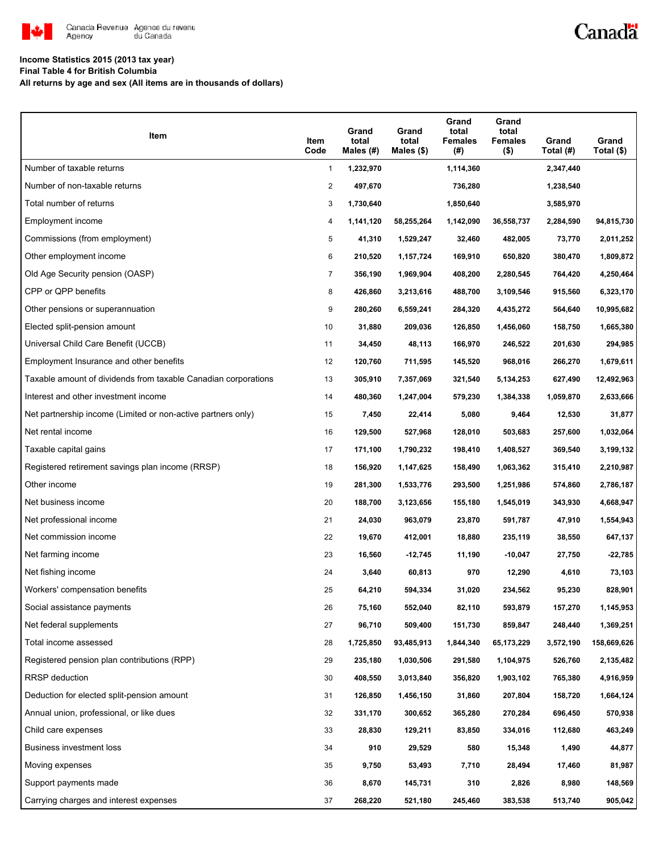

### Canadä

### **Income Statistics 2015 (2013 tax year)**

**Final Table 4 for British Columbia**

**All returns by age and sex (All items are in thousands of dollars)**

| Item                                                           | Item<br>Code   | Grand<br>total<br>Males $(H)$ | Grand<br>total<br>Males $(\$)$ | Grand<br>total<br><b>Females</b><br>(#) | Grand<br>total<br><b>Females</b><br>$($ \$) | Grand<br>Total (#) | Grand<br>Total (\$) |
|----------------------------------------------------------------|----------------|-------------------------------|--------------------------------|-----------------------------------------|---------------------------------------------|--------------------|---------------------|
| Number of taxable returns                                      | 1              | 1,232,970                     |                                | 1,114,360                               |                                             | 2,347,440          |                     |
| Number of non-taxable returns                                  | $\overline{c}$ | 497,670                       |                                | 736,280                                 |                                             | 1,238,540          |                     |
| Total number of returns                                        | 3              | 1,730,640                     |                                | 1,850,640                               |                                             | 3,585,970          |                     |
| Employment income                                              | 4              | 1,141,120                     | 58,255,264                     | 1,142,090                               | 36,558,737                                  | 2,284,590          | 94,815,730          |
| Commissions (from employment)                                  | 5              | 41,310                        | 1,529,247                      | 32,460                                  | 482,005                                     | 73,770             | 2,011,252           |
| Other employment income                                        | 6              | 210,520                       | 1,157,724                      | 169,910                                 | 650,820                                     | 380,470            | 1,809,872           |
| Old Age Security pension (OASP)                                | $\overline{7}$ | 356,190                       | 1,969,904                      | 408,200                                 | 2,280,545                                   | 764,420            | 4,250,464           |
| CPP or QPP benefits                                            | 8              | 426,860                       | 3,213,616                      | 488,700                                 | 3,109,546                                   | 915,560            | 6,323,170           |
| Other pensions or superannuation                               | 9              | 280,260                       | 6,559,241                      | 284,320                                 | 4,435,272                                   | 564,640            | 10,995,682          |
| Elected split-pension amount                                   | 10             | 31,880                        | 209,036                        | 126,850                                 | 1,456,060                                   | 158,750            | 1,665,380           |
| Universal Child Care Benefit (UCCB)                            | 11             | 34,450                        | 48,113                         | 166,970                                 | 246,522                                     | 201,630            | 294,985             |
| Employment Insurance and other benefits                        | 12             | 120,760                       | 711,595                        | 145,520                                 | 968,016                                     | 266,270            | 1,679,611           |
| Taxable amount of dividends from taxable Canadian corporations | 13             | 305,910                       | 7,357,069                      | 321,540                                 | 5,134,253                                   | 627,490            | 12,492,963          |
| Interest and other investment income                           | 14             | 480,360                       | 1,247,004                      | 579,230                                 | 1,384,338                                   | 1,059,870          | 2,633,666           |
| Net partnership income (Limited or non-active partners only)   | 15             | 7,450                         | 22,414                         | 5,080                                   | 9,464                                       | 12,530             | 31,877              |
| Net rental income                                              | 16             | 129,500                       | 527,968                        | 128,010                                 | 503,683                                     | 257,600            | 1,032,064           |
| Taxable capital gains                                          | 17             | 171,100                       | 1,790,232                      | 198,410                                 | 1,408,527                                   | 369,540            | 3,199,132           |
| Registered retirement savings plan income (RRSP)               | 18             | 156,920                       | 1,147,625                      | 158,490                                 | 1,063,362                                   | 315,410            | 2,210,987           |
| Other income                                                   | 19             | 281,300                       | 1,533,776                      | 293,500                                 | 1,251,986                                   | 574,860            | 2,786,187           |
| Net business income                                            | 20             | 188,700                       | 3,123,656                      | 155,180                                 | 1,545,019                                   | 343,930            | 4,668,947           |
| Net professional income                                        | 21             | 24,030                        | 963,079                        | 23,870                                  | 591,787                                     | 47,910             | 1,554,943           |
| Net commission income                                          | 22             | 19,670                        | 412,001                        | 18,880                                  | 235,119                                     | 38,550             | 647,137             |
| Net farming income                                             | 23             | 16,560                        | $-12,745$                      | 11,190                                  | $-10,047$                                   | 27,750             | -22,785             |
| Net fishing income                                             | 24             | 3,640                         | 60,813                         | 970                                     | 12,290                                      | 4,610              | 73,103              |
| Workers' compensation benefits                                 | 25             | 64,210                        | 594,334                        | 31,020                                  | 234,562                                     | 95,230             | 828,901             |
| Social assistance payments                                     | 26             | 75,160                        | 552,040                        | 82,110                                  | 593,879                                     | 157,270            | 1,145,953           |
| Net federal supplements                                        | 27             | 96,710                        | 509,400                        | 151,730                                 | 859,847                                     | 248,440            | 1,369,251           |
| Total income assessed                                          | 28             | 1,725,850                     | 93,485,913                     | 1,844,340                               | 65,173,229                                  | 3,572,190          | 158,669,626         |
| Registered pension plan contributions (RPP)                    | 29             | 235,180                       | 1,030,506                      | 291,580                                 | 1,104,975                                   | 526,760            | 2,135,482           |
| <b>RRSP</b> deduction                                          | 30             | 408,550                       | 3,013,840                      | 356,820                                 | 1,903,102                                   | 765,380            | 4,916,959           |
| Deduction for elected split-pension amount                     | 31             | 126,850                       | 1,456,150                      | 31,860                                  | 207,804                                     | 158,720            | 1,664,124           |
| Annual union, professional, or like dues                       | 32             | 331,170                       | 300,652                        | 365,280                                 | 270,284                                     | 696,450            | 570,938             |
| Child care expenses                                            | 33             | 28,830                        | 129,211                        | 83,850                                  | 334,016                                     | 112,680            | 463,249             |
| Business investment loss                                       | 34             | 910                           | 29,529                         | 580                                     | 15,348                                      | 1,490              | 44,877              |
| Moving expenses                                                | 35             | 9,750                         | 53,493                         | 7,710                                   | 28,494                                      | 17,460             | 81,987              |
| Support payments made                                          | 36             | 8,670                         | 145,731                        | 310                                     | 2,826                                       | 8,980              | 148,569             |
| Carrying charges and interest expenses                         | 37             | 268,220                       | 521,180                        | 245,460                                 | 383,538                                     | 513,740            | 905,042             |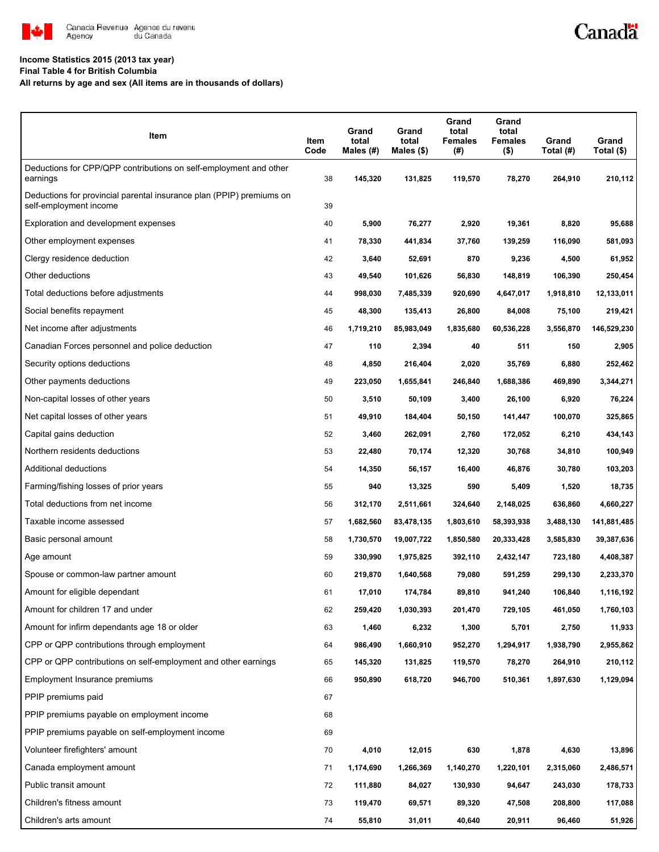

# Canadä

#### **Income Statistics 2015 (2013 tax year)**

**Final Table 4 for British Columbia**

**All returns by age and sex (All items are in thousands of dollars)**

| Item                                                                                           | Item<br>Code | Grand<br>total<br>Males $(H)$ | Grand<br>total<br>Males $($)$ | Grand<br>total<br><b>Females</b><br>(#) | Grand<br>total<br>Females<br>$($ \$) | Grand<br>Total (#) | Grand<br>Total (\$) |
|------------------------------------------------------------------------------------------------|--------------|-------------------------------|-------------------------------|-----------------------------------------|--------------------------------------|--------------------|---------------------|
| Deductions for CPP/QPP contributions on self-employment and other<br>earnings                  | 38           | 145,320                       | 131,825                       | 119,570                                 | 78,270                               | 264,910            | 210,112             |
| Deductions for provincial parental insurance plan (PPIP) premiums on<br>self-employment income | 39           |                               |                               |                                         |                                      |                    |                     |
| Exploration and development expenses                                                           | 40           | 5,900                         | 76,277                        | 2,920                                   | 19,361                               | 8,820              | 95,688              |
| Other employment expenses                                                                      | 41           | 78,330                        | 441,834                       | 37,760                                  | 139,259                              | 116,090            | 581,093             |
| Clergy residence deduction                                                                     | 42           | 3,640                         | 52,691                        | 870                                     | 9,236                                | 4,500              | 61,952              |
| Other deductions                                                                               | 43           | 49,540                        | 101,626                       | 56,830                                  | 148,819                              | 106,390            | 250,454             |
| Total deductions before adjustments                                                            | 44           | 998,030                       | 7,485,339                     | 920,690                                 | 4,647,017                            | 1,918,810          | 12,133,011          |
| Social benefits repayment                                                                      | 45           | 48,300                        | 135,413                       | 26,800                                  | 84,008                               | 75,100             | 219,421             |
| Net income after adjustments                                                                   | 46           | 1,719,210                     | 85,983,049                    | 1,835,680                               | 60,536,228                           | 3,556,870          | 146,529,230         |
| Canadian Forces personnel and police deduction                                                 | 47           | 110                           | 2,394                         | 40                                      | 511                                  | 150                | 2,905               |
| Security options deductions                                                                    | 48           | 4,850                         | 216,404                       | 2,020                                   | 35,769                               | 6,880              | 252,462             |
| Other payments deductions                                                                      | 49           | 223,050                       | 1,655,841                     | 246,840                                 | 1,688,386                            | 469,890            | 3,344,271           |
| Non-capital losses of other years                                                              | 50           | 3,510                         | 50,109                        | 3,400                                   | 26,100                               | 6,920              | 76,224              |
| Net capital losses of other years                                                              | 51           | 49,910                        | 184,404                       | 50,150                                  | 141,447                              | 100,070            | 325,865             |
| Capital gains deduction                                                                        | 52           | 3,460                         | 262,091                       | 2,760                                   | 172,052                              | 6,210              | 434,143             |
| Northern residents deductions                                                                  | 53           | 22,480                        | 70,174                        | 12,320                                  | 30,768                               | 34,810             | 100,949             |
| Additional deductions                                                                          | 54           | 14,350                        | 56,157                        | 16,400                                  | 46,876                               | 30,780             | 103,203             |
| Farming/fishing losses of prior years                                                          | 55           | 940                           | 13,325                        | 590                                     | 5,409                                | 1,520              | 18,735              |
| Total deductions from net income                                                               | 56           | 312,170                       | 2,511,661                     | 324,640                                 | 2,148,025                            | 636,860            | 4,660,227           |
| Taxable income assessed                                                                        | 57           | 1,682,560                     | 83,478,135                    | 1,803,610                               | 58,393,938                           | 3,488,130          | 141,881,485         |
| Basic personal amount                                                                          | 58           | 1,730,570                     | 19,007,722                    | 1,850,580                               | 20,333,428                           | 3,585,830          | 39,387,636          |
| Age amount                                                                                     | 59           | 330,990                       | 1,975,825                     | 392,110                                 | 2,432,147                            | 723,180            | 4,408,387           |
| Spouse or common-law partner amount                                                            | 60           | 219,870                       | 1,640,568                     | 79,080                                  | 591,259                              | 299,130            | 2,233,370           |
| Amount for eligible dependant                                                                  | 61           | 17,010                        | 174,784                       | 89,810                                  | 941,240                              | 106,840            | 1,116,192           |
| Amount for children 17 and under                                                               | 62           | 259,420                       | 1,030,393                     | 201,470                                 | 729,105                              | 461,050            | 1,760,103           |
| Amount for infirm dependants age 18 or older                                                   | 63           | 1,460                         | 6,232                         | 1,300                                   | 5,701                                | 2,750              | 11,933              |
| CPP or QPP contributions through employment                                                    | 64           | 986,490                       | 1,660,910                     | 952,270                                 | 1,294,917                            | 1,938,790          | 2,955,862           |
| CPP or QPP contributions on self-employment and other earnings                                 | 65           | 145,320                       | 131,825                       | 119,570                                 | 78,270                               | 264,910            | 210,112             |
| Employment Insurance premiums                                                                  | 66           | 950,890                       | 618,720                       | 946,700                                 | 510,361                              | 1,897,630          | 1,129,094           |
| PPIP premiums paid                                                                             | 67           |                               |                               |                                         |                                      |                    |                     |
| PPIP premiums payable on employment income                                                     | 68           |                               |                               |                                         |                                      |                    |                     |
| PPIP premiums payable on self-employment income                                                | 69           |                               |                               |                                         |                                      |                    |                     |
| Volunteer firefighters' amount                                                                 | 70           | 4,010                         | 12,015                        | 630                                     | 1,878                                | 4,630              | 13,896              |
| Canada employment amount                                                                       | 71           | 1,174,690                     | 1,266,369                     | 1,140,270                               | 1,220,101                            | 2,315,060          | 2,486,571           |
| Public transit amount                                                                          | 72           | 111,880                       | 84,027                        | 130,930                                 | 94,647                               | 243,030            | 178,733             |
| Children's fitness amount                                                                      | 73           | 119,470                       | 69,571                        | 89,320                                  | 47,508                               | 208,800            | 117,088             |
| Children's arts amount                                                                         | 74           | 55,810                        | 31,011                        | 40,640                                  | 20,911                               | 96,460             | 51,926              |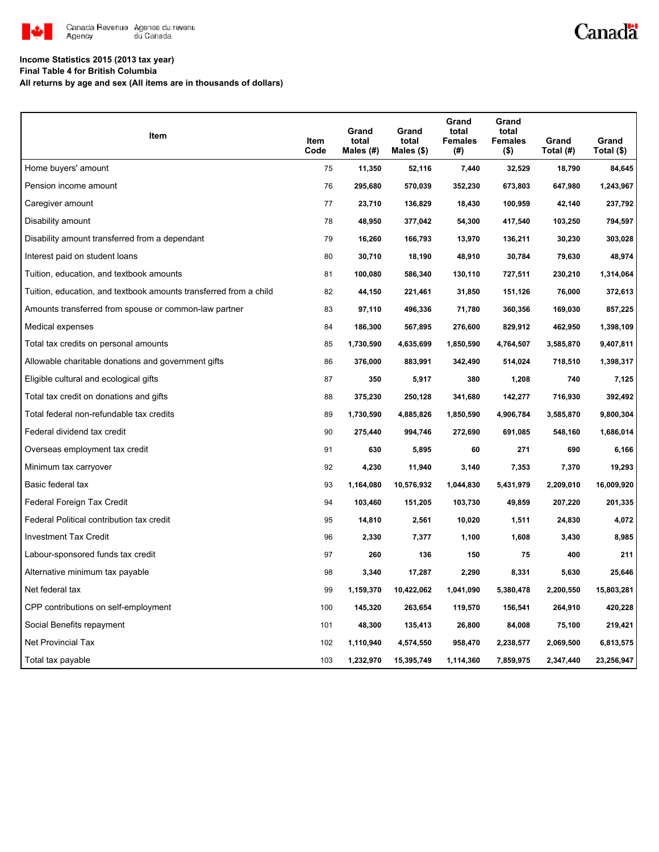

# Canadä

#### **Income Statistics 2015 (2013 tax year)**

**Final Table 4 for British Columbia**

**All returns by age and sex (All items are in thousands of dollars)**

| Item                                                              | Item<br>Code | Grand<br>total<br>Males (#) | Grand<br>total<br>Males $(\$)$ | Grand<br>total<br><b>Females</b><br>(#) | Grand<br>total<br><b>Females</b><br>$($ \$) | Grand<br>Total (#) | Grand<br>Total (\$) |
|-------------------------------------------------------------------|--------------|-----------------------------|--------------------------------|-----------------------------------------|---------------------------------------------|--------------------|---------------------|
| Home buyers' amount                                               | 75           | 11,350                      | 52,116                         | 7,440                                   | 32,529                                      | 18,790             | 84,645              |
| Pension income amount                                             | 76           | 295,680                     | 570,039                        | 352,230                                 | 673,803                                     | 647,980            | 1,243,967           |
| Caregiver amount                                                  | 77           | 23,710                      | 136,829                        | 18,430                                  | 100,959                                     | 42,140             | 237,792             |
| Disability amount                                                 | 78           | 48,950                      | 377,042                        | 54,300                                  | 417,540                                     | 103,250            | 794,597             |
| Disability amount transferred from a dependant                    | 79           | 16,260                      | 166,793                        | 13,970                                  | 136,211                                     | 30,230             | 303,028             |
| Interest paid on student loans                                    | 80           | 30,710                      | 18,190                         | 48,910                                  | 30,784                                      | 79,630             | 48,974              |
| Tuition, education, and textbook amounts                          | 81           | 100,080                     | 586,340                        | 130,110                                 | 727,511                                     | 230,210            | 1,314,064           |
| Tuition, education, and textbook amounts transferred from a child | 82           | 44,150                      | 221,461                        | 31,850                                  | 151,126                                     | 76,000             | 372,613             |
| Amounts transferred from spouse or common-law partner             | 83           | 97,110                      | 496,336                        | 71,780                                  | 360,356                                     | 169,030            | 857,225             |
| Medical expenses                                                  | 84           | 186,300                     | 567,895                        | 276,600                                 | 829,912                                     | 462,950            | 1,398,109           |
| Total tax credits on personal amounts                             | 85           | 1,730,590                   | 4,635,699                      | 1,850,590                               | 4,764,507                                   | 3,585,870          | 9,407,811           |
| Allowable charitable donations and government gifts               | 86           | 376,000                     | 883,991                        | 342,490                                 | 514,024                                     | 718,510            | 1,398,317           |
| Eligible cultural and ecological gifts                            | 87           | 350                         | 5,917                          | 380                                     | 1,208                                       | 740                | 7,125               |
| Total tax credit on donations and gifts                           | 88           | 375,230                     | 250,128                        | 341,680                                 | 142,277                                     | 716,930            | 392,492             |
| Total federal non-refundable tax credits                          | 89           | 1,730,590                   | 4,885,826                      | 1,850,590                               | 4,906,784                                   | 3,585,870          | 9,800,304           |
| Federal dividend tax credit                                       | 90           | 275,440                     | 994,746                        | 272,690                                 | 691,085                                     | 548,160            | 1,686,014           |
| Overseas employment tax credit                                    | 91           | 630                         | 5,895                          | 60                                      | 271                                         | 690                | 6,166               |
| Minimum tax carryover                                             | 92           | 4,230                       | 11,940                         | 3,140                                   | 7,353                                       | 7,370              | 19,293              |
| Basic federal tax                                                 | 93           | 1,164,080                   | 10,576,932                     | 1,044,830                               | 5,431,979                                   | 2,209,010          | 16,009,920          |
| Federal Foreign Tax Credit                                        | 94           | 103,460                     | 151,205                        | 103,730                                 | 49,859                                      | 207,220            | 201,335             |
| Federal Political contribution tax credit                         | 95           | 14,810                      | 2,561                          | 10,020                                  | 1,511                                       | 24,830             | 4,072               |
| <b>Investment Tax Credit</b>                                      | 96           | 2,330                       | 7,377                          | 1,100                                   | 1,608                                       | 3,430              | 8,985               |
| Labour-sponsored funds tax credit                                 | 97           | 260                         | 136                            | 150                                     | 75                                          | 400                | 211                 |
| Alternative minimum tax payable                                   | 98           | 3,340                       | 17,287                         | 2,290                                   | 8,331                                       | 5,630              | 25,646              |
| Net federal tax                                                   | 99           | 1,159,370                   | 10,422,062                     | 1,041,090                               | 5,380,478                                   | 2,200,550          | 15,803,281          |
| CPP contributions on self-employment                              | 100          | 145,320                     | 263,654                        | 119,570                                 | 156,541                                     | 264,910            | 420,228             |
| Social Benefits repayment                                         | 101          | 48,300                      | 135,413                        | 26,800                                  | 84,008                                      | 75,100             | 219,421             |
| Net Provincial Tax                                                | 102          | 1,110,940                   | 4,574,550                      | 958,470                                 | 2,238,577                                   | 2,069,500          | 6,813,575           |
| Total tax payable                                                 | 103          | 1,232,970                   | 15,395,749                     | 1,114,360                               | 7,859,975                                   | 2,347,440          | 23,256,947          |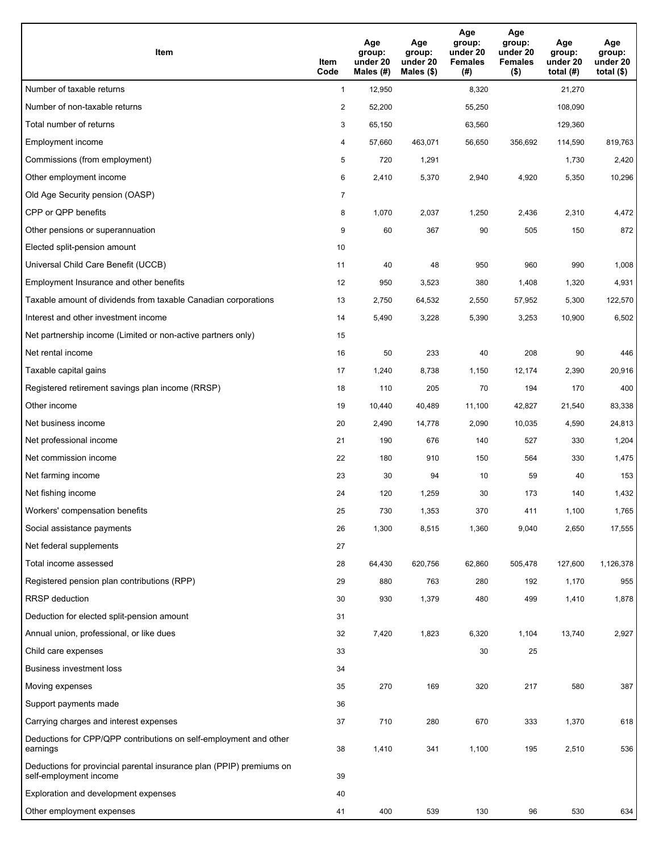| Item                                                                                           | Item<br>Code   | Age<br>group:<br>under 20<br>Males (#) | Age<br>group:<br>under 20<br>Males (\$) | Age<br>group:<br>under 20<br><b>Females</b><br>(#) | Age<br>group:<br>under 20<br><b>Females</b><br>$($ \$) | Age<br>group:<br>under 20<br>total $(H)$ | Age<br>group:<br>under 20<br>total $($)$ |
|------------------------------------------------------------------------------------------------|----------------|----------------------------------------|-----------------------------------------|----------------------------------------------------|--------------------------------------------------------|------------------------------------------|------------------------------------------|
| Number of taxable returns                                                                      | $\mathbf{1}$   | 12,950                                 |                                         | 8,320                                              |                                                        | 21,270                                   |                                          |
| Number of non-taxable returns                                                                  | 2              | 52,200                                 |                                         | 55,250                                             |                                                        | 108,090                                  |                                          |
| Total number of returns                                                                        | 3              | 65,150                                 |                                         | 63,560                                             |                                                        | 129,360                                  |                                          |
| Employment income                                                                              | 4              | 57,660                                 | 463,071                                 | 56,650                                             | 356,692                                                | 114,590                                  | 819,763                                  |
| Commissions (from employment)                                                                  | 5              | 720                                    | 1,291                                   |                                                    |                                                        | 1,730                                    | 2,420                                    |
| Other employment income                                                                        | 6              | 2,410                                  | 5,370                                   | 2,940                                              | 4,920                                                  | 5,350                                    | 10,296                                   |
| Old Age Security pension (OASP)                                                                | $\overline{7}$ |                                        |                                         |                                                    |                                                        |                                          |                                          |
| CPP or QPP benefits                                                                            | 8              | 1,070                                  | 2,037                                   | 1,250                                              | 2,436                                                  | 2,310                                    | 4,472                                    |
| Other pensions or superannuation                                                               | 9              | 60                                     | 367                                     | 90                                                 | 505                                                    | 150                                      | 872                                      |
| Elected split-pension amount                                                                   | 10             |                                        |                                         |                                                    |                                                        |                                          |                                          |
| Universal Child Care Benefit (UCCB)                                                            | 11             | 40                                     | 48                                      | 950                                                | 960                                                    | 990                                      | 1,008                                    |
| Employment Insurance and other benefits                                                        | 12             | 950                                    | 3,523                                   | 380                                                | 1,408                                                  | 1,320                                    | 4,931                                    |
| Taxable amount of dividends from taxable Canadian corporations                                 | 13             | 2,750                                  | 64,532                                  | 2,550                                              | 57,952                                                 | 5,300                                    | 122,570                                  |
| Interest and other investment income                                                           | 14             | 5,490                                  | 3,228                                   | 5,390                                              | 3,253                                                  | 10,900                                   | 6,502                                    |
| Net partnership income (Limited or non-active partners only)                                   | 15             |                                        |                                         |                                                    |                                                        |                                          |                                          |
| Net rental income                                                                              | 16             | 50                                     | 233                                     | 40                                                 | 208                                                    | 90                                       | 446                                      |
| Taxable capital gains                                                                          | 17             | 1,240                                  | 8,738                                   | 1,150                                              | 12,174                                                 | 2,390                                    | 20,916                                   |
| Registered retirement savings plan income (RRSP)                                               | 18             | 110                                    | 205                                     | 70                                                 | 194                                                    | 170                                      | 400                                      |
| Other income                                                                                   | 19             | 10,440                                 | 40,489                                  | 11,100                                             | 42,827                                                 | 21,540                                   | 83,338                                   |
| Net business income                                                                            | 20             | 2,490                                  | 14,778                                  | 2,090                                              | 10,035                                                 | 4,590                                    | 24,813                                   |
| Net professional income                                                                        | 21             | 190                                    | 676                                     | 140                                                | 527                                                    | 330                                      | 1,204                                    |
| Net commission income                                                                          | 22             | 180                                    | 910                                     | 150                                                | 564                                                    | 330                                      | 1,475                                    |
| Net farming income                                                                             | 23             | 30                                     | 94                                      | 10                                                 | 59                                                     | 40                                       | 153                                      |
| Net fishing income                                                                             | 24             | 120                                    | 1,259                                   | 30                                                 | 173                                                    | 140                                      | 1,432                                    |
| Workers' compensation benefits                                                                 | 25             | 730                                    | 1,353                                   | 370                                                | 411                                                    | 1,100                                    | 1,765                                    |
| Social assistance payments                                                                     | 26             | 1,300                                  | 8,515                                   | 1,360                                              | 9,040                                                  | 2,650                                    | 17,555                                   |
| Net federal supplements                                                                        | 27             |                                        |                                         |                                                    |                                                        |                                          |                                          |
| Total income assessed                                                                          | 28             | 64,430                                 | 620,756                                 | 62,860                                             | 505,478                                                | 127,600                                  | 1,126,378                                |
| Registered pension plan contributions (RPP)                                                    | 29             | 880                                    | 763                                     | 280                                                | 192                                                    | 1,170                                    | 955                                      |
| RRSP deduction                                                                                 | 30             | 930                                    | 1,379                                   | 480                                                | 499                                                    | 1,410                                    | 1,878                                    |
| Deduction for elected split-pension amount                                                     | 31             |                                        |                                         |                                                    |                                                        |                                          |                                          |
| Annual union, professional, or like dues                                                       | 32             | 7,420                                  | 1,823                                   | 6,320                                              | 1,104                                                  | 13,740                                   | 2,927                                    |
| Child care expenses                                                                            | 33             |                                        |                                         | 30                                                 | 25                                                     |                                          |                                          |
| Business investment loss                                                                       | 34             |                                        |                                         |                                                    |                                                        |                                          |                                          |
| Moving expenses                                                                                | 35             | 270                                    | 169                                     | 320                                                | 217                                                    | 580                                      | 387                                      |
| Support payments made                                                                          | 36             |                                        |                                         |                                                    |                                                        |                                          |                                          |
| Carrying charges and interest expenses                                                         | 37             | 710                                    | 280                                     | 670                                                | 333                                                    | 1,370                                    | 618                                      |
| Deductions for CPP/QPP contributions on self-employment and other<br>earnings                  | 38             | 1,410                                  | 341                                     | 1,100                                              | 195                                                    | 2,510                                    | 536                                      |
| Deductions for provincial parental insurance plan (PPIP) premiums on<br>self-employment income | 39             |                                        |                                         |                                                    |                                                        |                                          |                                          |
| Exploration and development expenses                                                           | 40             |                                        |                                         |                                                    |                                                        |                                          |                                          |
| Other employment expenses                                                                      | 41             | 400                                    | 539                                     | 130                                                | 96                                                     | 530                                      | 634                                      |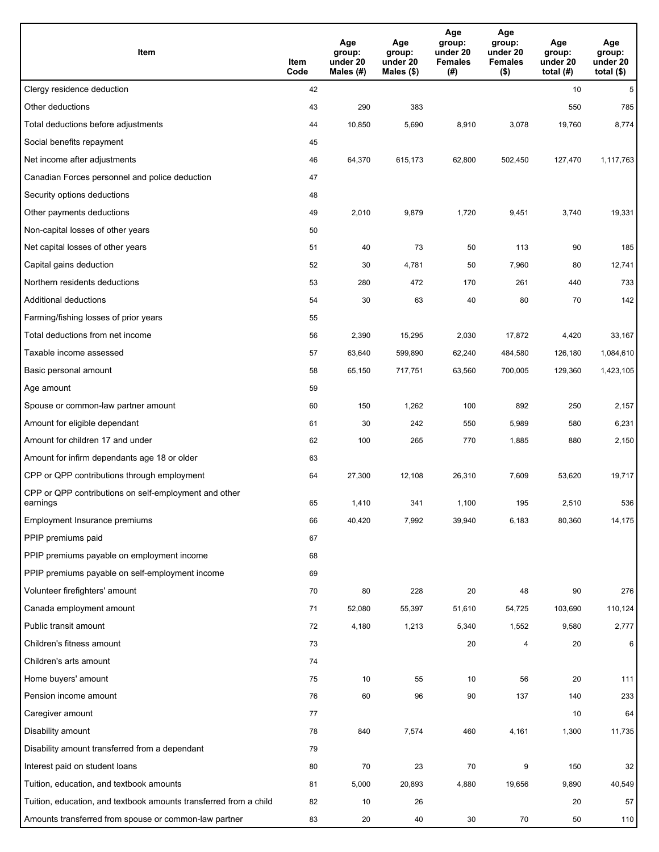| Item                                                              | Item<br>Code | Age<br>group:<br>under 20<br>Males (#) | Age<br>group:<br>under 20<br>Males (\$) | Age<br>group:<br>under 20<br><b>Females</b><br>(# ) | Age<br>group:<br>under 20<br><b>Females</b><br>$($ \$) | Age<br>group:<br>under 20<br>total $(H)$ | Age<br>group:<br>under 20<br>total $($)$ |
|-------------------------------------------------------------------|--------------|----------------------------------------|-----------------------------------------|-----------------------------------------------------|--------------------------------------------------------|------------------------------------------|------------------------------------------|
| Clergy residence deduction                                        | 42           |                                        |                                         |                                                     |                                                        | 10                                       | 5                                        |
| Other deductions                                                  | 43           | 290                                    | 383                                     |                                                     |                                                        | 550                                      | 785                                      |
| Total deductions before adjustments                               | 44           | 10,850                                 | 5,690                                   | 8,910                                               | 3,078                                                  | 19,760                                   | 8,774                                    |
| Social benefits repayment                                         | 45           |                                        |                                         |                                                     |                                                        |                                          |                                          |
| Net income after adjustments                                      | 46           | 64,370                                 | 615,173                                 | 62,800                                              | 502,450                                                | 127,470                                  | 1,117,763                                |
| Canadian Forces personnel and police deduction                    | 47           |                                        |                                         |                                                     |                                                        |                                          |                                          |
| Security options deductions                                       | 48           |                                        |                                         |                                                     |                                                        |                                          |                                          |
| Other payments deductions                                         | 49           | 2,010                                  | 9,879                                   | 1,720                                               | 9,451                                                  | 3,740                                    | 19,331                                   |
| Non-capital losses of other years                                 | 50           |                                        |                                         |                                                     |                                                        |                                          |                                          |
| Net capital losses of other years                                 | 51           | 40                                     | 73                                      | 50                                                  | 113                                                    | 90                                       | 185                                      |
| Capital gains deduction                                           | 52           | 30                                     | 4,781                                   | 50                                                  | 7,960                                                  | 80                                       | 12,741                                   |
| Northern residents deductions                                     | 53           | 280                                    | 472                                     | 170                                                 | 261                                                    | 440                                      | 733                                      |
| Additional deductions                                             | 54           | 30                                     | 63                                      | 40                                                  | 80                                                     | 70                                       | 142                                      |
| Farming/fishing losses of prior years                             | 55           |                                        |                                         |                                                     |                                                        |                                          |                                          |
| Total deductions from net income                                  | 56           | 2,390                                  | 15,295                                  | 2,030                                               | 17,872                                                 | 4,420                                    | 33,167                                   |
| Taxable income assessed                                           | 57           | 63,640                                 | 599,890                                 | 62,240                                              | 484,580                                                | 126,180                                  | 1,084,610                                |
| Basic personal amount                                             | 58           | 65,150                                 | 717,751                                 | 63,560                                              | 700,005                                                | 129,360                                  | 1,423,105                                |
| Age amount                                                        | 59           |                                        |                                         |                                                     |                                                        |                                          |                                          |
| Spouse or common-law partner amount                               | 60           | 150                                    | 1,262                                   | 100                                                 | 892                                                    | 250                                      | 2,157                                    |
| Amount for eligible dependant                                     | 61           | 30                                     | 242                                     | 550                                                 | 5,989                                                  | 580                                      | 6,231                                    |
| Amount for children 17 and under                                  | 62           | 100                                    | 265                                     | 770                                                 | 1,885                                                  | 880                                      | 2,150                                    |
| Amount for infirm dependants age 18 or older                      | 63           |                                        |                                         |                                                     |                                                        |                                          |                                          |
| CPP or QPP contributions through employment                       | 64           | 27,300                                 | 12,108                                  | 26,310                                              | 7,609                                                  | 53,620                                   | 19,717                                   |
| CPP or QPP contributions on self-employment and other<br>earnings | 65           | 1,410                                  | 341                                     | 1,100                                               | 195                                                    | 2,510                                    | 536                                      |
| Employment Insurance premiums                                     | 66           | 40,420                                 | 7,992                                   | 39,940                                              | 6,183                                                  | 80,360                                   | 14,175                                   |
| PPIP premiums paid                                                | 67           |                                        |                                         |                                                     |                                                        |                                          |                                          |
| PPIP premiums payable on employment income                        | 68           |                                        |                                         |                                                     |                                                        |                                          |                                          |
| PPIP premiums payable on self-employment income                   | 69           |                                        |                                         |                                                     |                                                        |                                          |                                          |
| Volunteer firefighters' amount                                    | 70           | 80                                     | 228                                     | 20                                                  | 48                                                     | 90                                       | 276                                      |
| Canada employment amount                                          | 71           | 52,080                                 | 55,397                                  | 51,610                                              | 54,725                                                 | 103,690                                  | 110,124                                  |
| Public transit amount                                             | 72           | 4,180                                  | 1,213                                   | 5,340                                               | 1,552                                                  | 9,580                                    | 2,777                                    |
| Children's fitness amount                                         | 73           |                                        |                                         | 20                                                  | 4                                                      | 20                                       | 6                                        |
| Children's arts amount                                            | 74           |                                        |                                         |                                                     |                                                        |                                          |                                          |
| Home buyers' amount                                               | 75           | 10                                     | 55                                      | 10                                                  | 56                                                     | $20\,$                                   | 111                                      |
| Pension income amount                                             | 76           | 60                                     | 96                                      | 90                                                  | 137                                                    | 140                                      | 233                                      |
| Caregiver amount                                                  | 77           |                                        |                                         |                                                     |                                                        | 10                                       | 64                                       |
| Disability amount                                                 | 78           | 840                                    | 7,574                                   | 460                                                 | 4,161                                                  | 1,300                                    | 11,735                                   |
| Disability amount transferred from a dependant                    | 79           |                                        |                                         |                                                     |                                                        |                                          |                                          |
| Interest paid on student loans                                    | 80           | 70                                     | 23                                      | 70                                                  | 9                                                      | 150                                      | 32                                       |
| Tuition, education, and textbook amounts                          | 81           | 5,000                                  | 20,893                                  | 4,880                                               | 19,656                                                 | 9,890                                    | 40,549                                   |
| Tuition, education, and textbook amounts transferred from a child | 82           | 10                                     | 26                                      |                                                     |                                                        | 20                                       | 57                                       |
| Amounts transferred from spouse or common-law partner             | 83           | 20                                     | 40                                      | 30                                                  | 70                                                     | 50                                       | 110                                      |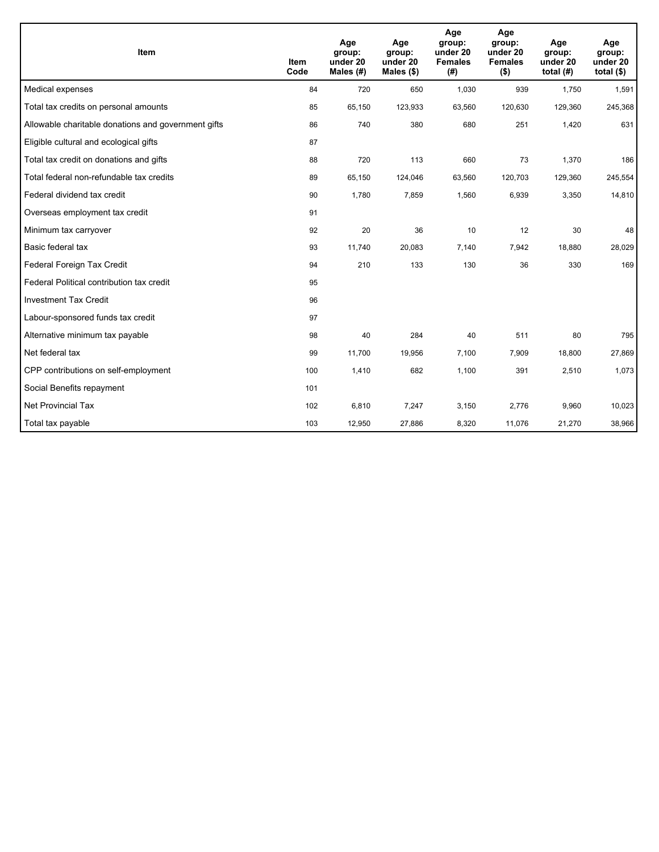| Item                                                | <b>Item</b><br>Code | Age<br>group:<br>under 20<br>Males (#) | Age<br>group:<br>under 20<br>Males (\$) | Age<br>group:<br>under 20<br><b>Females</b><br>(# ) | Age<br>group:<br>under 20<br><b>Females</b><br>$($ \$) | Age<br>group:<br>under 20<br>total $(H)$ | Age<br>group:<br>under 20<br>total $($)$ |
|-----------------------------------------------------|---------------------|----------------------------------------|-----------------------------------------|-----------------------------------------------------|--------------------------------------------------------|------------------------------------------|------------------------------------------|
| Medical expenses                                    | 84                  | 720                                    | 650                                     | 1,030                                               | 939                                                    | 1,750                                    | 1,591                                    |
| Total tax credits on personal amounts               | 85                  | 65,150                                 | 123,933                                 | 63,560                                              | 120,630                                                | 129,360                                  | 245,368                                  |
| Allowable charitable donations and government gifts | 86                  | 740                                    | 380                                     | 680                                                 | 251                                                    | 1,420                                    | 631                                      |
| Eligible cultural and ecological gifts              | 87                  |                                        |                                         |                                                     |                                                        |                                          |                                          |
| Total tax credit on donations and gifts             | 88                  | 720                                    | 113                                     | 660                                                 | 73                                                     | 1,370                                    | 186                                      |
| Total federal non-refundable tax credits            | 89                  | 65,150                                 | 124,046                                 | 63,560                                              | 120,703                                                | 129,360                                  | 245,554                                  |
| Federal dividend tax credit                         | 90                  | 1,780                                  | 7,859                                   | 1,560                                               | 6,939                                                  | 3,350                                    | 14,810                                   |
| Overseas employment tax credit                      | 91                  |                                        |                                         |                                                     |                                                        |                                          |                                          |
| Minimum tax carryover                               | 92                  | 20                                     | 36                                      | 10                                                  | 12                                                     | 30                                       | 48                                       |
| Basic federal tax                                   | 93                  | 11,740                                 | 20,083                                  | 7,140                                               | 7,942                                                  | 18,880                                   | 28,029                                   |
| Federal Foreign Tax Credit                          | 94                  | 210                                    | 133                                     | 130                                                 | 36                                                     | 330                                      | 169                                      |
| Federal Political contribution tax credit           | 95                  |                                        |                                         |                                                     |                                                        |                                          |                                          |
| <b>Investment Tax Credit</b>                        | 96                  |                                        |                                         |                                                     |                                                        |                                          |                                          |
| Labour-sponsored funds tax credit                   | 97                  |                                        |                                         |                                                     |                                                        |                                          |                                          |
| Alternative minimum tax payable                     | 98                  | 40                                     | 284                                     | 40                                                  | 511                                                    | 80                                       | 795                                      |
| Net federal tax                                     | 99                  | 11,700                                 | 19,956                                  | 7,100                                               | 7,909                                                  | 18,800                                   | 27,869                                   |
| CPP contributions on self-employment                | 100                 | 1,410                                  | 682                                     | 1,100                                               | 391                                                    | 2,510                                    | 1,073                                    |
| Social Benefits repayment                           | 101                 |                                        |                                         |                                                     |                                                        |                                          |                                          |
| Net Provincial Tax                                  | 102                 | 6,810                                  | 7,247                                   | 3,150                                               | 2,776                                                  | 9,960                                    | 10,023                                   |
| Total tax payable                                   | 103                 | 12,950                                 | 27,886                                  | 8,320                                               | 11,076                                                 | 21,270                                   | 38,966                                   |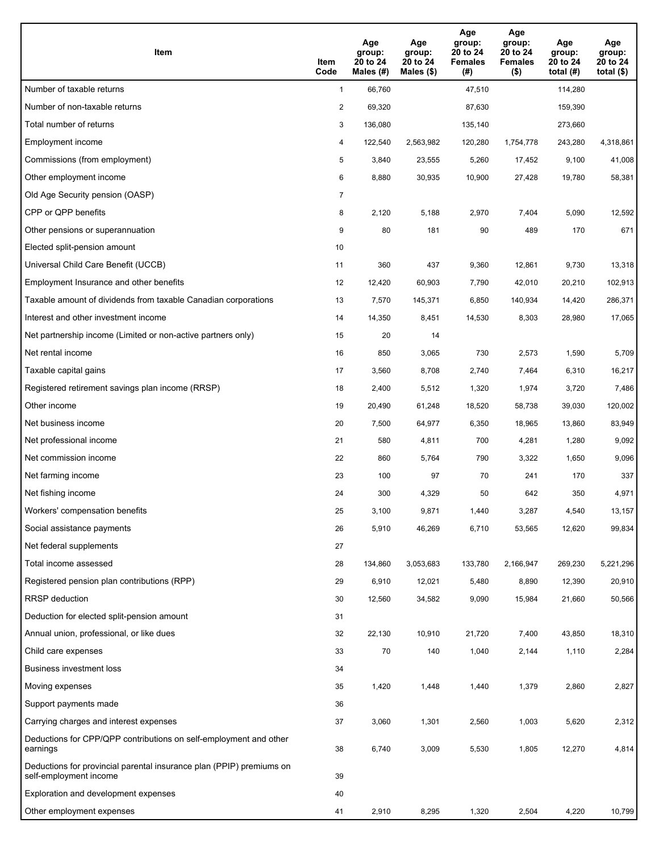| Item                                                                                           | Item<br>Code   | Age<br>group:<br>20 to 24<br>Males (#) | Age<br>group:<br>20 to 24<br>Males $(\$)$ | Age<br>group:<br>20 to 24<br><b>Females</b><br>(#) | Age<br>group:<br>20 to 24<br><b>Females</b><br>$($ \$) | Age<br>group:<br>20 to 24<br>total $(H)$ | Age<br>group:<br>20 to 24<br>total $($ |
|------------------------------------------------------------------------------------------------|----------------|----------------------------------------|-------------------------------------------|----------------------------------------------------|--------------------------------------------------------|------------------------------------------|----------------------------------------|
| Number of taxable returns                                                                      | $\mathbf{1}$   | 66,760                                 |                                           | 47,510                                             |                                                        | 114,280                                  |                                        |
| Number of non-taxable returns                                                                  | $\overline{c}$ | 69,320                                 |                                           | 87,630                                             |                                                        | 159,390                                  |                                        |
| Total number of returns                                                                        | 3              | 136,080                                |                                           | 135,140                                            |                                                        | 273,660                                  |                                        |
| Employment income                                                                              | 4              | 122,540                                | 2,563,982                                 | 120,280                                            | 1,754,778                                              | 243,280                                  | 4,318,861                              |
| Commissions (from employment)                                                                  | 5              | 3,840                                  | 23,555                                    | 5,260                                              | 17,452                                                 | 9,100                                    | 41,008                                 |
| Other employment income                                                                        | 6              | 8,880                                  | 30,935                                    | 10,900                                             | 27,428                                                 | 19,780                                   | 58,381                                 |
| Old Age Security pension (OASP)                                                                | 7              |                                        |                                           |                                                    |                                                        |                                          |                                        |
| CPP or QPP benefits                                                                            | 8              | 2,120                                  | 5,188                                     | 2,970                                              | 7,404                                                  | 5,090                                    | 12,592                                 |
| Other pensions or superannuation                                                               | 9              | 80                                     | 181                                       | 90                                                 | 489                                                    | 170                                      | 671                                    |
| Elected split-pension amount                                                                   | 10             |                                        |                                           |                                                    |                                                        |                                          |                                        |
| Universal Child Care Benefit (UCCB)                                                            | 11             | 360                                    | 437                                       | 9,360                                              | 12,861                                                 | 9,730                                    | 13,318                                 |
| Employment Insurance and other benefits                                                        | 12             | 12,420                                 | 60,903                                    | 7,790                                              | 42,010                                                 | 20,210                                   | 102,913                                |
| Taxable amount of dividends from taxable Canadian corporations                                 | 13             | 7,570                                  | 145,371                                   | 6,850                                              | 140,934                                                | 14,420                                   | 286,371                                |
| Interest and other investment income                                                           | 14             | 14,350                                 | 8,451                                     | 14,530                                             | 8,303                                                  | 28,980                                   | 17,065                                 |
| Net partnership income (Limited or non-active partners only)                                   | 15             | 20                                     | 14                                        |                                                    |                                                        |                                          |                                        |
| Net rental income                                                                              | 16             | 850                                    | 3,065                                     | 730                                                | 2,573                                                  | 1,590                                    | 5,709                                  |
| Taxable capital gains                                                                          | 17             | 3,560                                  | 8,708                                     | 2,740                                              | 7,464                                                  | 6,310                                    | 16,217                                 |
| Registered retirement savings plan income (RRSP)                                               | 18             | 2,400                                  | 5,512                                     | 1,320                                              | 1,974                                                  | 3,720                                    | 7,486                                  |
| Other income                                                                                   | 19             | 20,490                                 | 61,248                                    | 18,520                                             | 58,738                                                 | 39,030                                   | 120,002                                |
| Net business income                                                                            | 20             | 7,500                                  | 64,977                                    | 6,350                                              | 18,965                                                 | 13,860                                   | 83,949                                 |
| Net professional income                                                                        | 21             | 580                                    | 4,811                                     | 700                                                | 4,281                                                  | 1,280                                    | 9,092                                  |
| Net commission income                                                                          | 22             | 860                                    | 5,764                                     | 790                                                | 3,322                                                  | 1,650                                    | 9,096                                  |
| Net farming income                                                                             | 23             | 100                                    | 97                                        | 70                                                 | 241                                                    | 170                                      | 337                                    |
| Net fishing income                                                                             | 24             | 300                                    | 4,329                                     | 50                                                 | 642                                                    | 350                                      | 4,971                                  |
| Workers' compensation benefits                                                                 | 25             | 3,100                                  | 9,871                                     | 1,440                                              | 3,287                                                  | 4,540                                    | 13,157                                 |
| Social assistance payments                                                                     | 26             | 5,910                                  | 46,269                                    | 6,710                                              | 53,565                                                 | 12,620                                   | 99,834                                 |
| Net federal supplements                                                                        | 27             |                                        |                                           |                                                    |                                                        |                                          |                                        |
| Total income assessed                                                                          | 28             | 134,860                                | 3,053,683                                 | 133,780                                            | 2,166,947                                              | 269,230                                  | 5,221,296                              |
| Registered pension plan contributions (RPP)                                                    | 29             | 6,910                                  | 12,021                                    | 5,480                                              | 8,890                                                  | 12,390                                   | 20,910                                 |
| <b>RRSP</b> deduction                                                                          | 30             | 12,560                                 | 34,582                                    | 9,090                                              | 15,984                                                 | 21,660                                   | 50,566                                 |
| Deduction for elected split-pension amount                                                     | 31             |                                        |                                           |                                                    |                                                        |                                          |                                        |
| Annual union, professional, or like dues                                                       | 32             | 22,130                                 | 10,910                                    | 21,720                                             | 7,400                                                  | 43,850                                   | 18,310                                 |
| Child care expenses                                                                            | 33             | 70                                     | 140                                       | 1,040                                              | 2,144                                                  | 1,110                                    | 2,284                                  |
| Business investment loss                                                                       | 34             |                                        |                                           |                                                    |                                                        |                                          |                                        |
| Moving expenses                                                                                | 35             | 1,420                                  | 1,448                                     | 1,440                                              | 1,379                                                  | 2,860                                    | 2,827                                  |
| Support payments made                                                                          | 36             |                                        |                                           |                                                    |                                                        |                                          |                                        |
| Carrying charges and interest expenses                                                         | 37             | 3,060                                  | 1,301                                     | 2,560                                              | 1,003                                                  | 5,620                                    | 2,312                                  |
| Deductions for CPP/QPP contributions on self-employment and other<br>earnings                  | 38             | 6,740                                  | 3,009                                     | 5,530                                              | 1,805                                                  | 12,270                                   | 4,814                                  |
| Deductions for provincial parental insurance plan (PPIP) premiums on<br>self-employment income | 39             |                                        |                                           |                                                    |                                                        |                                          |                                        |
| Exploration and development expenses                                                           | 40             |                                        |                                           |                                                    |                                                        |                                          |                                        |
| Other employment expenses                                                                      | 41             | 2,910                                  | 8,295                                     | 1,320                                              | 2,504                                                  | 4,220                                    | 10,799                                 |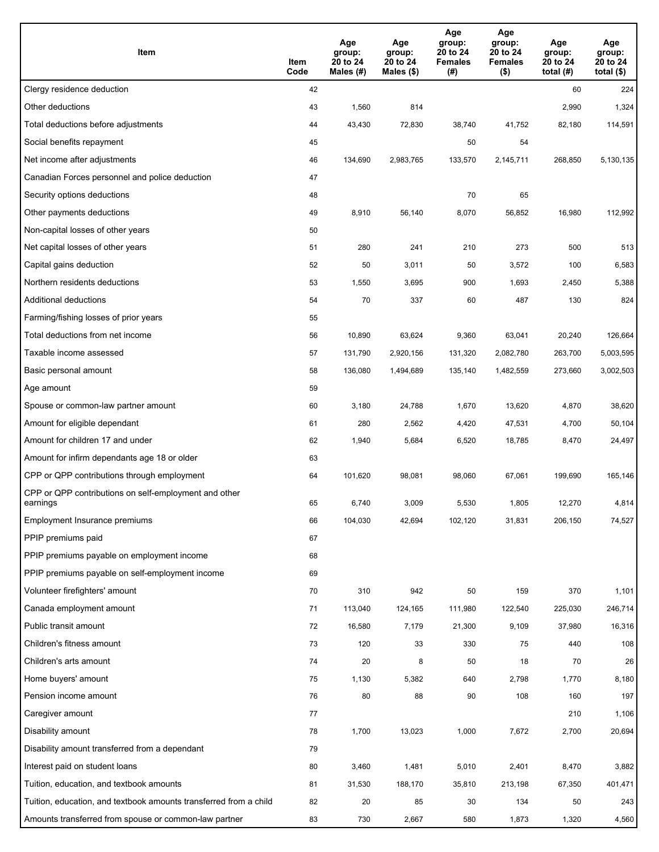| Item                                                              | Item<br>Code | Age<br>group:<br>20 to 24<br>Males (#) | Age<br>group:<br>20 to 24<br>Males (\$) | Age<br>group:<br>20 to 24<br><b>Females</b><br>(#) | Age<br>group:<br>20 to 24<br><b>Females</b><br>$($ \$) | Age<br>group:<br>20 to 24<br>total $(#)$ | Age<br>group:<br>20 to 24<br>total $($)$ |
|-------------------------------------------------------------------|--------------|----------------------------------------|-----------------------------------------|----------------------------------------------------|--------------------------------------------------------|------------------------------------------|------------------------------------------|
| Clergy residence deduction                                        | 42           |                                        |                                         |                                                    |                                                        | 60                                       | 224                                      |
| Other deductions                                                  | 43           | 1,560                                  | 814                                     |                                                    |                                                        | 2,990                                    | 1,324                                    |
| Total deductions before adjustments                               | 44           | 43,430                                 | 72,830                                  | 38,740                                             | 41,752                                                 | 82,180                                   | 114,591                                  |
| Social benefits repayment                                         | 45           |                                        |                                         | 50                                                 | 54                                                     |                                          |                                          |
| Net income after adjustments                                      | 46           | 134,690                                | 2,983,765                               | 133,570                                            | 2,145,711                                              | 268,850                                  | 5,130,135                                |
| Canadian Forces personnel and police deduction                    | 47           |                                        |                                         |                                                    |                                                        |                                          |                                          |
| Security options deductions                                       | 48           |                                        |                                         | 70                                                 | 65                                                     |                                          |                                          |
| Other payments deductions                                         | 49           | 8,910                                  | 56,140                                  | 8,070                                              | 56,852                                                 | 16,980                                   | 112,992                                  |
| Non-capital losses of other years                                 | 50           |                                        |                                         |                                                    |                                                        |                                          |                                          |
| Net capital losses of other years                                 | 51           | 280                                    | 241                                     | 210                                                | 273                                                    | 500                                      | 513                                      |
| Capital gains deduction                                           | 52           | 50                                     | 3,011                                   | 50                                                 | 3,572                                                  | 100                                      | 6,583                                    |
| Northern residents deductions                                     | 53           | 1,550                                  | 3,695                                   | 900                                                | 1,693                                                  | 2,450                                    | 5,388                                    |
| Additional deductions                                             | 54           | 70                                     | 337                                     | 60                                                 | 487                                                    | 130                                      | 824                                      |
| Farming/fishing losses of prior years                             | 55           |                                        |                                         |                                                    |                                                        |                                          |                                          |
| Total deductions from net income                                  | 56           | 10,890                                 | 63,624                                  | 9,360                                              | 63,041                                                 | 20,240                                   | 126,664                                  |
| Taxable income assessed                                           | 57           | 131,790                                | 2,920,156                               | 131,320                                            | 2,082,780                                              | 263,700                                  | 5,003,595                                |
| Basic personal amount                                             | 58           | 136,080                                | 1,494,689                               | 135,140                                            | 1,482,559                                              | 273,660                                  | 3,002,503                                |
| Age amount                                                        | 59           |                                        |                                         |                                                    |                                                        |                                          |                                          |
| Spouse or common-law partner amount                               | 60           | 3,180                                  | 24,788                                  | 1,670                                              | 13,620                                                 | 4,870                                    | 38,620                                   |
| Amount for eligible dependant                                     | 61           | 280                                    | 2,562                                   | 4,420                                              | 47,531                                                 | 4,700                                    | 50,104                                   |
| Amount for children 17 and under                                  | 62           | 1,940                                  | 5,684                                   | 6,520                                              | 18,785                                                 | 8,470                                    | 24,497                                   |
| Amount for infirm dependants age 18 or older                      | 63           |                                        |                                         |                                                    |                                                        |                                          |                                          |
| CPP or QPP contributions through employment                       | 64           | 101,620                                | 98,081                                  | 98,060                                             | 67,061                                                 | 199,690                                  | 165,146                                  |
| CPP or QPP contributions on self-employment and other<br>earnings | 65           | 6,740                                  | 3,009                                   | 5,530                                              | 1,805                                                  | 12,270                                   | 4,814                                    |
| Employment Insurance premiums                                     | 66           | 104,030                                | 42,694                                  | 102,120                                            | 31,831                                                 | 206,150                                  | 74,527                                   |
| PPIP premiums paid                                                | 67           |                                        |                                         |                                                    |                                                        |                                          |                                          |
| PPIP premiums payable on employment income                        | 68           |                                        |                                         |                                                    |                                                        |                                          |                                          |
| PPIP premiums payable on self-employment income                   | 69           |                                        |                                         |                                                    |                                                        |                                          |                                          |
| Volunteer firefighters' amount                                    | 70           | 310                                    | 942                                     | 50                                                 | 159                                                    | 370                                      | 1,101                                    |
| Canada employment amount                                          | 71           | 113,040                                | 124,165                                 | 111,980                                            | 122,540                                                | 225,030                                  | 246,714                                  |
| Public transit amount                                             | 72           | 16,580                                 | 7,179                                   | 21,300                                             | 9,109                                                  | 37,980                                   | 16,316                                   |
| Children's fitness amount                                         | 73           | 120                                    | 33                                      | 330                                                | 75                                                     | 440                                      | 108                                      |
| Children's arts amount                                            | 74           | 20                                     | 8                                       | 50                                                 | 18                                                     | 70                                       | 26                                       |
| Home buyers' amount                                               | 75           | 1,130                                  | 5,382                                   | 640                                                | 2,798                                                  | 1,770                                    | 8,180                                    |
| Pension income amount                                             | 76           | 80                                     | 88                                      | 90                                                 | 108                                                    | 160                                      | 197                                      |
| Caregiver amount                                                  | 77           |                                        |                                         |                                                    |                                                        | 210                                      | 1,106                                    |
| Disability amount                                                 | 78           | 1,700                                  | 13,023                                  | 1,000                                              | 7,672                                                  | 2,700                                    | 20,694                                   |
| Disability amount transferred from a dependant                    | 79           |                                        |                                         |                                                    |                                                        |                                          |                                          |
| Interest paid on student loans                                    | 80           | 3,460                                  | 1,481                                   | 5,010                                              | 2,401                                                  | 8,470                                    | 3,882                                    |
| Tuition, education, and textbook amounts                          | 81           | 31,530                                 | 188,170                                 | 35,810                                             | 213,198                                                | 67,350                                   | 401,471                                  |
| Tuition, education, and textbook amounts transferred from a child | 82           | 20                                     | 85                                      | 30                                                 | 134                                                    | 50                                       | 243                                      |
| Amounts transferred from spouse or common-law partner             | 83           | 730                                    | 2,667                                   | 580                                                | 1,873                                                  | 1,320                                    | 4,560                                    |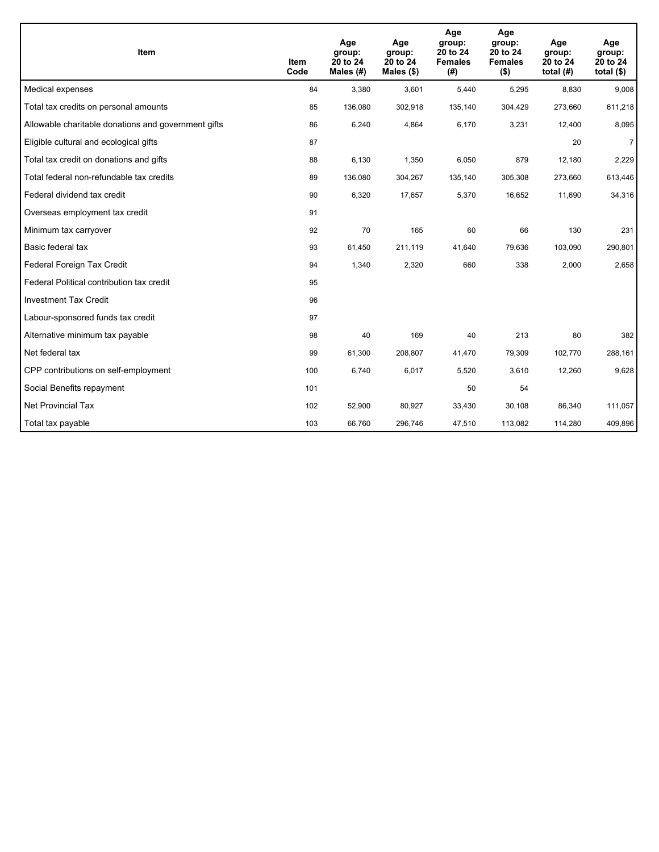| <b>Item</b>                                         | <b>Item</b><br>Code | Age<br>group:<br>20 to 24<br>Males (#) | Age<br>group:<br>20 to 24<br>Males $(\$)$ | Age<br>group:<br>20 to 24<br><b>Females</b><br>(#) | Age<br>group:<br>20 to 24<br><b>Females</b><br>$($ \$) | Age<br>group:<br>20 to 24<br>total $(H)$ | Age<br>group:<br>20 to 24<br>total $($)$ |
|-----------------------------------------------------|---------------------|----------------------------------------|-------------------------------------------|----------------------------------------------------|--------------------------------------------------------|------------------------------------------|------------------------------------------|
| Medical expenses                                    | 84                  | 3,380                                  | 3,601                                     | 5,440                                              | 5,295                                                  | 8,830                                    | 9,008                                    |
| Total tax credits on personal amounts               | 85                  | 136,080                                | 302,918                                   | 135,140                                            | 304,429                                                | 273,660                                  | 611,218                                  |
| Allowable charitable donations and government gifts | 86                  | 6,240                                  | 4,864                                     | 6,170                                              | 3,231                                                  | 12,400                                   | 8,095                                    |
| Eligible cultural and ecological gifts              | 87                  |                                        |                                           |                                                    |                                                        | 20                                       | $\overline{7}$                           |
| Total tax credit on donations and gifts             | 88                  | 6,130                                  | 1,350                                     | 6,050                                              | 879                                                    | 12,180                                   | 2,229                                    |
| Total federal non-refundable tax credits            | 89                  | 136,080                                | 304,267                                   | 135,140                                            | 305,308                                                | 273,660                                  | 613,446                                  |
| Federal dividend tax credit                         | 90                  | 6,320                                  | 17,657                                    | 5,370                                              | 16,652                                                 | 11,690                                   | 34,316                                   |
| Overseas employment tax credit                      | 91                  |                                        |                                           |                                                    |                                                        |                                          |                                          |
| Minimum tax carryover                               | 92                  | 70                                     | 165                                       | 60                                                 | 66                                                     | 130                                      | 231                                      |
| Basic federal tax                                   | 93                  | 61,450                                 | 211,119                                   | 41,640                                             | 79,636                                                 | 103,090                                  | 290,801                                  |
| Federal Foreign Tax Credit                          | 94                  | 1,340                                  | 2,320                                     | 660                                                | 338                                                    | 2,000                                    | 2,658                                    |
| Federal Political contribution tax credit           | 95                  |                                        |                                           |                                                    |                                                        |                                          |                                          |
| <b>Investment Tax Credit</b>                        | 96                  |                                        |                                           |                                                    |                                                        |                                          |                                          |
| Labour-sponsored funds tax credit                   | 97                  |                                        |                                           |                                                    |                                                        |                                          |                                          |
| Alternative minimum tax payable                     | 98                  | 40                                     | 169                                       | 40                                                 | 213                                                    | 80                                       | 382                                      |
| Net federal tax                                     | 99                  | 61,300                                 | 208,807                                   | 41,470                                             | 79,309                                                 | 102,770                                  | 288,161                                  |
| CPP contributions on self-employment                | 100                 | 6,740                                  | 6,017                                     | 5,520                                              | 3,610                                                  | 12,260                                   | 9,628                                    |
| Social Benefits repayment                           | 101                 |                                        |                                           | 50                                                 | 54                                                     |                                          |                                          |
| Net Provincial Tax                                  | 102                 | 52,900                                 | 80,927                                    | 33,430                                             | 30,108                                                 | 86,340                                   | 111,057                                  |
| Total tax payable                                   | 103                 | 66,760                                 | 296,746                                   | 47,510                                             | 113,082                                                | 114,280                                  | 409,896                                  |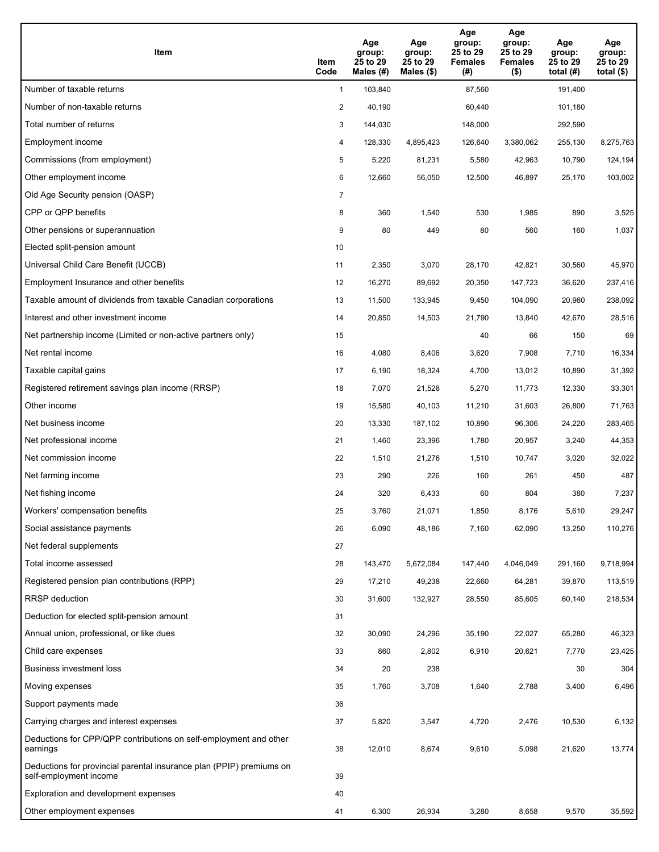| <b>Item</b>                                                                                    | Item<br>Code   | Age<br>group:<br>25 to 29<br>Males (#) | Age<br>group:<br>25 to 29<br>Males $(\$)$ | Age<br>group:<br>25 to 29<br><b>Females</b><br>$(\#)$ | Age<br>group:<br>25 to 29<br><b>Females</b><br>$($ \$) | Age<br>group:<br>25 to 29<br>total $(H)$ | Age<br>group:<br>25 to 29<br>total $($)$ |
|------------------------------------------------------------------------------------------------|----------------|----------------------------------------|-------------------------------------------|-------------------------------------------------------|--------------------------------------------------------|------------------------------------------|------------------------------------------|
| Number of taxable returns                                                                      | $\mathbf{1}$   | 103,840                                |                                           | 87,560                                                |                                                        | 191,400                                  |                                          |
| Number of non-taxable returns                                                                  | 2              | 40,190                                 |                                           | 60,440                                                |                                                        | 101,180                                  |                                          |
| Total number of returns                                                                        | 3              | 144,030                                |                                           | 148,000                                               |                                                        | 292,590                                  |                                          |
| Employment income                                                                              | 4              | 128,330                                | 4,895,423                                 | 126,640                                               | 3,380,062                                              | 255,130                                  | 8,275,763                                |
| Commissions (from employment)                                                                  | 5              | 5,220                                  | 81,231                                    | 5,580                                                 | 42,963                                                 | 10,790                                   | 124,194                                  |
| Other employment income                                                                        | 6              | 12,660                                 | 56,050                                    | 12,500                                                | 46,897                                                 | 25,170                                   | 103,002                                  |
| Old Age Security pension (OASP)                                                                | $\overline{7}$ |                                        |                                           |                                                       |                                                        |                                          |                                          |
| CPP or QPP benefits                                                                            | 8              | 360                                    | 1,540                                     | 530                                                   | 1,985                                                  | 890                                      | 3,525                                    |
| Other pensions or superannuation                                                               | 9              | 80                                     | 449                                       | 80                                                    | 560                                                    | 160                                      | 1,037                                    |
| Elected split-pension amount                                                                   | 10             |                                        |                                           |                                                       |                                                        |                                          |                                          |
| Universal Child Care Benefit (UCCB)                                                            | 11             | 2,350                                  | 3,070                                     | 28,170                                                | 42,821                                                 | 30,560                                   | 45,970                                   |
| Employment Insurance and other benefits                                                        | 12             | 16,270                                 | 89,692                                    | 20,350                                                | 147,723                                                | 36,620                                   | 237,416                                  |
| Taxable amount of dividends from taxable Canadian corporations                                 | 13             | 11,500                                 | 133,945                                   | 9,450                                                 | 104,090                                                | 20,960                                   | 238,092                                  |
| Interest and other investment income                                                           | 14             | 20,850                                 | 14,503                                    | 21,790                                                | 13,840                                                 | 42,670                                   | 28,516                                   |
| Net partnership income (Limited or non-active partners only)                                   | 15             |                                        |                                           | 40                                                    | 66                                                     | 150                                      | 69                                       |
| Net rental income                                                                              | 16             | 4,080                                  | 8,406                                     | 3,620                                                 | 7,908                                                  | 7,710                                    | 16,334                                   |
| Taxable capital gains                                                                          | 17             | 6,190                                  | 18,324                                    | 4,700                                                 | 13,012                                                 | 10,890                                   | 31,392                                   |
| Registered retirement savings plan income (RRSP)                                               | 18             | 7,070                                  | 21,528                                    | 5,270                                                 | 11,773                                                 | 12,330                                   | 33,301                                   |
| Other income                                                                                   | 19             | 15,580                                 | 40,103                                    | 11,210                                                | 31,603                                                 | 26,800                                   | 71,763                                   |
| Net business income                                                                            | 20             | 13,330                                 | 187,102                                   | 10,890                                                | 96,306                                                 | 24,220                                   | 283,465                                  |
| Net professional income                                                                        | 21             | 1,460                                  | 23,396                                    | 1,780                                                 | 20,957                                                 | 3,240                                    | 44,353                                   |
| Net commission income                                                                          | 22             | 1,510                                  | 21,276                                    | 1,510                                                 | 10,747                                                 | 3,020                                    | 32,022                                   |
| Net farming income                                                                             | 23             | 290                                    | 226                                       | 160                                                   | 261                                                    | 450                                      | 487                                      |
| Net fishing income                                                                             | 24             | 320                                    | 6,433                                     | 60                                                    | 804                                                    | 380                                      | 7,237                                    |
| Workers' compensation benefits                                                                 | 25             | 3,760                                  | 21,071                                    | 1,850                                                 | 8,176                                                  | 5,610                                    | 29,247                                   |
| Social assistance payments                                                                     | 26             | 6,090                                  | 48,186                                    | 7,160                                                 | 62,090                                                 | 13,250                                   | 110,276                                  |
| Net federal supplements                                                                        | 27             |                                        |                                           |                                                       |                                                        |                                          |                                          |
| Total income assessed                                                                          | 28             | 143,470                                | 5,672,084                                 | 147,440                                               | 4,046,049                                              | 291,160                                  | 9,718,994                                |
| Registered pension plan contributions (RPP)                                                    | 29             | 17,210                                 | 49,238                                    | 22,660                                                | 64,281                                                 | 39,870                                   | 113,519                                  |
| <b>RRSP</b> deduction                                                                          | 30             | 31,600                                 | 132,927                                   | 28,550                                                | 85,605                                                 | 60,140                                   | 218,534                                  |
| Deduction for elected split-pension amount                                                     | 31             |                                        |                                           |                                                       |                                                        |                                          |                                          |
| Annual union, professional, or like dues                                                       | 32             | 30,090                                 | 24,296                                    | 35,190                                                | 22,027                                                 | 65,280                                   | 46,323                                   |
| Child care expenses                                                                            | 33             | 860                                    | 2,802                                     | 6,910                                                 | 20,621                                                 | 7,770                                    | 23,425                                   |
| Business investment loss                                                                       | 34             | 20                                     | 238                                       |                                                       |                                                        | 30                                       | 304                                      |
| Moving expenses                                                                                | 35             | 1,760                                  | 3,708                                     | 1,640                                                 | 2,788                                                  | 3,400                                    | 6,496                                    |
| Support payments made                                                                          | 36             |                                        |                                           |                                                       |                                                        |                                          |                                          |
| Carrying charges and interest expenses                                                         | 37             | 5,820                                  | 3,547                                     | 4,720                                                 | 2,476                                                  | 10,530                                   | 6,132                                    |
| Deductions for CPP/QPP contributions on self-employment and other<br>earnings                  | 38             | 12,010                                 | 8,674                                     | 9,610                                                 | 5,098                                                  | 21,620                                   | 13,774                                   |
| Deductions for provincial parental insurance plan (PPIP) premiums on<br>self-employment income | 39             |                                        |                                           |                                                       |                                                        |                                          |                                          |
| Exploration and development expenses                                                           | 40             |                                        |                                           |                                                       |                                                        |                                          |                                          |
| Other employment expenses                                                                      | 41             | 6,300                                  | 26,934                                    | 3,280                                                 | 8,658                                                  | 9,570                                    | 35,592                                   |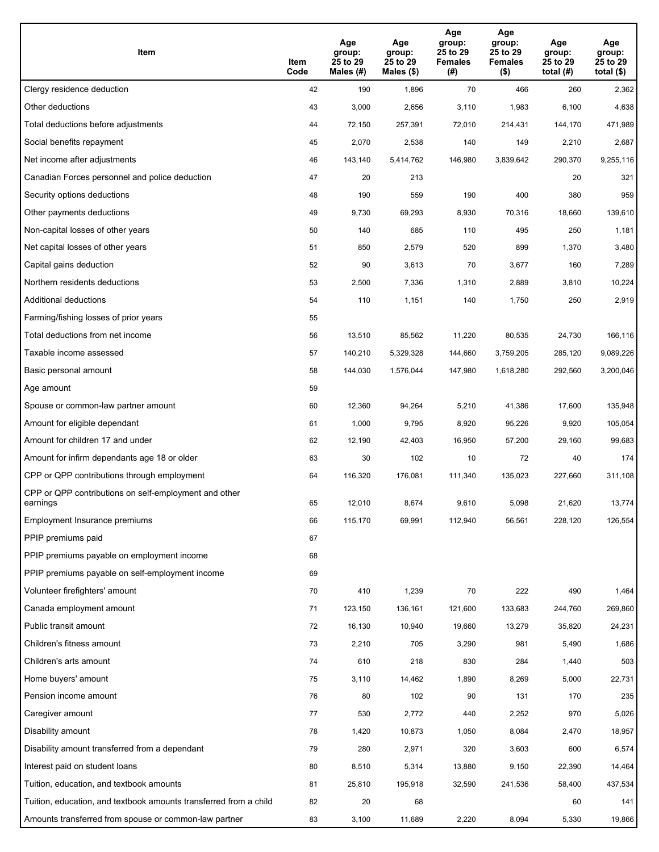| Item                                                              | Item<br>Code | Age<br>group:<br>25 to 29<br>Males (#) | Age<br>group:<br>25 to 29<br>Males (\$) | Age<br>group:<br>25 to 29<br><b>Females</b><br>(# ) | Age<br>group:<br>25 to 29<br><b>Females</b><br>$($ \$) | Age<br>group:<br>25 to 29<br>total $(#)$ | Age<br>group:<br>25 to 29<br>total $($)$ |
|-------------------------------------------------------------------|--------------|----------------------------------------|-----------------------------------------|-----------------------------------------------------|--------------------------------------------------------|------------------------------------------|------------------------------------------|
| Clergy residence deduction                                        | 42           | 190                                    | 1,896                                   | 70                                                  | 466                                                    | 260                                      | 2,362                                    |
| Other deductions                                                  | 43           | 3,000                                  | 2,656                                   | 3,110                                               | 1,983                                                  | 6,100                                    | 4,638                                    |
| Total deductions before adjustments                               | 44           | 72,150                                 | 257,391                                 | 72,010                                              | 214,431                                                | 144,170                                  | 471,989                                  |
| Social benefits repayment                                         | 45           | 2,070                                  | 2,538                                   | 140                                                 | 149                                                    | 2,210                                    | 2,687                                    |
| Net income after adjustments                                      | 46           | 143,140                                | 5,414,762                               | 146,980                                             | 3,839,642                                              | 290,370                                  | 9,255,116                                |
| Canadian Forces personnel and police deduction                    | 47           | 20                                     | 213                                     |                                                     |                                                        | 20                                       | 321                                      |
| Security options deductions                                       | 48           | 190                                    | 559                                     | 190                                                 | 400                                                    | 380                                      | 959                                      |
| Other payments deductions                                         | 49           | 9,730                                  | 69,293                                  | 8,930                                               | 70,316                                                 | 18,660                                   | 139,610                                  |
| Non-capital losses of other years                                 | 50           | 140                                    | 685                                     | 110                                                 | 495                                                    | 250                                      | 1,181                                    |
| Net capital losses of other years                                 | 51           | 850                                    | 2,579                                   | 520                                                 | 899                                                    | 1,370                                    | 3,480                                    |
| Capital gains deduction                                           | 52           | 90                                     | 3,613                                   | 70                                                  | 3,677                                                  | 160                                      | 7,289                                    |
| Northern residents deductions                                     | 53           | 2,500                                  | 7,336                                   | 1,310                                               | 2,889                                                  | 3,810                                    | 10,224                                   |
| Additional deductions                                             | 54           | 110                                    | 1,151                                   | 140                                                 | 1,750                                                  | 250                                      | 2,919                                    |
| Farming/fishing losses of prior years                             | 55           |                                        |                                         |                                                     |                                                        |                                          |                                          |
| Total deductions from net income                                  | 56           | 13,510                                 | 85,562                                  | 11,220                                              | 80,535                                                 | 24,730                                   | 166,116                                  |
| Taxable income assessed                                           | 57           | 140,210                                | 5,329,328                               | 144,660                                             | 3,759,205                                              | 285,120                                  | 9,089,226                                |
| Basic personal amount                                             | 58           | 144,030                                | 1,576,044                               | 147,980                                             | 1,618,280                                              | 292,560                                  | 3,200,046                                |
| Age amount                                                        | 59           |                                        |                                         |                                                     |                                                        |                                          |                                          |
| Spouse or common-law partner amount                               | 60           | 12,360                                 | 94,264                                  | 5,210                                               | 41,386                                                 | 17,600                                   | 135,948                                  |
| Amount for eligible dependant                                     | 61           | 1,000                                  | 9,795                                   | 8,920                                               | 95,226                                                 | 9,920                                    | 105,054                                  |
| Amount for children 17 and under                                  | 62           | 12,190                                 | 42,403                                  | 16,950                                              | 57,200                                                 | 29,160                                   | 99,683                                   |
| Amount for infirm dependants age 18 or older                      | 63           | 30                                     | 102                                     | 10                                                  | 72                                                     | 40                                       | 174                                      |
| CPP or QPP contributions through employment                       | 64           | 116,320                                | 176,081                                 | 111,340                                             | 135,023                                                | 227,660                                  | 311,108                                  |
| CPP or QPP contributions on self-employment and other<br>earnings | 65           | 12.010                                 | 8,674                                   | 9,610                                               | 5,098                                                  | 21,620                                   | 13.774                                   |
| Employment Insurance premiums                                     | 66           | 115,170                                | 69,991                                  | 112,940                                             | 56,561                                                 | 228,120                                  | 126,554                                  |
| PPIP premiums paid                                                | 67           |                                        |                                         |                                                     |                                                        |                                          |                                          |
| PPIP premiums payable on employment income                        | 68           |                                        |                                         |                                                     |                                                        |                                          |                                          |
| PPIP premiums payable on self-employment income                   | 69           |                                        |                                         |                                                     |                                                        |                                          |                                          |
| Volunteer firefighters' amount                                    | 70           | 410                                    | 1,239                                   | 70                                                  | 222                                                    | 490                                      | 1,464                                    |
| Canada employment amount                                          | 71           | 123,150                                | 136,161                                 | 121,600                                             | 133,683                                                | 244,760                                  | 269,860                                  |
| Public transit amount                                             | 72           | 16,130                                 | 10,940                                  | 19,660                                              | 13,279                                                 | 35,820                                   | 24,231                                   |
| Children's fitness amount                                         | 73           | 2,210                                  | 705                                     | 3,290                                               | 981                                                    | 5,490                                    | 1,686                                    |
| Children's arts amount                                            | 74           | 610                                    | 218                                     | 830                                                 | 284                                                    | 1,440                                    | 503                                      |
| Home buyers' amount                                               | 75           | 3,110                                  | 14,462                                  | 1,890                                               | 8,269                                                  | 5,000                                    | 22,731                                   |
| Pension income amount                                             | 76           | 80                                     | 102                                     | 90                                                  | 131                                                    | 170                                      | 235                                      |
| Caregiver amount                                                  | $77\,$       | 530                                    | 2,772                                   | 440                                                 | 2,252                                                  | 970                                      | 5,026                                    |
| Disability amount                                                 | 78           | 1,420                                  | 10,873                                  | 1,050                                               | 8,084                                                  | 2,470                                    | 18,957                                   |
| Disability amount transferred from a dependant                    | 79           | 280                                    | 2,971                                   | 320                                                 | 3,603                                                  | 600                                      | 6,574                                    |
| Interest paid on student loans                                    | 80           | 8,510                                  | 5,314                                   | 13,880                                              | 9,150                                                  | 22,390                                   | 14,464                                   |
| Tuition, education, and textbook amounts                          | 81           | 25,810                                 | 195,918                                 | 32,590                                              | 241,536                                                | 58,400                                   | 437,534                                  |
| Tuition, education, and textbook amounts transferred from a child | 82           | 20                                     | 68                                      |                                                     |                                                        | 60                                       | 141                                      |
| Amounts transferred from spouse or common-law partner             | 83           | 3,100                                  | 11,689                                  | 2,220                                               | 8,094                                                  | 5,330                                    | 19,866                                   |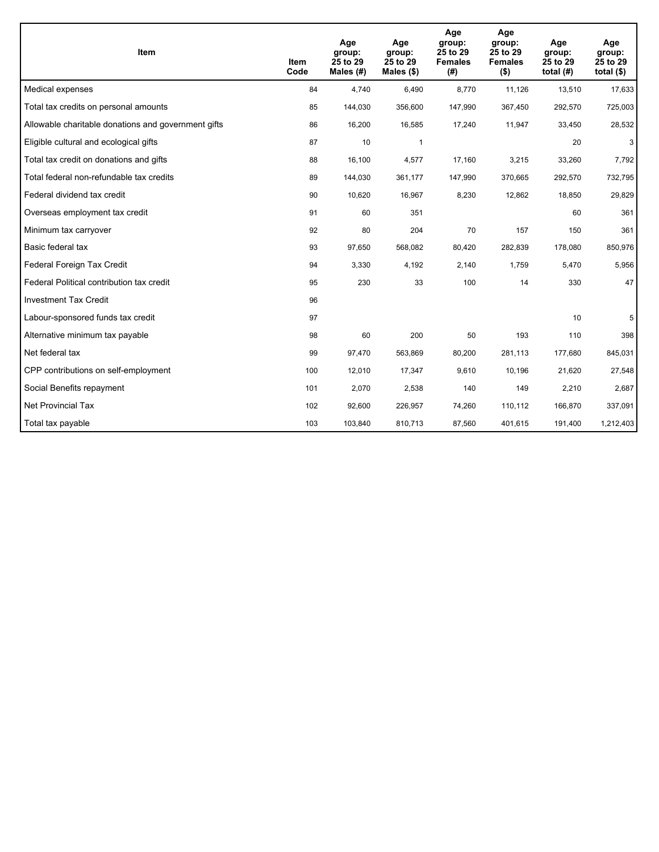| <b>Item</b>                                         | Item<br>Code | Age<br>group:<br>25 to 29<br>Males $(H)$ | Age<br>group:<br>25 to 29<br>Males $(\$)$ | Age<br>group:<br>25 to 29<br><b>Females</b><br>(# ) | Age<br>group:<br>25 to 29<br><b>Females</b><br>$($ \$) | Age<br>group:<br>25 to 29<br>total $(H)$ | Age<br>group:<br>25 to 29<br>total $($)$ |
|-----------------------------------------------------|--------------|------------------------------------------|-------------------------------------------|-----------------------------------------------------|--------------------------------------------------------|------------------------------------------|------------------------------------------|
| Medical expenses                                    | 84           | 4,740                                    | 6,490                                     | 8,770                                               | 11,126                                                 | 13,510                                   | 17,633                                   |
| Total tax credits on personal amounts               | 85           | 144,030                                  | 356,600                                   | 147,990                                             | 367,450                                                | 292,570                                  | 725,003                                  |
| Allowable charitable donations and government gifts | 86           | 16,200                                   | 16,585                                    | 17,240                                              | 11,947                                                 | 33,450                                   | 28,532                                   |
| Eligible cultural and ecological gifts              | 87           | 10                                       | 1                                         |                                                     |                                                        | 20                                       | 3                                        |
| Total tax credit on donations and gifts             | 88           | 16,100                                   | 4,577                                     | 17,160                                              | 3,215                                                  | 33,260                                   | 7,792                                    |
| Total federal non-refundable tax credits            | 89           | 144,030                                  | 361,177                                   | 147,990                                             | 370,665                                                | 292,570                                  | 732,795                                  |
| Federal dividend tax credit                         | 90           | 10,620                                   | 16,967                                    | 8,230                                               | 12,862                                                 | 18,850                                   | 29,829                                   |
| Overseas employment tax credit                      | 91           | 60                                       | 351                                       |                                                     |                                                        | 60                                       | 361                                      |
| Minimum tax carryover                               | 92           | 80                                       | 204                                       | 70                                                  | 157                                                    | 150                                      | 361                                      |
| Basic federal tax                                   | 93           | 97,650                                   | 568,082                                   | 80,420                                              | 282,839                                                | 178,080                                  | 850,976                                  |
| Federal Foreign Tax Credit                          | 94           | 3,330                                    | 4,192                                     | 2,140                                               | 1,759                                                  | 5,470                                    | 5,956                                    |
| Federal Political contribution tax credit           | 95           | 230                                      | 33                                        | 100                                                 | 14                                                     | 330                                      | 47                                       |
| <b>Investment Tax Credit</b>                        | 96           |                                          |                                           |                                                     |                                                        |                                          |                                          |
| Labour-sponsored funds tax credit                   | 97           |                                          |                                           |                                                     |                                                        | 10                                       | 5                                        |
| Alternative minimum tax payable                     | 98           | 60                                       | 200                                       | 50                                                  | 193                                                    | 110                                      | 398                                      |
| Net federal tax                                     | 99           | 97,470                                   | 563,869                                   | 80,200                                              | 281,113                                                | 177,680                                  | 845,031                                  |
| CPP contributions on self-employment                | 100          | 12,010                                   | 17,347                                    | 9,610                                               | 10,196                                                 | 21,620                                   | 27,548                                   |
| Social Benefits repayment                           | 101          | 2,070                                    | 2,538                                     | 140                                                 | 149                                                    | 2,210                                    | 2,687                                    |
| <b>Net Provincial Tax</b>                           | 102          | 92,600                                   | 226,957                                   | 74,260                                              | 110,112                                                | 166,870                                  | 337,091                                  |
| Total tax payable                                   | 103          | 103,840                                  | 810,713                                   | 87,560                                              | 401,615                                                | 191,400                                  | 1,212,403                                |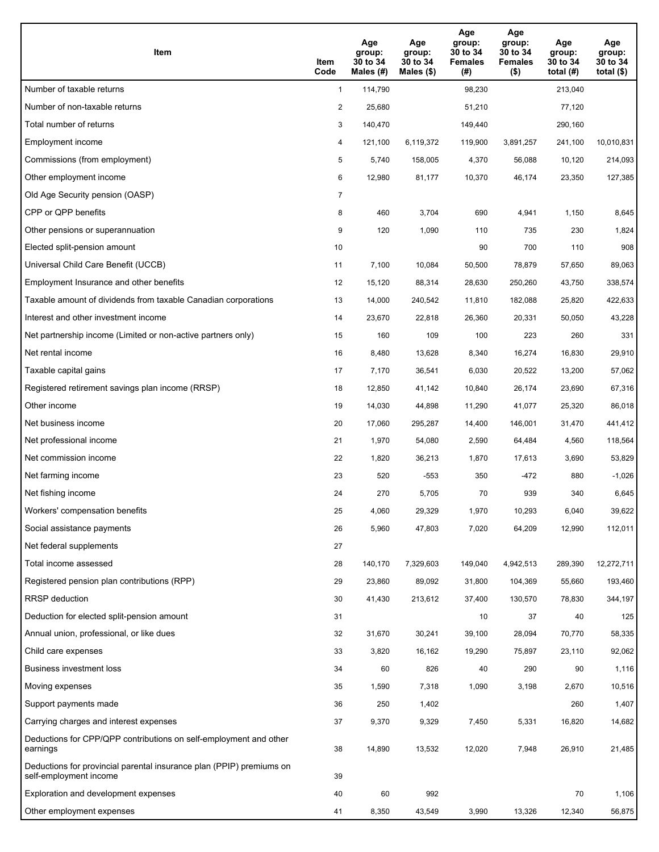| <b>Item</b>                                                                                    | Item<br>Code   | Age<br>group:<br>30 to 34<br>Males $(H)$ | Age<br>group:<br>30 to 34<br>Males (\$) | Age<br>group:<br>30 to 34<br><b>Females</b><br>(#) | Age<br>group:<br>30 to 34<br><b>Females</b><br>$($ \$) | Age<br>group:<br>30 to 34<br>total $(H)$ | Age<br>group:<br>30 to 34<br>total $(\$)$ |
|------------------------------------------------------------------------------------------------|----------------|------------------------------------------|-----------------------------------------|----------------------------------------------------|--------------------------------------------------------|------------------------------------------|-------------------------------------------|
| Number of taxable returns                                                                      | $\mathbf{1}$   | 114,790                                  |                                         | 98,230                                             |                                                        | 213,040                                  |                                           |
| Number of non-taxable returns                                                                  | $\overline{2}$ | 25,680                                   |                                         | 51,210                                             |                                                        | 77,120                                   |                                           |
| Total number of returns                                                                        | 3              | 140,470                                  |                                         | 149,440                                            |                                                        | 290,160                                  |                                           |
| Employment income                                                                              | 4              | 121,100                                  | 6,119,372                               | 119,900                                            | 3,891,257                                              | 241,100                                  | 10,010,831                                |
| Commissions (from employment)                                                                  | 5              | 5,740                                    | 158,005                                 | 4,370                                              | 56,088                                                 | 10,120                                   | 214,093                                   |
| Other employment income                                                                        | 6              | 12,980                                   | 81,177                                  | 10,370                                             | 46,174                                                 | 23,350                                   | 127,385                                   |
| Old Age Security pension (OASP)                                                                | $\overline{7}$ |                                          |                                         |                                                    |                                                        |                                          |                                           |
| CPP or QPP benefits                                                                            | 8              | 460                                      | 3,704                                   | 690                                                | 4,941                                                  | 1,150                                    | 8,645                                     |
| Other pensions or superannuation                                                               | 9              | 120                                      | 1,090                                   | 110                                                | 735                                                    | 230                                      | 1,824                                     |
| Elected split-pension amount                                                                   | 10             |                                          |                                         | 90                                                 | 700                                                    | 110                                      | 908                                       |
| Universal Child Care Benefit (UCCB)                                                            | 11             | 7,100                                    | 10,084                                  | 50,500                                             | 78,879                                                 | 57,650                                   | 89,063                                    |
| Employment Insurance and other benefits                                                        | 12             | 15,120                                   | 88,314                                  | 28,630                                             | 250,260                                                | 43,750                                   | 338,574                                   |
| Taxable amount of dividends from taxable Canadian corporations                                 | 13             | 14,000                                   | 240,542                                 | 11,810                                             | 182,088                                                | 25,820                                   | 422,633                                   |
| Interest and other investment income                                                           | 14             | 23,670                                   | 22,818                                  | 26,360                                             | 20,331                                                 | 50,050                                   | 43,228                                    |
| Net partnership income (Limited or non-active partners only)                                   | 15             | 160                                      | 109                                     | 100                                                | 223                                                    | 260                                      | 331                                       |
| Net rental income                                                                              | 16             | 8,480                                    | 13,628                                  | 8,340                                              | 16,274                                                 | 16,830                                   | 29,910                                    |
| Taxable capital gains                                                                          | 17             | 7,170                                    | 36,541                                  | 6,030                                              | 20,522                                                 | 13,200                                   | 57,062                                    |
| Registered retirement savings plan income (RRSP)                                               | 18             | 12,850                                   | 41,142                                  | 10,840                                             | 26,174                                                 | 23,690                                   | 67,316                                    |
| Other income                                                                                   | 19             | 14,030                                   | 44,898                                  | 11,290                                             | 41,077                                                 | 25,320                                   | 86,018                                    |
| Net business income                                                                            | 20             | 17,060                                   | 295,287                                 | 14,400                                             | 146,001                                                | 31,470                                   | 441,412                                   |
| Net professional income                                                                        | 21             | 1,970                                    | 54,080                                  | 2,590                                              | 64,484                                                 | 4,560                                    | 118,564                                   |
| Net commission income                                                                          | 22             | 1,820                                    | 36,213                                  | 1,870                                              | 17,613                                                 | 3,690                                    | 53,829                                    |
| Net farming income                                                                             | 23             | 520                                      | $-553$                                  | 350                                                | -472                                                   | 880                                      | $-1,026$                                  |
| Net fishing income                                                                             | 24             | 270                                      | 5,705                                   | 70                                                 | 939                                                    | 340                                      | 6,645                                     |
| Workers' compensation benefits                                                                 | 25             | 4,060                                    | 29,329                                  | 1,970                                              | 10,293                                                 | 6,040                                    | 39,622                                    |
| Social assistance payments                                                                     | 26             | 5,960                                    | 47,803                                  | 7,020                                              | 64,209                                                 | 12,990                                   | 112,011                                   |
| Net federal supplements                                                                        | 27             |                                          |                                         |                                                    |                                                        |                                          |                                           |
| Total income assessed                                                                          | 28             | 140,170                                  | 7,329,603                               | 149,040                                            | 4,942,513                                              | 289,390                                  | 12,272,711                                |
| Registered pension plan contributions (RPP)                                                    | 29             | 23,860                                   | 89,092                                  | 31,800                                             | 104,369                                                | 55,660                                   | 193,460                                   |
| RRSP deduction                                                                                 | 30             | 41,430                                   | 213,612                                 | 37,400                                             | 130,570                                                | 78,830                                   | 344,197                                   |
| Deduction for elected split-pension amount                                                     | 31             |                                          |                                         | 10                                                 | 37                                                     | 40                                       | 125                                       |
| Annual union, professional, or like dues                                                       | 32             | 31,670                                   | 30,241                                  | 39,100                                             | 28,094                                                 | 70,770                                   | 58,335                                    |
| Child care expenses                                                                            | 33             | 3,820                                    | 16,162                                  | 19,290                                             | 75,897                                                 | 23,110                                   | 92,062                                    |
| Business investment loss                                                                       | 34             | 60                                       | 826                                     | 40                                                 | 290                                                    | 90                                       | 1,116                                     |
| Moving expenses                                                                                | 35             | 1,590                                    | 7,318                                   | 1,090                                              | 3,198                                                  | 2,670                                    | 10,516                                    |
| Support payments made                                                                          | 36             | 250                                      | 1,402                                   |                                                    |                                                        | 260                                      | 1,407                                     |
| Carrying charges and interest expenses                                                         | 37             | 9,370                                    | 9,329                                   | 7,450                                              | 5,331                                                  | 16,820                                   | 14,682                                    |
| Deductions for CPP/QPP contributions on self-employment and other<br>earnings                  | 38             | 14,890                                   | 13,532                                  | 12,020                                             | 7,948                                                  | 26,910                                   | 21,485                                    |
| Deductions for provincial parental insurance plan (PPIP) premiums on<br>self-employment income | 39             |                                          |                                         |                                                    |                                                        |                                          |                                           |
| Exploration and development expenses                                                           | 40             | 60                                       | 992                                     |                                                    |                                                        | 70                                       | 1,106                                     |
| Other employment expenses                                                                      | 41             | 8,350                                    | 43,549                                  | 3,990                                              | 13,326                                                 | 12,340                                   | 56,875                                    |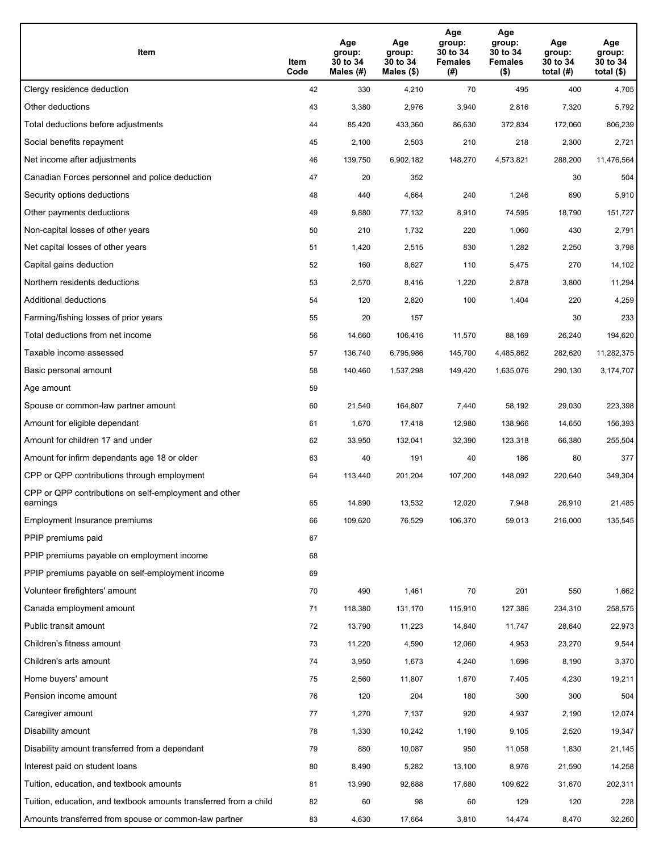| Item                                                              | Item<br>Code | Age<br>group:<br>30 to 34<br>Males (#) | Age<br>group:<br>30 to 34<br>Males (\$) | Age<br>group:<br>30 to 34<br><b>Females</b><br>(# ) | Age<br>group:<br>30 to 34<br><b>Females</b><br>$($ \$) | Age<br>group:<br>30 to 34<br>total $(H)$ | Age<br>group:<br>30 to 34<br>total $($)$ |
|-------------------------------------------------------------------|--------------|----------------------------------------|-----------------------------------------|-----------------------------------------------------|--------------------------------------------------------|------------------------------------------|------------------------------------------|
| Clergy residence deduction                                        | 42           | 330                                    | 4,210                                   | 70                                                  | 495                                                    | 400                                      | 4,705                                    |
| Other deductions                                                  | 43           | 3,380                                  | 2,976                                   | 3,940                                               | 2,816                                                  | 7,320                                    | 5,792                                    |
| Total deductions before adjustments                               | 44           | 85,420                                 | 433,360                                 | 86,630                                              | 372,834                                                | 172,060                                  | 806,239                                  |
| Social benefits repayment                                         | 45           | 2,100                                  | 2,503                                   | 210                                                 | 218                                                    | 2,300                                    | 2,721                                    |
| Net income after adjustments                                      | 46           | 139,750                                | 6,902,182                               | 148,270                                             | 4,573,821                                              | 288,200                                  | 11,476,564                               |
| Canadian Forces personnel and police deduction                    | 47           | 20                                     | 352                                     |                                                     |                                                        | 30                                       | 504                                      |
| Security options deductions                                       | 48           | 440                                    | 4,664                                   | 240                                                 | 1,246                                                  | 690                                      | 5,910                                    |
| Other payments deductions                                         | 49           | 9,880                                  | 77,132                                  | 8,910                                               | 74,595                                                 | 18,790                                   | 151,727                                  |
| Non-capital losses of other years                                 | 50           | 210                                    | 1,732                                   | 220                                                 | 1,060                                                  | 430                                      | 2,791                                    |
| Net capital losses of other years                                 | 51           | 1,420                                  | 2,515                                   | 830                                                 | 1,282                                                  | 2,250                                    | 3,798                                    |
| Capital gains deduction                                           | 52           | 160                                    | 8,627                                   | 110                                                 | 5,475                                                  | 270                                      | 14,102                                   |
| Northern residents deductions                                     | 53           | 2,570                                  | 8,416                                   | 1,220                                               | 2,878                                                  | 3,800                                    | 11,294                                   |
| Additional deductions                                             | 54           | 120                                    | 2,820                                   | 100                                                 | 1,404                                                  | 220                                      | 4,259                                    |
| Farming/fishing losses of prior years                             | 55           | 20                                     | 157                                     |                                                     |                                                        | 30                                       | 233                                      |
| Total deductions from net income                                  | 56           | 14,660                                 | 106,416                                 | 11,570                                              | 88,169                                                 | 26,240                                   | 194,620                                  |
| Taxable income assessed                                           | 57           | 136,740                                | 6,795,986                               | 145,700                                             | 4,485,862                                              | 282,620                                  | 11,282,375                               |
| Basic personal amount                                             | 58           | 140,460                                | 1,537,298                               | 149,420                                             | 1,635,076                                              | 290,130                                  | 3,174,707                                |
| Age amount                                                        | 59           |                                        |                                         |                                                     |                                                        |                                          |                                          |
| Spouse or common-law partner amount                               | 60           | 21,540                                 | 164,807                                 | 7,440                                               | 58,192                                                 | 29,030                                   | 223,398                                  |
| Amount for eligible dependant                                     | 61           | 1,670                                  | 17,418                                  | 12,980                                              | 138,966                                                | 14,650                                   | 156,393                                  |
| Amount for children 17 and under                                  | 62           | 33,950                                 | 132,041                                 | 32,390                                              | 123,318                                                | 66,380                                   | 255,504                                  |
| Amount for infirm dependants age 18 or older                      | 63           | 40                                     | 191                                     | 40                                                  | 186                                                    | 80                                       | 377                                      |
| CPP or QPP contributions through employment                       | 64           | 113,440                                | 201,204                                 | 107,200                                             | 148,092                                                | 220,640                                  | 349,304                                  |
| CPP or QPP contributions on self-employment and other<br>earnings | 65           | 14,890                                 | 13,532                                  | 12,020                                              | 7,948                                                  | 26,910                                   | 21,485                                   |
| Employment Insurance premiums                                     | 66           | 109,620                                | 76,529                                  | 106,370                                             | 59,013                                                 | 216,000                                  | 135,545                                  |
| PPIP premiums paid                                                | 67           |                                        |                                         |                                                     |                                                        |                                          |                                          |
| PPIP premiums payable on employment income                        | 68           |                                        |                                         |                                                     |                                                        |                                          |                                          |
| PPIP premiums payable on self-employment income                   | 69           |                                        |                                         |                                                     |                                                        |                                          |                                          |
| Volunteer firefighters' amount                                    | 70           | 490                                    | 1,461                                   | 70                                                  | 201                                                    | 550                                      | 1,662                                    |
| Canada employment amount                                          | 71           | 118,380                                | 131,170                                 | 115,910                                             | 127,386                                                | 234,310                                  | 258,575                                  |
| Public transit amount                                             | 72           | 13,790                                 | 11,223                                  | 14,840                                              | 11,747                                                 | 28,640                                   | 22,973                                   |
| Children's fitness amount                                         | 73           | 11,220                                 | 4,590                                   | 12,060                                              | 4,953                                                  | 23,270                                   | 9,544                                    |
| Children's arts amount                                            | 74           | 3,950                                  | 1,673                                   | 4,240                                               | 1,696                                                  | 8,190                                    | 3,370                                    |
| Home buyers' amount                                               | 75           | 2,560                                  | 11,807                                  | 1,670                                               | 7,405                                                  | 4,230                                    | 19,211                                   |
| Pension income amount                                             | 76           | 120                                    | 204                                     | 180                                                 | 300                                                    | 300                                      | 504                                      |
| Caregiver amount                                                  | 77           | 1,270                                  | 7,137                                   | 920                                                 | 4,937                                                  | 2,190                                    | 12,074                                   |
| Disability amount                                                 | 78           | 1,330                                  | 10,242                                  | 1,190                                               | 9,105                                                  | 2,520                                    | 19,347                                   |
| Disability amount transferred from a dependant                    | 79           | 880                                    | 10,087                                  | 950                                                 | 11,058                                                 | 1,830                                    | 21,145                                   |
| Interest paid on student loans                                    | 80           | 8,490                                  | 5,282                                   | 13,100                                              | 8,976                                                  | 21,590                                   | 14,258                                   |
| Tuition, education, and textbook amounts                          | 81           | 13,990                                 | 92,688                                  | 17,680                                              | 109,622                                                | 31,670                                   | 202,311                                  |
| Tuition, education, and textbook amounts transferred from a child | 82           | 60                                     | 98                                      | 60                                                  | 129                                                    | 120                                      | 228                                      |
| Amounts transferred from spouse or common-law partner             | 83           | 4,630                                  | 17,664                                  | 3,810                                               | 14,474                                                 | 8,470                                    | 32,260                                   |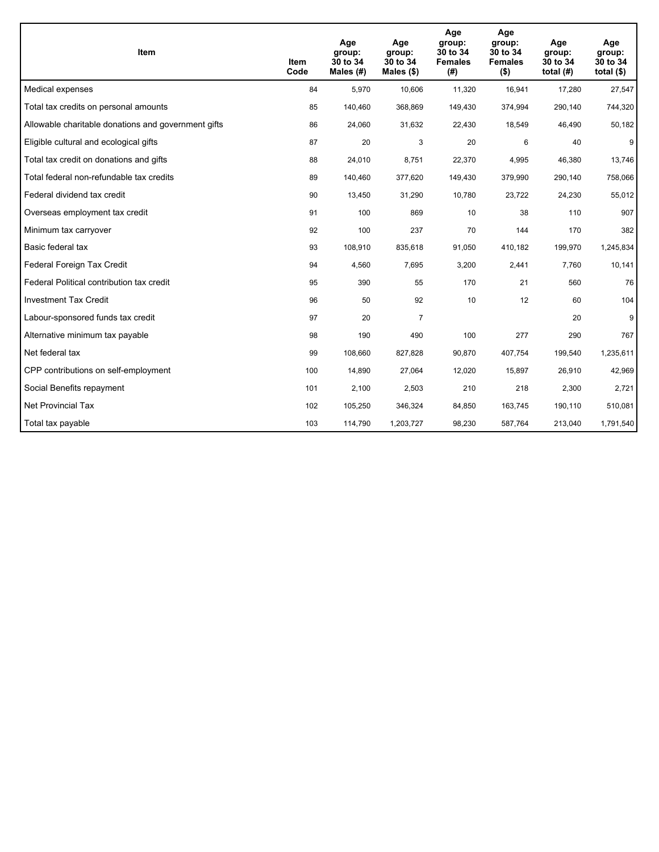| <b>Item</b>                                         | Item<br>Code | Age<br>group:<br>30 to 34<br>Males (#) | Age<br>group:<br>30 to 34<br>Males $(\$)$ | Age<br>group:<br>30 to 34<br><b>Females</b><br>(#) | Age<br>group:<br>30 to 34<br><b>Females</b><br>$($ \$) | Age<br>group:<br>30 to 34<br>total $(H)$ | Age<br>group:<br>30 to 34<br>total $($)$ |
|-----------------------------------------------------|--------------|----------------------------------------|-------------------------------------------|----------------------------------------------------|--------------------------------------------------------|------------------------------------------|------------------------------------------|
| Medical expenses                                    | 84           | 5,970                                  | 10,606                                    | 11,320                                             | 16,941                                                 | 17,280                                   | 27,547                                   |
| Total tax credits on personal amounts               | 85           | 140,460                                | 368,869                                   | 149,430                                            | 374,994                                                | 290,140                                  | 744,320                                  |
| Allowable charitable donations and government gifts | 86           | 24,060                                 | 31,632                                    | 22,430                                             | 18,549                                                 | 46,490                                   | 50,182                                   |
| Eligible cultural and ecological gifts              | 87           | 20                                     | 3                                         | 20                                                 | 6                                                      | 40                                       | 9                                        |
| Total tax credit on donations and gifts             | 88           | 24,010                                 | 8,751                                     | 22,370                                             | 4,995                                                  | 46,380                                   | 13,746                                   |
| Total federal non-refundable tax credits            | 89           | 140,460                                | 377,620                                   | 149,430                                            | 379,990                                                | 290,140                                  | 758,066                                  |
| Federal dividend tax credit                         | 90           | 13,450                                 | 31,290                                    | 10,780                                             | 23,722                                                 | 24,230                                   | 55,012                                   |
| Overseas employment tax credit                      | 91           | 100                                    | 869                                       | 10                                                 | 38                                                     | 110                                      | 907                                      |
| Minimum tax carryover                               | 92           | 100                                    | 237                                       | 70                                                 | 144                                                    | 170                                      | 382                                      |
| Basic federal tax                                   | 93           | 108,910                                | 835,618                                   | 91,050                                             | 410.182                                                | 199,970                                  | 1,245,834                                |
| Federal Foreign Tax Credit                          | 94           | 4,560                                  | 7,695                                     | 3,200                                              | 2,441                                                  | 7,760                                    | 10,141                                   |
| Federal Political contribution tax credit           | 95           | 390                                    | 55                                        | 170                                                | 21                                                     | 560                                      | 76                                       |
| <b>Investment Tax Credit</b>                        | 96           | 50                                     | 92                                        | 10                                                 | 12                                                     | 60                                       | 104                                      |
| Labour-sponsored funds tax credit                   | 97           | 20                                     | 7                                         |                                                    |                                                        | 20                                       | 9                                        |
| Alternative minimum tax payable                     | 98           | 190                                    | 490                                       | 100                                                | 277                                                    | 290                                      | 767                                      |
| Net federal tax                                     | 99           | 108,660                                | 827,828                                   | 90,870                                             | 407,754                                                | 199,540                                  | 1,235,611                                |
| CPP contributions on self-employment                | 100          | 14,890                                 | 27,064                                    | 12,020                                             | 15,897                                                 | 26,910                                   | 42,969                                   |
| Social Benefits repayment                           | 101          | 2,100                                  | 2,503                                     | 210                                                | 218                                                    | 2,300                                    | 2,721                                    |
| <b>Net Provincial Tax</b>                           | 102          | 105,250                                | 346,324                                   | 84,850                                             | 163,745                                                | 190,110                                  | 510,081                                  |
| Total tax payable                                   | 103          | 114,790                                | 1,203,727                                 | 98,230                                             | 587,764                                                | 213,040                                  | 1,791,540                                |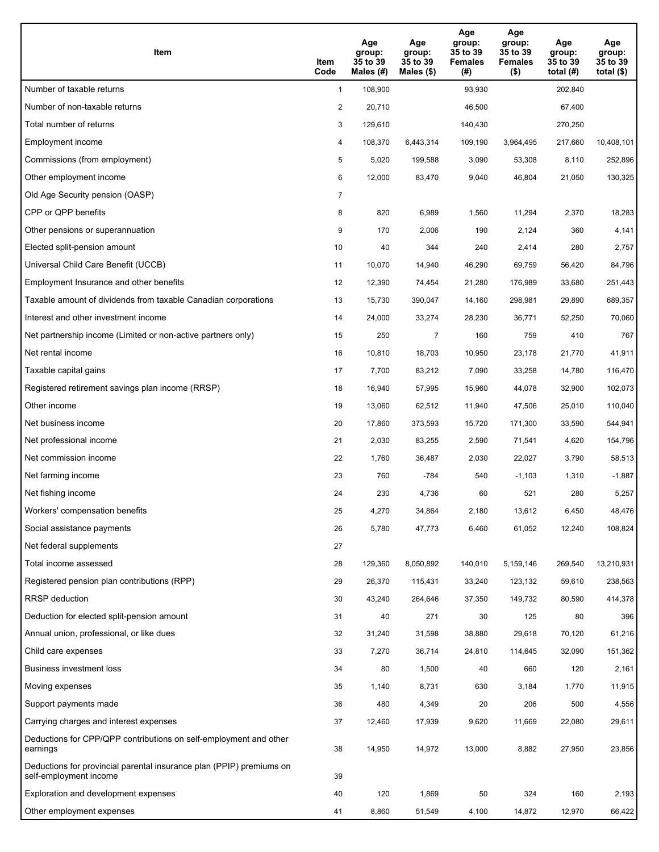| <b>Item</b>                                                                                    | Item<br>Code   | Age<br>group:<br>35 to 39<br>Males $(H)$ | Age<br>group:<br>35 to 39<br>Males (\$) | Age<br>group:<br>35 to 39<br><b>Females</b><br>(#) | Age<br>group:<br>35 to 39<br><b>Females</b><br>$($ \$) | Age<br>group:<br>35 to 39<br>total $(H)$ | Age<br>group:<br>35 to 39<br>total $(\$)$ |
|------------------------------------------------------------------------------------------------|----------------|------------------------------------------|-----------------------------------------|----------------------------------------------------|--------------------------------------------------------|------------------------------------------|-------------------------------------------|
| Number of taxable returns                                                                      | $\mathbf{1}$   | 108,900                                  |                                         | 93,930                                             |                                                        | 202,840                                  |                                           |
| Number of non-taxable returns                                                                  | $\overline{2}$ | 20,710                                   |                                         | 46,500                                             |                                                        | 67,400                                   |                                           |
| Total number of returns                                                                        | 3              | 129,610                                  |                                         | 140,430                                            |                                                        | 270,250                                  |                                           |
| Employment income                                                                              | 4              | 108,370                                  | 6,443,314                               | 109,190                                            | 3,964,495                                              | 217,660                                  | 10,408,101                                |
| Commissions (from employment)                                                                  | 5              | 5,020                                    | 199,588                                 | 3,090                                              | 53,308                                                 | 8,110                                    | 252,896                                   |
| Other employment income                                                                        | 6              | 12,000                                   | 83,470                                  | 9,040                                              | 46,804                                                 | 21,050                                   | 130,325                                   |
| Old Age Security pension (OASP)                                                                | $\overline{7}$ |                                          |                                         |                                                    |                                                        |                                          |                                           |
| CPP or QPP benefits                                                                            | 8              | 820                                      | 6,989                                   | 1,560                                              | 11,294                                                 | 2,370                                    | 18,283                                    |
| Other pensions or superannuation                                                               | 9              | 170                                      | 2,006                                   | 190                                                | 2,124                                                  | 360                                      | 4,141                                     |
| Elected split-pension amount                                                                   | 10             | 40                                       | 344                                     | 240                                                | 2,414                                                  | 280                                      | 2,757                                     |
| Universal Child Care Benefit (UCCB)                                                            | 11             | 10,070                                   | 14,940                                  | 46,290                                             | 69,759                                                 | 56,420                                   | 84,796                                    |
| Employment Insurance and other benefits                                                        | 12             | 12,390                                   | 74,454                                  | 21,280                                             | 176,989                                                | 33,680                                   | 251,443                                   |
| Taxable amount of dividends from taxable Canadian corporations                                 | 13             | 15,730                                   | 390,047                                 | 14,160                                             | 298,981                                                | 29,890                                   | 689,357                                   |
| Interest and other investment income                                                           | 14             | 24,000                                   | 33,274                                  | 28,230                                             | 36,771                                                 | 52,250                                   | 70,060                                    |
| Net partnership income (Limited or non-active partners only)                                   | 15             | 250                                      | $\overline{7}$                          | 160                                                | 759                                                    | 410                                      | 767                                       |
| Net rental income                                                                              | 16             | 10,810                                   | 18,703                                  | 10,950                                             | 23,178                                                 | 21,770                                   | 41,911                                    |
| Taxable capital gains                                                                          | 17             | 7,700                                    | 83,212                                  | 7,090                                              | 33,258                                                 | 14,780                                   | 116,470                                   |
| Registered retirement savings plan income (RRSP)                                               | 18             | 16,940                                   | 57,995                                  | 15,960                                             | 44,078                                                 | 32,900                                   | 102,073                                   |
| Other income                                                                                   | 19             | 13,060                                   | 62,512                                  | 11,940                                             | 47,506                                                 | 25,010                                   | 110,040                                   |
| Net business income                                                                            | 20             | 17,860                                   | 373,593                                 | 15,720                                             | 171,300                                                | 33,590                                   | 544,941                                   |
| Net professional income                                                                        | 21             | 2,030                                    | 83,255                                  | 2,590                                              | 71,541                                                 | 4,620                                    | 154,796                                   |
| Net commission income                                                                          | 22             | 1,760                                    | 36,487                                  | 2,030                                              | 22,027                                                 | 3,790                                    | 58,513                                    |
| Net farming income                                                                             | 23             | 760                                      | -784                                    | 540                                                | $-1,103$                                               | 1,310                                    | -1,887                                    |
| Net fishing income                                                                             | 24             | 230                                      | 4,736                                   | 60                                                 | 521                                                    | 280                                      | 5,257                                     |
| Workers' compensation benefits                                                                 | 25             | 4,270                                    | 34,864                                  | 2,180                                              | 13,612                                                 | 6,450                                    | 48,476                                    |
| Social assistance payments                                                                     | 26             | 5,780                                    | 47,773                                  | 6,460                                              | 61,052                                                 | 12,240                                   | 108,824                                   |
| Net federal supplements                                                                        | 27             |                                          |                                         |                                                    |                                                        |                                          |                                           |
| Total income assessed                                                                          | 28             | 129,360                                  | 8,050,892                               | 140,010                                            | 5,159,146                                              | 269,540                                  | 13,210,931                                |
| Registered pension plan contributions (RPP)                                                    | 29             | 26,370                                   | 115,431                                 | 33,240                                             | 123,132                                                | 59,610                                   | 238,563                                   |
| <b>RRSP</b> deduction                                                                          | 30             | 43,240                                   | 264,646                                 | 37,350                                             | 149,732                                                | 80,590                                   | 414,378                                   |
| Deduction for elected split-pension amount                                                     | 31             | 40                                       | 271                                     | 30                                                 | 125                                                    | 80                                       | 396                                       |
| Annual union, professional, or like dues                                                       | 32             | 31,240                                   | 31,598                                  | 38,880                                             | 29,618                                                 | 70,120                                   | 61,216                                    |
| Child care expenses                                                                            | 33             | 7,270                                    | 36,714                                  | 24,810                                             | 114,645                                                | 32,090                                   | 151,362                                   |
| Business investment loss                                                                       | 34             | 80                                       | 1,500                                   | 40                                                 | 660                                                    | 120                                      | 2,161                                     |
| Moving expenses                                                                                | 35             | 1,140                                    | 8,731                                   | 630                                                | 3,184                                                  | 1,770                                    | 11,915                                    |
| Support payments made                                                                          | 36             | 480                                      | 4,349                                   | 20                                                 | 206                                                    | 500                                      | 4,556                                     |
| Carrying charges and interest expenses                                                         | 37             | 12,460                                   | 17,939                                  | 9,620                                              | 11,669                                                 | 22,080                                   | 29,611                                    |
| Deductions for CPP/QPP contributions on self-employment and other<br>earnings                  | 38             | 14,950                                   | 14,972                                  | 13,000                                             | 8,882                                                  | 27,950                                   | 23,856                                    |
| Deductions for provincial parental insurance plan (PPIP) premiums on<br>self-employment income | 39             |                                          |                                         |                                                    |                                                        |                                          |                                           |
| Exploration and development expenses                                                           | 40             | 120                                      | 1,869                                   | 50                                                 | 324                                                    | 160                                      | 2,193                                     |
| Other employment expenses                                                                      | 41             | 8,860                                    | 51,549                                  | 4,100                                              | 14,872                                                 | 12,970                                   | 66,422                                    |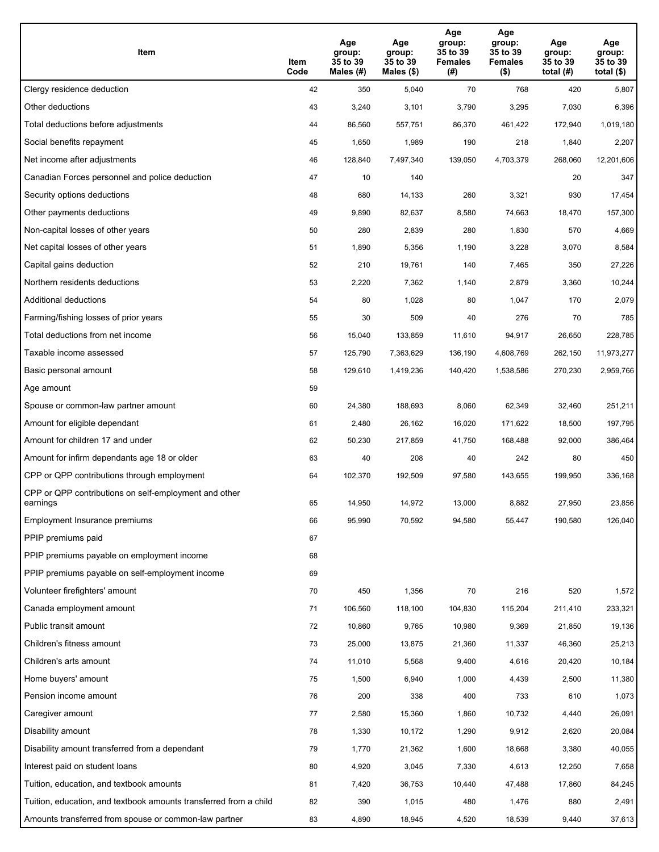| Item                                                              | Item<br>Code | Age<br>group:<br>35 to 39<br>Males (#) | Age<br>group:<br>35 to 39<br>Males (\$) | Age<br>group:<br>35 to 39<br><b>Females</b><br>(# ) | Age<br>group:<br>35 to 39<br><b>Females</b><br>$($ \$) | Age<br>group:<br>35 to 39<br>total (#) | Age<br>group:<br>35 to 39<br>total $($)$ |
|-------------------------------------------------------------------|--------------|----------------------------------------|-----------------------------------------|-----------------------------------------------------|--------------------------------------------------------|----------------------------------------|------------------------------------------|
| Clergy residence deduction                                        | 42           | 350                                    | 5,040                                   | 70                                                  | 768                                                    | 420                                    | 5,807                                    |
| Other deductions                                                  | 43           | 3,240                                  | 3,101                                   | 3,790                                               | 3,295                                                  | 7,030                                  | 6,396                                    |
| Total deductions before adjustments                               | 44           | 86,560                                 | 557,751                                 | 86,370                                              | 461,422                                                | 172,940                                | 1,019,180                                |
| Social benefits repayment                                         | 45           | 1,650                                  | 1,989                                   | 190                                                 | 218                                                    | 1,840                                  | 2,207                                    |
| Net income after adjustments                                      | 46           | 128,840                                | 7,497,340                               | 139,050                                             | 4,703,379                                              | 268,060                                | 12,201,606                               |
| Canadian Forces personnel and police deduction                    | 47           | 10                                     | 140                                     |                                                     |                                                        | 20                                     | 347                                      |
| Security options deductions                                       | 48           | 680                                    | 14,133                                  | 260                                                 | 3,321                                                  | 930                                    | 17,454                                   |
| Other payments deductions                                         | 49           | 9,890                                  | 82,637                                  | 8,580                                               | 74,663                                                 | 18,470                                 | 157,300                                  |
| Non-capital losses of other years                                 | 50           | 280                                    | 2,839                                   | 280                                                 | 1,830                                                  | 570                                    | 4,669                                    |
| Net capital losses of other years                                 | 51           | 1,890                                  | 5,356                                   | 1,190                                               | 3,228                                                  | 3,070                                  | 8,584                                    |
| Capital gains deduction                                           | 52           | 210                                    | 19,761                                  | 140                                                 | 7,465                                                  | 350                                    | 27,226                                   |
| Northern residents deductions                                     | 53           | 2,220                                  | 7,362                                   | 1,140                                               | 2,879                                                  | 3,360                                  | 10,244                                   |
| Additional deductions                                             | 54           | 80                                     | 1,028                                   | 80                                                  | 1,047                                                  | 170                                    | 2,079                                    |
| Farming/fishing losses of prior years                             | 55           | 30                                     | 509                                     | 40                                                  | 276                                                    | 70                                     | 785                                      |
| Total deductions from net income                                  | 56           | 15,040                                 | 133,859                                 | 11,610                                              | 94,917                                                 | 26,650                                 | 228,785                                  |
| Taxable income assessed                                           | 57           | 125,790                                | 7,363,629                               | 136,190                                             | 4,608,769                                              | 262,150                                | 11,973,277                               |
| Basic personal amount                                             | 58           | 129,610                                | 1,419,236                               | 140,420                                             | 1,538,586                                              | 270,230                                | 2,959,766                                |
| Age amount                                                        | 59           |                                        |                                         |                                                     |                                                        |                                        |                                          |
| Spouse or common-law partner amount                               | 60           | 24,380                                 | 188,693                                 | 8,060                                               | 62,349                                                 | 32,460                                 | 251,211                                  |
| Amount for eligible dependant                                     | 61           | 2,480                                  | 26,162                                  | 16,020                                              | 171,622                                                | 18,500                                 | 197,795                                  |
| Amount for children 17 and under                                  | 62           | 50,230                                 | 217,859                                 | 41,750                                              | 168,488                                                | 92,000                                 | 386,464                                  |
| Amount for infirm dependants age 18 or older                      | 63           | 40                                     | 208                                     | 40                                                  | 242                                                    | 80                                     | 450                                      |
| CPP or QPP contributions through employment                       | 64           | 102,370                                | 192,509                                 | 97,580                                              | 143,655                                                | 199,950                                | 336,168                                  |
| CPP or QPP contributions on self-employment and other<br>earnings | 65           | 14,950                                 | 14,972                                  | 13,000                                              | 8,882                                                  | 27,950                                 | 23,856                                   |
| Employment Insurance premiums                                     | 66           | 95,990                                 | 70,592                                  | 94,580                                              | 55,447                                                 | 190,580                                | 126,040                                  |
| PPIP premiums paid                                                | 67           |                                        |                                         |                                                     |                                                        |                                        |                                          |
| PPIP premiums payable on employment income                        | 68           |                                        |                                         |                                                     |                                                        |                                        |                                          |
| PPIP premiums payable on self-employment income                   | 69           |                                        |                                         |                                                     |                                                        |                                        |                                          |
| Volunteer firefighters' amount                                    | 70           | 450                                    | 1,356                                   | 70                                                  | 216                                                    | 520                                    | 1,572                                    |
| Canada employment amount                                          | 71           | 106,560                                | 118,100                                 | 104,830                                             | 115,204                                                | 211,410                                | 233,321                                  |
| Public transit amount                                             | 72           | 10,860                                 | 9,765                                   | 10,980                                              | 9,369                                                  | 21,850                                 | 19,136                                   |
| Children's fitness amount                                         | 73           | 25,000                                 | 13,875                                  | 21,360                                              | 11,337                                                 | 46,360                                 | 25,213                                   |
| Children's arts amount                                            | 74           | 11,010                                 | 5,568                                   | 9,400                                               | 4,616                                                  | 20,420                                 | 10,184                                   |
| Home buyers' amount                                               | 75           | 1,500                                  | 6,940                                   | 1,000                                               | 4,439                                                  | 2,500                                  | 11,380                                   |
| Pension income amount                                             | 76           | 200                                    | 338                                     | 400                                                 | 733                                                    | 610                                    | 1,073                                    |
| Caregiver amount                                                  | 77           | 2,580                                  | 15,360                                  | 1,860                                               | 10,732                                                 | 4,440                                  | 26,091                                   |
| Disability amount                                                 | 78           | 1,330                                  | 10,172                                  | 1,290                                               | 9,912                                                  | 2,620                                  | 20,084                                   |
| Disability amount transferred from a dependant                    | 79           | 1,770                                  | 21,362                                  | 1,600                                               | 18,668                                                 | 3,380                                  | 40,055                                   |
| Interest paid on student loans                                    | 80           | 4,920                                  | 3,045                                   | 7,330                                               | 4,613                                                  | 12,250                                 | 7,658                                    |
| Tuition, education, and textbook amounts                          | 81           | 7,420                                  | 36,753                                  | 10,440                                              | 47,488                                                 | 17,860                                 | 84,245                                   |
| Tuition, education, and textbook amounts transferred from a child | 82           | 390                                    | 1,015                                   | 480                                                 | 1,476                                                  | 880                                    | 2,491                                    |
| Amounts transferred from spouse or common-law partner             | 83           | 4,890                                  | 18,945                                  | 4,520                                               | 18,539                                                 | 9,440                                  | 37,613                                   |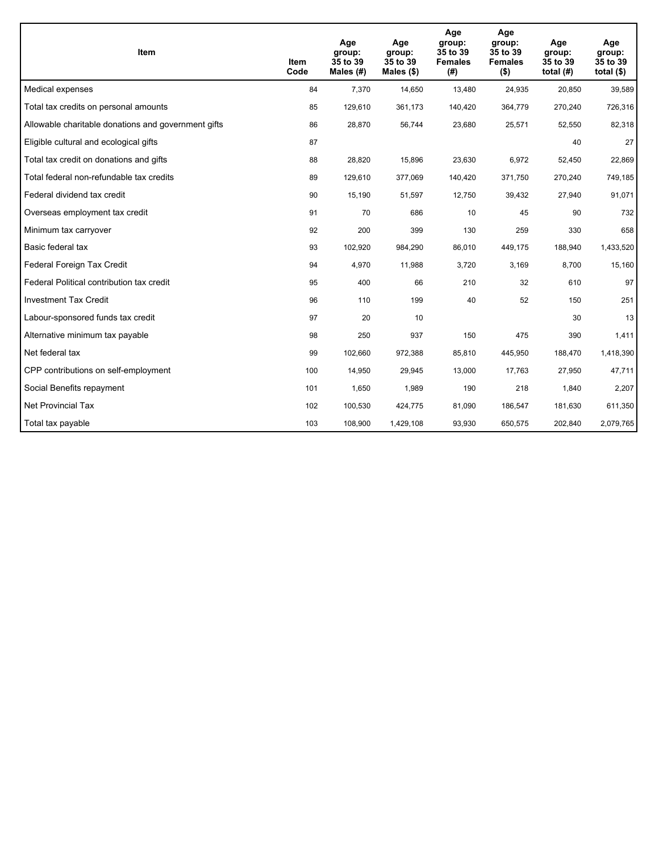| <b>Item</b>                                         | Item<br>Code | Age<br>group:<br>35 to 39<br>Males (#) | Age<br>group:<br>35 to 39<br>Males $(\$)$ | Age<br>group:<br>35 to 39<br><b>Females</b><br>(#) | Age<br>group:<br>35 to 39<br><b>Females</b><br>$($ \$) | Age<br>group:<br>35 to 39<br>total $(H)$ | Age<br>group:<br>35 to 39<br>total $($)$ |
|-----------------------------------------------------|--------------|----------------------------------------|-------------------------------------------|----------------------------------------------------|--------------------------------------------------------|------------------------------------------|------------------------------------------|
| Medical expenses                                    | 84           | 7,370                                  | 14,650                                    | 13,480                                             | 24,935                                                 | 20,850                                   | 39,589                                   |
| Total tax credits on personal amounts               | 85           | 129,610                                | 361,173                                   | 140,420                                            | 364,779                                                | 270,240                                  | 726,316                                  |
| Allowable charitable donations and government gifts | 86           | 28,870                                 | 56,744                                    | 23,680                                             | 25,571                                                 | 52,550                                   | 82,318                                   |
| Eligible cultural and ecological gifts              | 87           |                                        |                                           |                                                    |                                                        | 40                                       | 27                                       |
| Total tax credit on donations and gifts             | 88           | 28,820                                 | 15,896                                    | 23,630                                             | 6,972                                                  | 52,450                                   | 22,869                                   |
| Total federal non-refundable tax credits            | 89           | 129,610                                | 377,069                                   | 140,420                                            | 371,750                                                | 270,240                                  | 749,185                                  |
| Federal dividend tax credit                         | 90           | 15,190                                 | 51,597                                    | 12,750                                             | 39,432                                                 | 27,940                                   | 91,071                                   |
| Overseas employment tax credit                      | 91           | 70                                     | 686                                       | 10                                                 | 45                                                     | 90                                       | 732                                      |
| Minimum tax carryover                               | 92           | 200                                    | 399                                       | 130                                                | 259                                                    | 330                                      | 658                                      |
| Basic federal tax                                   | 93           | 102,920                                | 984,290                                   | 86,010                                             | 449.175                                                | 188,940                                  | 1,433,520                                |
| Federal Foreign Tax Credit                          | 94           | 4,970                                  | 11,988                                    | 3,720                                              | 3,169                                                  | 8,700                                    | 15,160                                   |
| Federal Political contribution tax credit           | 95           | 400                                    | 66                                        | 210                                                | 32                                                     | 610                                      | 97                                       |
| <b>Investment Tax Credit</b>                        | 96           | 110                                    | 199                                       | 40                                                 | 52                                                     | 150                                      | 251                                      |
| Labour-sponsored funds tax credit                   | 97           | 20                                     | 10                                        |                                                    |                                                        | 30                                       | 13                                       |
| Alternative minimum tax payable                     | 98           | 250                                    | 937                                       | 150                                                | 475                                                    | 390                                      | 1,411                                    |
| Net federal tax                                     | 99           | 102,660                                | 972,388                                   | 85,810                                             | 445,950                                                | 188,470                                  | 1,418,390                                |
| CPP contributions on self-employment                | 100          | 14,950                                 | 29,945                                    | 13,000                                             | 17,763                                                 | 27,950                                   | 47,711                                   |
| Social Benefits repayment                           | 101          | 1,650                                  | 1,989                                     | 190                                                | 218                                                    | 1,840                                    | 2,207                                    |
| <b>Net Provincial Tax</b>                           | 102          | 100,530                                | 424,775                                   | 81,090                                             | 186.547                                                | 181.630                                  | 611,350                                  |
| Total tax payable                                   | 103          | 108,900                                | 1,429,108                                 | 93,930                                             | 650,575                                                | 202,840                                  | 2,079,765                                |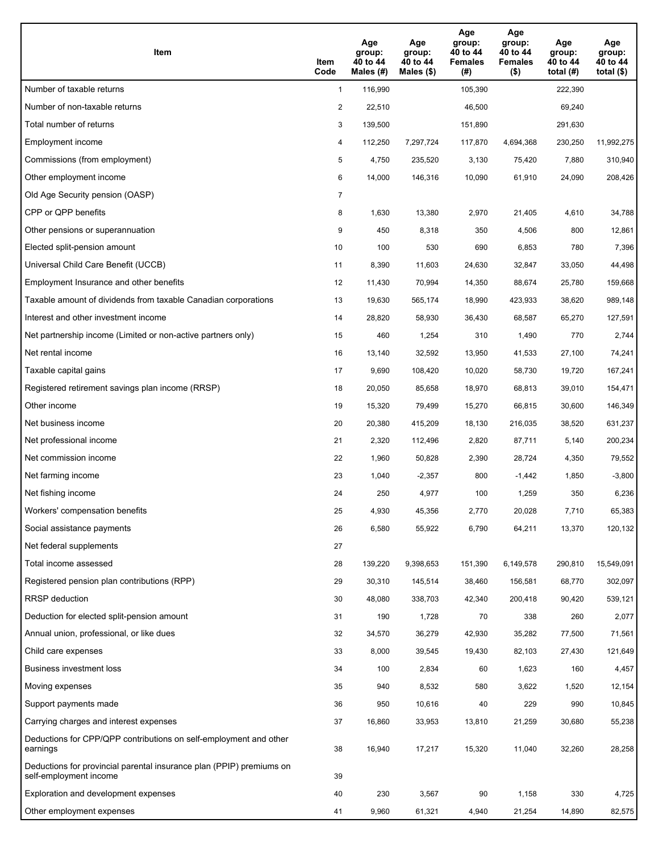| <b>Item</b>                                                                                    | Item<br>Code   | Age<br>group:<br>40 to 44<br>Males $(H)$ | Age<br>group:<br>40 to 44<br>Males (\$) | Age<br>group:<br>40 to 44<br><b>Females</b><br>(#) | Age<br>group:<br>40 to 44<br><b>Females</b><br>$($ \$) | Age<br>group:<br>40 to 44<br>total $(H)$ | Age<br>group:<br>40 to 44<br>total $($ |
|------------------------------------------------------------------------------------------------|----------------|------------------------------------------|-----------------------------------------|----------------------------------------------------|--------------------------------------------------------|------------------------------------------|----------------------------------------|
| Number of taxable returns                                                                      | $\mathbf{1}$   | 116,990                                  |                                         | 105,390                                            |                                                        | 222,390                                  |                                        |
| Number of non-taxable returns                                                                  | $\overline{2}$ | 22,510                                   |                                         | 46,500                                             |                                                        | 69,240                                   |                                        |
| Total number of returns                                                                        | 3              | 139,500                                  |                                         | 151,890                                            |                                                        | 291,630                                  |                                        |
| Employment income                                                                              | 4              | 112,250                                  | 7,297,724                               | 117,870                                            | 4,694,368                                              | 230,250                                  | 11,992,275                             |
| Commissions (from employment)                                                                  | 5              | 4,750                                    | 235,520                                 | 3,130                                              | 75,420                                                 | 7,880                                    | 310,940                                |
| Other employment income                                                                        | 6              | 14,000                                   | 146,316                                 | 10,090                                             | 61,910                                                 | 24,090                                   | 208,426                                |
| Old Age Security pension (OASP)                                                                | $\overline{7}$ |                                          |                                         |                                                    |                                                        |                                          |                                        |
| CPP or QPP benefits                                                                            | 8              | 1,630                                    | 13,380                                  | 2,970                                              | 21,405                                                 | 4,610                                    | 34,788                                 |
| Other pensions or superannuation                                                               | 9              | 450                                      | 8,318                                   | 350                                                | 4,506                                                  | 800                                      | 12,861                                 |
| Elected split-pension amount                                                                   | 10             | 100                                      | 530                                     | 690                                                | 6,853                                                  | 780                                      | 7,396                                  |
| Universal Child Care Benefit (UCCB)                                                            | 11             | 8,390                                    | 11,603                                  | 24,630                                             | 32,847                                                 | 33,050                                   | 44,498                                 |
| Employment Insurance and other benefits                                                        | 12             | 11,430                                   | 70,994                                  | 14,350                                             | 88,674                                                 | 25,780                                   | 159,668                                |
| Taxable amount of dividends from taxable Canadian corporations                                 | 13             | 19,630                                   | 565,174                                 | 18,990                                             | 423,933                                                | 38,620                                   | 989,148                                |
| Interest and other investment income                                                           | 14             | 28,820                                   | 58,930                                  | 36,430                                             | 68,587                                                 | 65,270                                   | 127,591                                |
| Net partnership income (Limited or non-active partners only)                                   | 15             | 460                                      | 1,254                                   | 310                                                | 1,490                                                  | 770                                      | 2,744                                  |
| Net rental income                                                                              | 16             | 13,140                                   | 32,592                                  | 13,950                                             | 41,533                                                 | 27,100                                   | 74,241                                 |
| Taxable capital gains                                                                          | 17             | 9,690                                    | 108,420                                 | 10,020                                             | 58,730                                                 | 19,720                                   | 167,241                                |
| Registered retirement savings plan income (RRSP)                                               | 18             | 20,050                                   | 85,658                                  | 18,970                                             | 68,813                                                 | 39,010                                   | 154,471                                |
| Other income                                                                                   | 19             | 15,320                                   | 79,499                                  | 15,270                                             | 66,815                                                 | 30,600                                   | 146,349                                |
| Net business income                                                                            | 20             | 20,380                                   | 415,209                                 | 18,130                                             | 216,035                                                | 38,520                                   | 631,237                                |
| Net professional income                                                                        | 21             | 2,320                                    | 112,496                                 | 2,820                                              | 87,711                                                 | 5,140                                    | 200,234                                |
| Net commission income                                                                          | 22             | 1,960                                    | 50,828                                  | 2,390                                              | 28,724                                                 | 4,350                                    | 79,552                                 |
| Net farming income                                                                             | 23             | 1,040                                    | $-2,357$                                | 800                                                | $-1,442$                                               | 1,850                                    | $-3,800$                               |
| Net fishing income                                                                             | 24             | 250                                      | 4,977                                   | 100                                                | 1,259                                                  | 350                                      | 6,236                                  |
| Workers' compensation benefits                                                                 | 25             | 4,930                                    | 45,356                                  | 2,770                                              | 20,028                                                 | 7,710                                    | 65,383                                 |
| Social assistance payments                                                                     | 26             | 6,580                                    | 55,922                                  | 6,790                                              | 64,211                                                 | 13,370                                   | 120,132                                |
| Net federal supplements                                                                        | 27             |                                          |                                         |                                                    |                                                        |                                          |                                        |
| Total income assessed                                                                          | 28             | 139,220                                  | 9,398,653                               | 151,390                                            | 6,149,578                                              | 290,810                                  | 15,549,091                             |
| Registered pension plan contributions (RPP)                                                    | 29             | 30,310                                   | 145,514                                 | 38,460                                             | 156,581                                                | 68,770                                   | 302,097                                |
| <b>RRSP</b> deduction                                                                          | 30             | 48,080                                   | 338,703                                 | 42,340                                             | 200,418                                                | 90,420                                   | 539,121                                |
| Deduction for elected split-pension amount                                                     | 31             | 190                                      | 1,728                                   | 70                                                 | 338                                                    | 260                                      | 2,077                                  |
| Annual union, professional, or like dues                                                       | 32             | 34,570                                   | 36,279                                  | 42,930                                             | 35,282                                                 | 77,500                                   | 71,561                                 |
| Child care expenses                                                                            | 33             | 8,000                                    | 39,545                                  | 19,430                                             | 82,103                                                 | 27,430                                   | 121,649                                |
| Business investment loss                                                                       | 34             | 100                                      | 2,834                                   | 60                                                 | 1,623                                                  | 160                                      | 4,457                                  |
| Moving expenses                                                                                | 35             | 940                                      | 8,532                                   | 580                                                | 3,622                                                  | 1,520                                    | 12,154                                 |
| Support payments made                                                                          | 36             | 950                                      | 10,616                                  | 40                                                 | 229                                                    | 990                                      | 10,845                                 |
| Carrying charges and interest expenses                                                         | 37             | 16,860                                   | 33,953                                  | 13,810                                             | 21,259                                                 | 30,680                                   | 55,238                                 |
| Deductions for CPP/QPP contributions on self-employment and other<br>earnings                  | 38             | 16,940                                   | 17,217                                  | 15,320                                             | 11,040                                                 | 32,260                                   | 28,258                                 |
| Deductions for provincial parental insurance plan (PPIP) premiums on<br>self-employment income | 39             |                                          |                                         |                                                    |                                                        |                                          |                                        |
| Exploration and development expenses                                                           | 40             | 230                                      | 3,567                                   | 90                                                 | 1,158                                                  | 330                                      | 4,725                                  |
| Other employment expenses                                                                      | 41             | 9,960                                    | 61,321                                  | 4,940                                              | 21,254                                                 | 14,890                                   | 82,575                                 |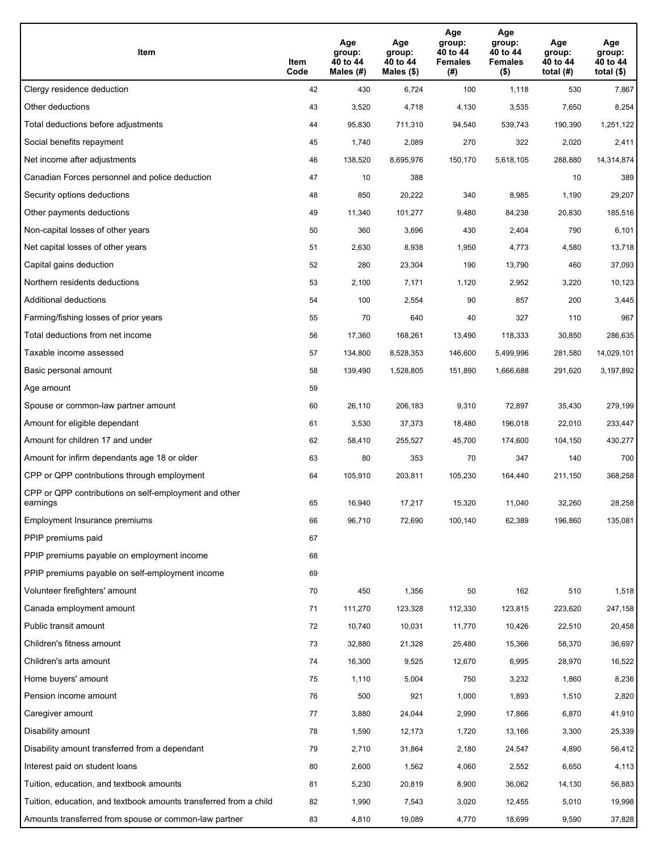| Item                                                              | Item<br>Code | Age<br>group:<br>40 to 44<br>Males (#) | Age<br>group:<br>40 to 44<br>Males (\$) | Age<br>group:<br>40 to 44<br><b>Females</b><br>(# ) | Age<br>group:<br>40 to 44<br><b>Females</b><br>$($ \$) | Age<br>group:<br>40 to 44<br>total $(H)$ | Age<br>group:<br>40 to 44<br>total $($)$ |
|-------------------------------------------------------------------|--------------|----------------------------------------|-----------------------------------------|-----------------------------------------------------|--------------------------------------------------------|------------------------------------------|------------------------------------------|
| Clergy residence deduction                                        | 42           | 430                                    | 6,724                                   | 100                                                 | 1,118                                                  | 530                                      | 7,867                                    |
| Other deductions                                                  | 43           | 3,520                                  | 4,718                                   | 4,130                                               | 3,535                                                  | 7,650                                    | 8,254                                    |
| Total deductions before adjustments                               | 44           | 95,830                                 | 711,310                                 | 94,540                                              | 539,743                                                | 190,390                                  | 1,251,122                                |
| Social benefits repayment                                         | 45           | 1,740                                  | 2,089                                   | 270                                                 | 322                                                    | 2,020                                    | 2,411                                    |
| Net income after adjustments                                      | 46           | 138,520                                | 8,695,976                               | 150,170                                             | 5,618,105                                              | 288,880                                  | 14,314,874                               |
| Canadian Forces personnel and police deduction                    | 47           | 10                                     | 388                                     |                                                     |                                                        | 10                                       | 389                                      |
| Security options deductions                                       | 48           | 850                                    | 20,222                                  | 340                                                 | 8,985                                                  | 1,190                                    | 29,207                                   |
| Other payments deductions                                         | 49           | 11,340                                 | 101,277                                 | 9,480                                               | 84,238                                                 | 20,830                                   | 185,516                                  |
| Non-capital losses of other years                                 | 50           | 360                                    | 3,696                                   | 430                                                 | 2,404                                                  | 790                                      | 6,101                                    |
| Net capital losses of other years                                 | 51           | 2,630                                  | 8,938                                   | 1,950                                               | 4,773                                                  | 4,580                                    | 13,718                                   |
| Capital gains deduction                                           | 52           | 280                                    | 23,304                                  | 190                                                 | 13,790                                                 | 460                                      | 37,093                                   |
| Northern residents deductions                                     | 53           | 2,100                                  | 7,171                                   | 1,120                                               | 2,952                                                  | 3,220                                    | 10,123                                   |
| Additional deductions                                             | 54           | 100                                    | 2,554                                   | 90                                                  | 857                                                    | 200                                      | 3,445                                    |
| Farming/fishing losses of prior years                             | 55           | 70                                     | 640                                     | 40                                                  | 327                                                    | 110                                      | 967                                      |
| Total deductions from net income                                  | 56           | 17,360                                 | 168,261                                 | 13,490                                              | 118,333                                                | 30,850                                   | 286,635                                  |
| Taxable income assessed                                           | 57           | 134,800                                | 8,528,353                               | 146,600                                             | 5,499,996                                              | 281,580                                  | 14,029,101                               |
| Basic personal amount                                             | 58           | 139,490                                | 1,528,805                               | 151,890                                             | 1,666,688                                              | 291,620                                  | 3,197,892                                |
| Age amount                                                        | 59           |                                        |                                         |                                                     |                                                        |                                          |                                          |
| Spouse or common-law partner amount                               | 60           | 26,110                                 | 206,183                                 | 9,310                                               | 72,897                                                 | 35,430                                   | 279,199                                  |
| Amount for eligible dependant                                     | 61           | 3,530                                  | 37,373                                  | 18,480                                              | 196,018                                                | 22,010                                   | 233,447                                  |
| Amount for children 17 and under                                  | 62           | 58,410                                 | 255,527                                 | 45,700                                              | 174,600                                                | 104,150                                  | 430,277                                  |
| Amount for infirm dependants age 18 or older                      | 63           | 80                                     | 353                                     | 70                                                  | 347                                                    | 140                                      | 700                                      |
| CPP or QPP contributions through employment                       | 64           | 105,910                                | 203,811                                 | 105,230                                             | 164,440                                                | 211,150                                  | 368,258                                  |
| CPP or QPP contributions on self-employment and other<br>earnings | 65           | 16,940                                 | 17,217                                  | 15,320                                              | 11,040                                                 | 32,260                                   | 28,258                                   |
| Employment Insurance premiums                                     | 66           | 96,710                                 | 72,690                                  | 100,140                                             | 62,389                                                 | 196,860                                  | 135,081                                  |
| PPIP premiums paid                                                | 67           |                                        |                                         |                                                     |                                                        |                                          |                                          |
| PPIP premiums payable on employment income                        | 68           |                                        |                                         |                                                     |                                                        |                                          |                                          |
| PPIP premiums payable on self-employment income                   | 69           |                                        |                                         |                                                     |                                                        |                                          |                                          |
| Volunteer firefighters' amount                                    | 70           | 450                                    | 1,356                                   | 50                                                  | 162                                                    | 510                                      | 1,518                                    |
| Canada employment amount                                          | 71           | 111,270                                | 123,328                                 | 112,330                                             | 123,815                                                | 223,620                                  | 247,158                                  |
| Public transit amount                                             | 72           | 10,740                                 | 10,031                                  | 11,770                                              | 10,426                                                 | 22,510                                   | 20,458                                   |
| Children's fitness amount                                         | 73           | 32,880                                 | 21,328                                  | 25,480                                              | 15,366                                                 | 58,370                                   | 36,697                                   |
| Children's arts amount                                            | 74           | 16,300                                 | 9,525                                   | 12,670                                              | 6,995                                                  | 28,970                                   | 16,522                                   |
| Home buyers' amount                                               | 75           | 1,110                                  | 5,004                                   | 750                                                 | 3,232                                                  | 1,860                                    | 8,236                                    |
| Pension income amount                                             | 76           | 500                                    | 921                                     | 1,000                                               | 1,893                                                  | 1,510                                    | 2,820                                    |
| Caregiver amount                                                  | $77\,$       | 3,880                                  | 24,044                                  | 2,990                                               | 17,866                                                 | 6,870                                    | 41,910                                   |
| Disability amount                                                 | 78           | 1,590                                  | 12,173                                  | 1,720                                               | 13,166                                                 | 3,300                                    | 25,339                                   |
| Disability amount transferred from a dependant                    | 79           | 2,710                                  | 31,864                                  | 2,180                                               | 24,547                                                 | 4,890                                    | 56,412                                   |
| Interest paid on student loans                                    | 80           | 2,600                                  | 1,562                                   | 4,060                                               | 2,552                                                  | 6,650                                    | 4,113                                    |
| Tuition, education, and textbook amounts                          | 81           | 5,230                                  | 20,819                                  | 8,900                                               | 36,062                                                 | 14,130                                   | 56,883                                   |
| Tuition, education, and textbook amounts transferred from a child | 82           | 1,990                                  | 7,543                                   | 3,020                                               | 12,455                                                 | 5,010                                    | 19,998                                   |
| Amounts transferred from spouse or common-law partner             | 83           | 4,810                                  | 19,089                                  | 4,770                                               | 18,699                                                 | 9,590                                    | 37,828                                   |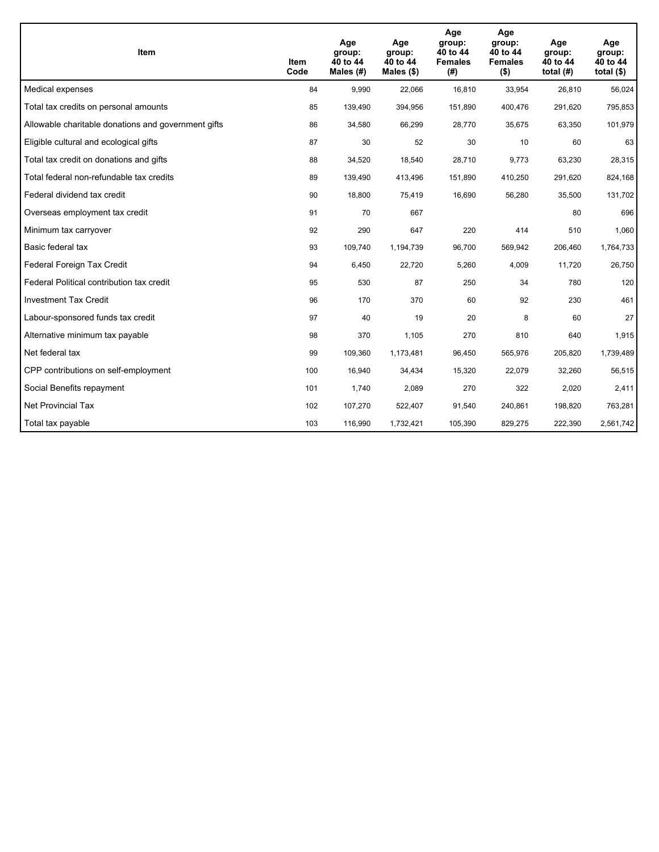| Item                                                | Item<br>Code | Age<br>group:<br>40 to 44<br>Males $(H)$ | Age<br>group:<br>40 to 44<br>Males (\$) | Age<br>group:<br>40 to 44<br><b>Females</b><br>(# ) | Age<br>group:<br>40 to 44<br><b>Females</b><br>$($ \$) | Age<br>group:<br>40 to 44<br>total $(H)$ | Age<br>group:<br>40 to 44<br>total $($)$ |
|-----------------------------------------------------|--------------|------------------------------------------|-----------------------------------------|-----------------------------------------------------|--------------------------------------------------------|------------------------------------------|------------------------------------------|
| Medical expenses                                    | 84           | 9,990                                    | 22,066                                  | 16,810                                              | 33,954                                                 | 26,810                                   | 56,024                                   |
| Total tax credits on personal amounts               | 85           | 139,490                                  | 394,956                                 | 151,890                                             | 400,476                                                | 291,620                                  | 795,853                                  |
| Allowable charitable donations and government gifts | 86           | 34,580                                   | 66,299                                  | 28,770                                              | 35,675                                                 | 63,350                                   | 101,979                                  |
| Eligible cultural and ecological gifts              | 87           | 30                                       | 52                                      | 30                                                  | 10                                                     | 60                                       | 63                                       |
| Total tax credit on donations and gifts             | 88           | 34,520                                   | 18,540                                  | 28.710                                              | 9,773                                                  | 63,230                                   | 28,315                                   |
| Total federal non-refundable tax credits            | 89           | 139,490                                  | 413,496                                 | 151,890                                             | 410,250                                                | 291,620                                  | 824,168                                  |
| Federal dividend tax credit                         | 90           | 18,800                                   | 75,419                                  | 16,690                                              | 56,280                                                 | 35,500                                   | 131,702                                  |
| Overseas employment tax credit                      | 91           | 70                                       | 667                                     |                                                     |                                                        | 80                                       | 696                                      |
| Minimum tax carryover                               | 92           | 290                                      | 647                                     | 220                                                 | 414                                                    | 510                                      | 1,060                                    |
| Basic federal tax                                   | 93           | 109,740                                  | 1,194,739                               | 96,700                                              | 569,942                                                | 206,460                                  | 1,764,733                                |
| Federal Foreign Tax Credit                          | 94           | 6,450                                    | 22,720                                  | 5,260                                               | 4,009                                                  | 11,720                                   | 26,750                                   |
| Federal Political contribution tax credit           | 95           | 530                                      | 87                                      | 250                                                 | 34                                                     | 780                                      | 120                                      |
| <b>Investment Tax Credit</b>                        | 96           | 170                                      | 370                                     | 60                                                  | 92                                                     | 230                                      | 461                                      |
| Labour-sponsored funds tax credit                   | 97           | 40                                       | 19                                      | 20                                                  | 8                                                      | 60                                       | 27                                       |
| Alternative minimum tax payable                     | 98           | 370                                      | 1,105                                   | 270                                                 | 810                                                    | 640                                      | 1,915                                    |
| Net federal tax                                     | 99           | 109,360                                  | 1,173,481                               | 96,450                                              | 565,976                                                | 205,820                                  | 1,739,489                                |
| CPP contributions on self-employment                | 100          | 16,940                                   | 34,434                                  | 15,320                                              | 22,079                                                 | 32,260                                   | 56,515                                   |
| Social Benefits repayment                           | 101          | 1,740                                    | 2,089                                   | 270                                                 | 322                                                    | 2,020                                    | 2,411                                    |
| Net Provincial Tax                                  | 102          | 107,270                                  | 522,407                                 | 91,540                                              | 240,861                                                | 198,820                                  | 763,281                                  |
| Total tax payable                                   | 103          | 116,990                                  | 1,732,421                               | 105,390                                             | 829,275                                                | 222,390                                  | 2,561,742                                |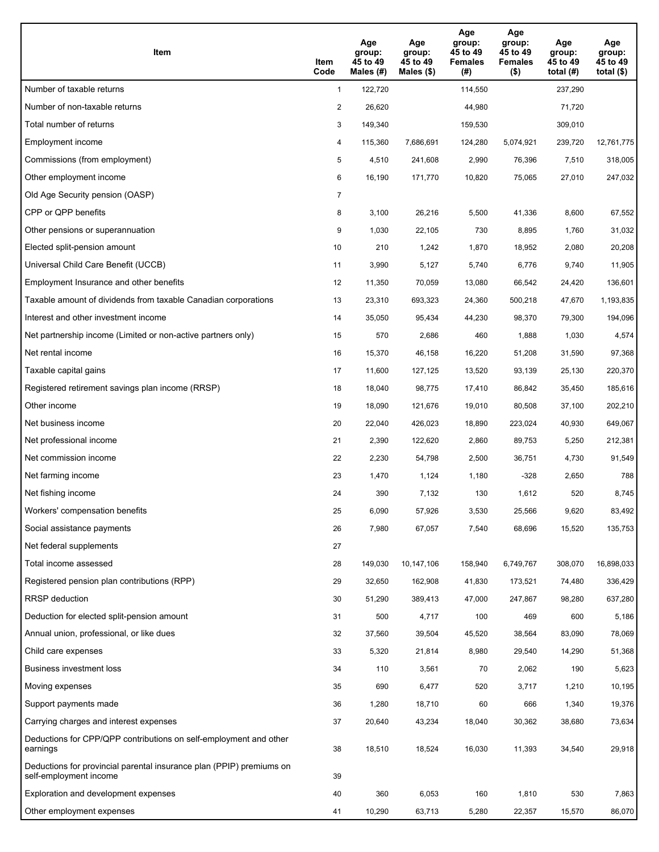| Item                                                                                           | Item<br>Code   | Age<br>group:<br>45 to 49<br>Males $(H)$ | Age<br>group:<br>45 to 49<br>Males (\$) | Age<br>group:<br>45 to 49<br><b>Females</b><br>(# ) | Age<br>group:<br>45 to 49<br><b>Females</b><br>$($ \$) | Age<br>group:<br>45 to 49<br>total $(H)$ | Age<br>group:<br>45 to 49<br>total $($)$ |
|------------------------------------------------------------------------------------------------|----------------|------------------------------------------|-----------------------------------------|-----------------------------------------------------|--------------------------------------------------------|------------------------------------------|------------------------------------------|
| Number of taxable returns                                                                      | $\mathbf{1}$   | 122,720                                  |                                         | 114,550                                             |                                                        | 237,290                                  |                                          |
| Number of non-taxable returns                                                                  | 2              | 26,620                                   |                                         | 44,980                                              |                                                        | 71,720                                   |                                          |
| Total number of returns                                                                        | 3              | 149,340                                  |                                         | 159,530                                             |                                                        | 309,010                                  |                                          |
| Employment income                                                                              | 4              | 115,360                                  | 7,686,691                               | 124,280                                             | 5,074,921                                              | 239,720                                  | 12,761,775                               |
| Commissions (from employment)                                                                  | 5              | 4,510                                    | 241,608                                 | 2,990                                               | 76,396                                                 | 7,510                                    | 318,005                                  |
| Other employment income                                                                        | 6              | 16,190                                   | 171,770                                 | 10,820                                              | 75,065                                                 | 27,010                                   | 247,032                                  |
| Old Age Security pension (OASP)                                                                | $\overline{7}$ |                                          |                                         |                                                     |                                                        |                                          |                                          |
| CPP or QPP benefits                                                                            | 8              | 3,100                                    | 26,216                                  | 5,500                                               | 41,336                                                 | 8,600                                    | 67,552                                   |
| Other pensions or superannuation                                                               | 9              | 1,030                                    | 22,105                                  | 730                                                 | 8,895                                                  | 1,760                                    | 31,032                                   |
| Elected split-pension amount                                                                   | 10             | 210                                      | 1,242                                   | 1,870                                               | 18,952                                                 | 2,080                                    | 20,208                                   |
| Universal Child Care Benefit (UCCB)                                                            | 11             | 3,990                                    | 5,127                                   | 5,740                                               | 6,776                                                  | 9,740                                    | 11,905                                   |
| Employment Insurance and other benefits                                                        | 12             | 11,350                                   | 70,059                                  | 13,080                                              | 66,542                                                 | 24,420                                   | 136,601                                  |
| Taxable amount of dividends from taxable Canadian corporations                                 | 13             | 23,310                                   | 693,323                                 | 24,360                                              | 500,218                                                | 47,670                                   | 1,193,835                                |
| Interest and other investment income                                                           | 14             | 35,050                                   | 95,434                                  | 44,230                                              | 98,370                                                 | 79,300                                   | 194,096                                  |
| Net partnership income (Limited or non-active partners only)                                   | 15             | 570                                      | 2,686                                   | 460                                                 | 1,888                                                  | 1,030                                    | 4,574                                    |
| Net rental income                                                                              | 16             | 15,370                                   | 46,158                                  | 16,220                                              | 51,208                                                 | 31,590                                   | 97,368                                   |
| Taxable capital gains                                                                          | 17             | 11,600                                   | 127,125                                 | 13,520                                              | 93,139                                                 | 25,130                                   | 220,370                                  |
| Registered retirement savings plan income (RRSP)                                               | 18             | 18,040                                   | 98,775                                  | 17,410                                              | 86,842                                                 | 35,450                                   | 185,616                                  |
| Other income                                                                                   | 19             | 18,090                                   | 121,676                                 | 19,010                                              | 80,508                                                 | 37,100                                   | 202,210                                  |
| Net business income                                                                            | 20             | 22,040                                   | 426,023                                 | 18,890                                              | 223,024                                                | 40,930                                   | 649,067                                  |
| Net professional income                                                                        | 21             | 2,390                                    | 122,620                                 | 2,860                                               | 89,753                                                 | 5,250                                    | 212,381                                  |
| Net commission income                                                                          | 22             | 2,230                                    | 54,798                                  | 2,500                                               | 36,751                                                 | 4,730                                    | 91,549                                   |
| Net farming income                                                                             | 23             | 1,470                                    | 1,124                                   | 1,180                                               | $-328$                                                 | 2,650                                    | 788                                      |
| Net fishing income                                                                             | 24             | 390                                      | 7,132                                   | 130                                                 | 1,612                                                  | 520                                      | 8,745                                    |
| Workers' compensation benefits                                                                 | 25             | 6,090                                    | 57,926                                  | 3,530                                               | 25,566                                                 | 9,620                                    | 83,492                                   |
| Social assistance payments                                                                     | 26             | 7,980                                    | 67,057                                  | 7,540                                               | 68,696                                                 | 15,520                                   | 135,753                                  |
| Net federal supplements                                                                        | 27             |                                          |                                         |                                                     |                                                        |                                          |                                          |
| Total income assessed                                                                          | 28             | 149,030                                  | 10,147,106                              | 158,940                                             | 6,749,767                                              | 308,070                                  | 16,898,033                               |
| Registered pension plan contributions (RPP)                                                    | 29             | 32,650                                   | 162,908                                 | 41,830                                              | 173,521                                                | 74,480                                   | 336,429                                  |
| RRSP deduction                                                                                 | 30             | 51,290                                   | 389,413                                 | 47,000                                              | 247,867                                                | 98,280                                   | 637,280                                  |
| Deduction for elected split-pension amount                                                     | 31             | 500                                      | 4,717                                   | 100                                                 | 469                                                    | 600                                      | 5,186                                    |
| Annual union, professional, or like dues                                                       | 32             | 37,560                                   | 39,504                                  | 45,520                                              | 38,564                                                 | 83,090                                   | 78,069                                   |
| Child care expenses                                                                            | 33             | 5,320                                    | 21,814                                  | 8,980                                               | 29,540                                                 | 14,290                                   | 51,368                                   |
| Business investment loss                                                                       | 34             | 110                                      | 3,561                                   | 70                                                  | 2,062                                                  | 190                                      | 5,623                                    |
| Moving expenses                                                                                | 35             | 690                                      | 6,477                                   | 520                                                 | 3,717                                                  | 1,210                                    | 10,195                                   |
| Support payments made                                                                          | 36             | 1,280                                    | 18,710                                  | 60                                                  | 666                                                    | 1,340                                    | 19,376                                   |
| Carrying charges and interest expenses                                                         | 37             | 20,640                                   | 43,234                                  | 18,040                                              | 30,362                                                 | 38,680                                   | 73,634                                   |
| Deductions for CPP/QPP contributions on self-employment and other<br>earnings                  | 38             | 18,510                                   | 18,524                                  | 16,030                                              | 11,393                                                 | 34,540                                   | 29,918                                   |
| Deductions for provincial parental insurance plan (PPIP) premiums on<br>self-employment income | 39             |                                          |                                         |                                                     |                                                        |                                          |                                          |
| Exploration and development expenses                                                           | 40             | 360                                      | 6,053                                   | 160                                                 | 1,810                                                  | 530                                      | 7,863                                    |
| Other employment expenses                                                                      | 41             | 10,290                                   | 63,713                                  | 5,280                                               | 22,357                                                 | 15,570                                   | 86,070                                   |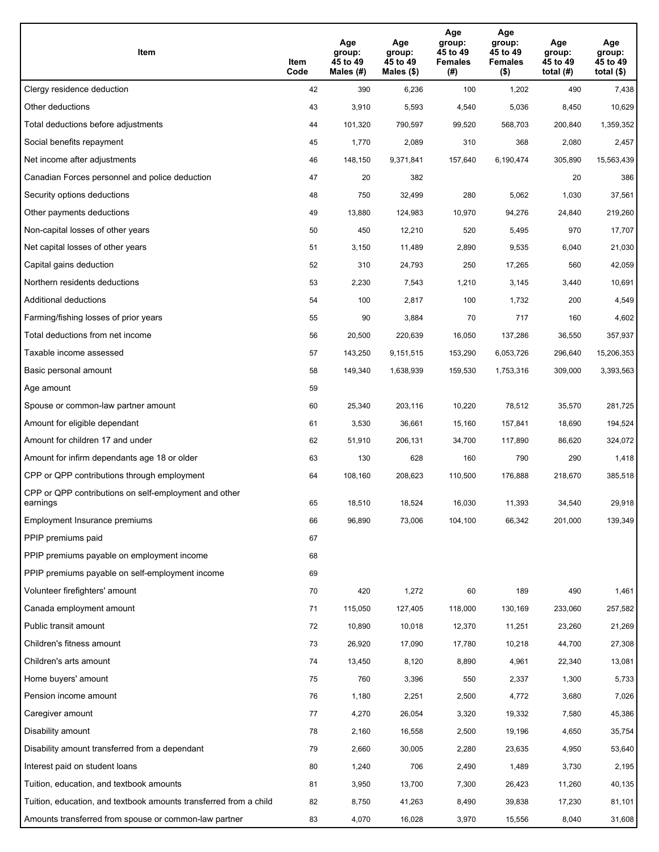| Item                                                              | Item<br>Code | Age<br>group:<br>45 to 49<br>Males (#) | Age<br>group:<br>45 to 49<br>Males (\$) | Age<br>group:<br>45 to 49<br><b>Females</b><br>(# ) | Age<br>group:<br>45 to 49<br><b>Females</b><br>$($ \$) | Age<br>group:<br>45 to 49<br>total $(#)$ | Age<br>group:<br>45 to 49<br>total $($)$ |
|-------------------------------------------------------------------|--------------|----------------------------------------|-----------------------------------------|-----------------------------------------------------|--------------------------------------------------------|------------------------------------------|------------------------------------------|
| Clergy residence deduction                                        | 42           | 390                                    | 6,236                                   | 100                                                 | 1,202                                                  | 490                                      | 7,438                                    |
| Other deductions                                                  | 43           | 3,910                                  | 5,593                                   | 4,540                                               | 5,036                                                  | 8,450                                    | 10,629                                   |
| Total deductions before adjustments                               | 44           | 101,320                                | 790,597                                 | 99,520                                              | 568,703                                                | 200,840                                  | 1,359,352                                |
| Social benefits repayment                                         | 45           | 1,770                                  | 2,089                                   | 310                                                 | 368                                                    | 2,080                                    | 2,457                                    |
| Net income after adjustments                                      | 46           | 148,150                                | 9,371,841                               | 157,640                                             | 6,190,474                                              | 305,890                                  | 15,563,439                               |
| Canadian Forces personnel and police deduction                    | 47           | 20                                     | 382                                     |                                                     |                                                        | 20                                       | 386                                      |
| Security options deductions                                       | 48           | 750                                    | 32,499                                  | 280                                                 | 5,062                                                  | 1,030                                    | 37,561                                   |
| Other payments deductions                                         | 49           | 13,880                                 | 124,983                                 | 10,970                                              | 94,276                                                 | 24,840                                   | 219,260                                  |
| Non-capital losses of other years                                 | 50           | 450                                    | 12,210                                  | 520                                                 | 5,495                                                  | 970                                      | 17,707                                   |
| Net capital losses of other years                                 | 51           | 3,150                                  | 11,489                                  | 2,890                                               | 9,535                                                  | 6,040                                    | 21,030                                   |
| Capital gains deduction                                           | 52           | 310                                    | 24,793                                  | 250                                                 | 17,265                                                 | 560                                      | 42,059                                   |
| Northern residents deductions                                     | 53           | 2,230                                  | 7,543                                   | 1,210                                               | 3,145                                                  | 3,440                                    | 10,691                                   |
| Additional deductions                                             | 54           | 100                                    | 2,817                                   | 100                                                 | 1,732                                                  | 200                                      | 4,549                                    |
| Farming/fishing losses of prior years                             | 55           | 90                                     | 3,884                                   | 70                                                  | 717                                                    | 160                                      | 4,602                                    |
| Total deductions from net income                                  | 56           | 20,500                                 | 220,639                                 | 16,050                                              | 137,286                                                | 36,550                                   | 357,937                                  |
| Taxable income assessed                                           | 57           | 143,250                                | 9,151,515                               | 153,290                                             | 6,053,726                                              | 296,640                                  | 15,206,353                               |
| Basic personal amount                                             | 58           | 149,340                                | 1,638,939                               | 159,530                                             | 1,753,316                                              | 309,000                                  | 3,393,563                                |
| Age amount                                                        | 59           |                                        |                                         |                                                     |                                                        |                                          |                                          |
| Spouse or common-law partner amount                               | 60           | 25,340                                 | 203,116                                 | 10,220                                              | 78,512                                                 | 35,570                                   | 281,725                                  |
| Amount for eligible dependant                                     | 61           | 3,530                                  | 36,661                                  | 15,160                                              | 157,841                                                | 18,690                                   | 194,524                                  |
| Amount for children 17 and under                                  | 62           | 51,910                                 | 206,131                                 | 34,700                                              | 117,890                                                | 86,620                                   | 324,072                                  |
| Amount for infirm dependants age 18 or older                      | 63           | 130                                    | 628                                     | 160                                                 | 790                                                    | 290                                      | 1,418                                    |
| CPP or QPP contributions through employment                       | 64           | 108,160                                | 208,623                                 | 110,500                                             | 176,888                                                | 218,670                                  | 385,518                                  |
| CPP or QPP contributions on self-employment and other<br>earnings | 65           | 18,510                                 | 18,524                                  | 16,030                                              | 11,393                                                 | 34,540                                   | 29,918                                   |
| Employment Insurance premiums                                     | 66           | 96,890                                 | 73,006                                  | 104,100                                             | 66,342                                                 | 201,000                                  | 139,349                                  |
| PPIP premiums paid                                                | 67           |                                        |                                         |                                                     |                                                        |                                          |                                          |
| PPIP premiums payable on employment income                        | 68           |                                        |                                         |                                                     |                                                        |                                          |                                          |
| PPIP premiums payable on self-employment income                   | 69           |                                        |                                         |                                                     |                                                        |                                          |                                          |
| Volunteer firefighters' amount                                    | 70           | 420                                    | 1,272                                   | 60                                                  | 189                                                    | 490                                      | 1,461                                    |
| Canada employment amount                                          | 71           | 115,050                                | 127,405                                 | 118,000                                             | 130,169                                                | 233,060                                  | 257,582                                  |
| Public transit amount                                             | 72           | 10,890                                 | 10,018                                  | 12,370                                              | 11,251                                                 | 23,260                                   | 21,269                                   |
| Children's fitness amount                                         | 73           | 26,920                                 | 17,090                                  | 17,780                                              | 10,218                                                 | 44,700                                   | 27,308                                   |
| Children's arts amount                                            | 74           | 13,450                                 | 8,120                                   | 8,890                                               | 4,961                                                  | 22,340                                   | 13,081                                   |
| Home buyers' amount                                               | 75           | 760                                    | 3,396                                   | 550                                                 | 2,337                                                  | 1,300                                    | 5,733                                    |
| Pension income amount                                             | 76           | 1,180                                  | 2,251                                   | 2,500                                               | 4,772                                                  | 3,680                                    | 7,026                                    |
| Caregiver amount                                                  | $77\,$       | 4,270                                  | 26,054                                  | 3,320                                               | 19,332                                                 | 7,580                                    | 45,386                                   |
| Disability amount                                                 | 78           | 2,160                                  | 16,558                                  | 2,500                                               | 19,196                                                 | 4,650                                    | 35,754                                   |
| Disability amount transferred from a dependant                    | 79           | 2,660                                  | 30,005                                  | 2,280                                               | 23,635                                                 | 4,950                                    | 53,640                                   |
| Interest paid on student loans                                    | 80           | 1,240                                  | 706                                     | 2,490                                               | 1,489                                                  | 3,730                                    | 2,195                                    |
| Tuition, education, and textbook amounts                          | 81           | 3,950                                  | 13,700                                  | 7,300                                               | 26,423                                                 | 11,260                                   | 40,135                                   |
| Tuition, education, and textbook amounts transferred from a child | 82           | 8,750                                  | 41,263                                  | 8,490                                               | 39,838                                                 | 17,230                                   | 81,101                                   |
| Amounts transferred from spouse or common-law partner             | 83           | 4,070                                  | 16,028                                  | 3,970                                               | 15,556                                                 | 8,040                                    | 31,608                                   |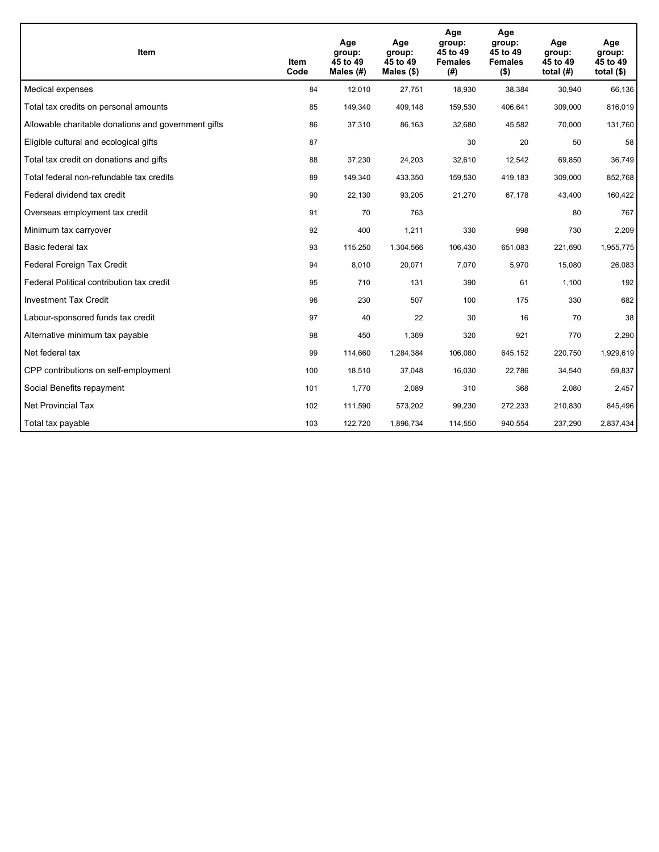| <b>Item</b>                                         | Item<br>Code | Age<br>group:<br>45 to 49<br>Males (#) | Age<br>group:<br>45 to 49<br>Males (\$) | Age<br>group:<br>45 to 49<br><b>Females</b><br>(#) | Age<br>group:<br>45 to 49<br><b>Females</b><br>$($ \$) | Age<br>group:<br>45 to 49<br>total $(H)$ | Age<br>group:<br>45 to 49<br>total $($)$ |
|-----------------------------------------------------|--------------|----------------------------------------|-----------------------------------------|----------------------------------------------------|--------------------------------------------------------|------------------------------------------|------------------------------------------|
| Medical expenses                                    | 84           | 12,010                                 | 27,751                                  | 18,930                                             | 38,384                                                 | 30,940                                   | 66,136                                   |
| Total tax credits on personal amounts               | 85           | 149,340                                | 409,148                                 | 159,530                                            | 406,641                                                | 309,000                                  | 816,019                                  |
| Allowable charitable donations and government gifts | 86           | 37,310                                 | 86,163                                  | 32,680                                             | 45,582                                                 | 70,000                                   | 131,760                                  |
| Eligible cultural and ecological gifts              | 87           |                                        |                                         | 30                                                 | 20                                                     | 50                                       | 58                                       |
| Total tax credit on donations and gifts             | 88           | 37,230                                 | 24,203                                  | 32,610                                             | 12,542                                                 | 69,850                                   | 36,749                                   |
| Total federal non-refundable tax credits            | 89           | 149,340                                | 433,350                                 | 159,530                                            | 419,183                                                | 309,000                                  | 852,768                                  |
| Federal dividend tax credit                         | 90           | 22,130                                 | 93,205                                  | 21,270                                             | 67,178                                                 | 43,400                                   | 160,422                                  |
| Overseas employment tax credit                      | 91           | 70                                     | 763                                     |                                                    |                                                        | 80                                       | 767                                      |
| Minimum tax carryover                               | 92           | 400                                    | 1,211                                   | 330                                                | 998                                                    | 730                                      | 2,209                                    |
| Basic federal tax                                   | 93           | 115,250                                | 1,304,566                               | 106,430                                            | 651,083                                                | 221,690                                  | 1,955,775                                |
| Federal Foreign Tax Credit                          | 94           | 8,010                                  | 20,071                                  | 7,070                                              | 5,970                                                  | 15,080                                   | 26,083                                   |
| Federal Political contribution tax credit           | 95           | 710                                    | 131                                     | 390                                                | 61                                                     | 1,100                                    | 192                                      |
| <b>Investment Tax Credit</b>                        | 96           | 230                                    | 507                                     | 100                                                | 175                                                    | 330                                      | 682                                      |
| Labour-sponsored funds tax credit                   | 97           | 40                                     | 22                                      | 30                                                 | 16                                                     | 70                                       | 38                                       |
| Alternative minimum tax payable                     | 98           | 450                                    | 1,369                                   | 320                                                | 921                                                    | 770                                      | 2,290                                    |
| Net federal tax                                     | 99           | 114,660                                | 1,284,384                               | 106,080                                            | 645,152                                                | 220,750                                  | 1,929,619                                |
| CPP contributions on self-employment                | 100          | 18,510                                 | 37,048                                  | 16,030                                             | 22,786                                                 | 34,540                                   | 59,837                                   |
| Social Benefits repayment                           | 101          | 1,770                                  | 2,089                                   | 310                                                | 368                                                    | 2,080                                    | 2,457                                    |
| Net Provincial Tax                                  | 102          | 111,590                                | 573,202                                 | 99,230                                             | 272,233                                                | 210,830                                  | 845,496                                  |
| Total tax payable                                   | 103          | 122,720                                | 1,896,734                               | 114,550                                            | 940,554                                                | 237,290                                  | 2,837,434                                |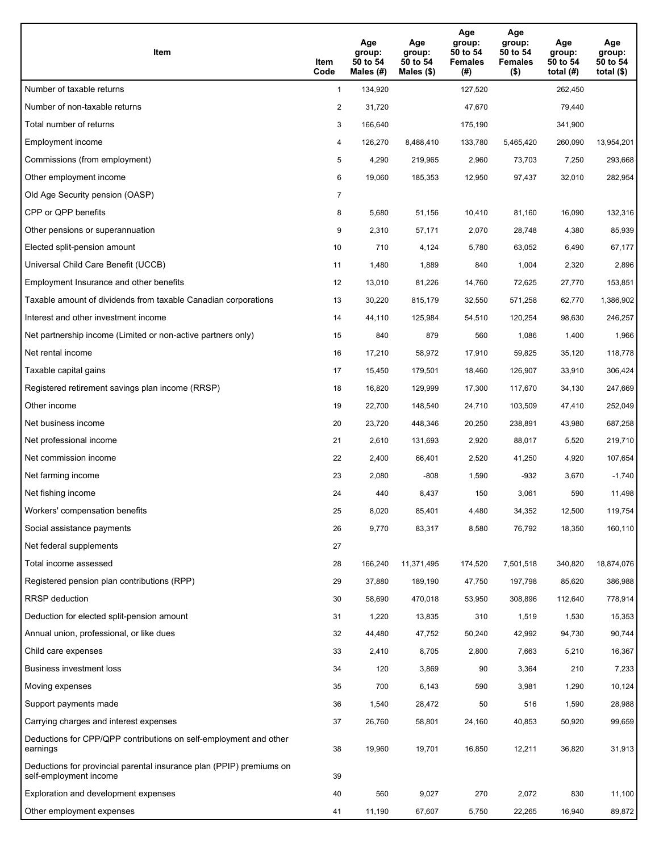| Item                                                                                           | Item<br>Code   | Age<br>group:<br>50 to 54<br>Males $(H)$ | Age<br>group:<br>50 to 54<br>Males (\$) | Age<br>group:<br>50 to 54<br><b>Females</b><br>(#) | Age<br>group:<br>50 to 54<br><b>Females</b><br>$($ \$) | Age<br>group:<br>50 to 54<br>total $(H)$ | Age<br>group:<br>50 to 54<br>total $($)$ |
|------------------------------------------------------------------------------------------------|----------------|------------------------------------------|-----------------------------------------|----------------------------------------------------|--------------------------------------------------------|------------------------------------------|------------------------------------------|
| Number of taxable returns                                                                      | $\mathbf{1}$   | 134,920                                  |                                         | 127,520                                            |                                                        | 262,450                                  |                                          |
| Number of non-taxable returns                                                                  | 2              | 31,720                                   |                                         | 47,670                                             |                                                        | 79,440                                   |                                          |
| Total number of returns                                                                        | 3              | 166,640                                  |                                         | 175,190                                            |                                                        | 341,900                                  |                                          |
| Employment income                                                                              | 4              | 126,270                                  | 8,488,410                               | 133,780                                            | 5,465,420                                              | 260,090                                  | 13,954,201                               |
| Commissions (from employment)                                                                  | 5              | 4,290                                    | 219,965                                 | 2,960                                              | 73,703                                                 | 7,250                                    | 293,668                                  |
| Other employment income                                                                        | 6              | 19,060                                   | 185,353                                 | 12,950                                             | 97,437                                                 | 32,010                                   | 282,954                                  |
| Old Age Security pension (OASP)                                                                | $\overline{7}$ |                                          |                                         |                                                    |                                                        |                                          |                                          |
| CPP or QPP benefits                                                                            | 8              | 5,680                                    | 51,156                                  | 10,410                                             | 81,160                                                 | 16,090                                   | 132,316                                  |
| Other pensions or superannuation                                                               | 9              | 2,310                                    | 57,171                                  | 2,070                                              | 28,748                                                 | 4,380                                    | 85,939                                   |
| Elected split-pension amount                                                                   | 10             | 710                                      | 4,124                                   | 5,780                                              | 63,052                                                 | 6,490                                    | 67,177                                   |
| Universal Child Care Benefit (UCCB)                                                            | 11             | 1,480                                    | 1,889                                   | 840                                                | 1,004                                                  | 2,320                                    | 2,896                                    |
| Employment Insurance and other benefits                                                        | 12             | 13,010                                   | 81,226                                  | 14,760                                             | 72,625                                                 | 27,770                                   | 153,851                                  |
| Taxable amount of dividends from taxable Canadian corporations                                 | 13             | 30,220                                   | 815,179                                 | 32,550                                             | 571,258                                                | 62,770                                   | 1,386,902                                |
| Interest and other investment income                                                           | 14             | 44,110                                   | 125,984                                 | 54,510                                             | 120,254                                                | 98,630                                   | 246,257                                  |
| Net partnership income (Limited or non-active partners only)                                   | 15             | 840                                      | 879                                     | 560                                                | 1,086                                                  | 1,400                                    | 1,966                                    |
| Net rental income                                                                              | 16             | 17,210                                   | 58,972                                  | 17,910                                             | 59,825                                                 | 35,120                                   | 118,778                                  |
| Taxable capital gains                                                                          | 17             | 15,450                                   | 179,501                                 | 18,460                                             | 126,907                                                | 33,910                                   | 306,424                                  |
| Registered retirement savings plan income (RRSP)                                               | 18             | 16,820                                   | 129,999                                 | 17,300                                             | 117,670                                                | 34,130                                   | 247,669                                  |
| Other income                                                                                   | 19             | 22,700                                   | 148,540                                 | 24,710                                             | 103,509                                                | 47,410                                   | 252,049                                  |
| Net business income                                                                            | 20             | 23,720                                   | 448,346                                 | 20,250                                             | 238,891                                                | 43,980                                   | 687,258                                  |
| Net professional income                                                                        | 21             | 2,610                                    | 131,693                                 | 2,920                                              | 88,017                                                 | 5,520                                    | 219,710                                  |
| Net commission income                                                                          | 22             | 2,400                                    | 66,401                                  | 2,520                                              | 41,250                                                 | 4,920                                    | 107,654                                  |
| Net farming income                                                                             | 23             | 2,080                                    | $-808$                                  | 1,590                                              | -932                                                   | 3,670                                    | $-1,740$                                 |
| Net fishing income                                                                             | 24             | 440                                      | 8,437                                   | 150                                                | 3,061                                                  | 590                                      | 11,498                                   |
| Workers' compensation benefits                                                                 | 25             | 8,020                                    | 85,401                                  | 4,480                                              | 34,352                                                 | 12,500                                   | 119,754                                  |
| Social assistance payments                                                                     | 26             | 9,770                                    | 83,317                                  | 8,580                                              | 76,792                                                 | 18,350                                   | 160,110                                  |
| Net federal supplements                                                                        | 27             |                                          |                                         |                                                    |                                                        |                                          |                                          |
| Total income assessed                                                                          | 28             | 166,240                                  | 11,371,495                              | 174,520                                            | 7,501,518                                              | 340,820                                  | 18,874,076                               |
| Registered pension plan contributions (RPP)                                                    | 29             | 37,880                                   | 189,190                                 | 47,750                                             | 197,798                                                | 85,620                                   | 386,988                                  |
| RRSP deduction                                                                                 | 30             | 58,690                                   | 470,018                                 | 53,950                                             | 308,896                                                | 112,640                                  | 778,914                                  |
| Deduction for elected split-pension amount                                                     | 31             | 1,220                                    | 13,835                                  | 310                                                | 1,519                                                  | 1,530                                    | 15,353                                   |
| Annual union, professional, or like dues                                                       | 32             | 44,480                                   | 47,752                                  | 50,240                                             | 42,992                                                 | 94,730                                   | 90,744                                   |
| Child care expenses                                                                            | 33             | 2,410                                    | 8,705                                   | 2,800                                              | 7,663                                                  | 5,210                                    | 16,367                                   |
| Business investment loss                                                                       | 34             | 120                                      | 3,869                                   | 90                                                 | 3,364                                                  | 210                                      | 7,233                                    |
| Moving expenses                                                                                | 35             | 700                                      | 6,143                                   | 590                                                | 3,981                                                  | 1,290                                    | 10,124                                   |
| Support payments made                                                                          | 36             | 1,540                                    | 28,472                                  | 50                                                 | 516                                                    | 1,590                                    | 28,988                                   |
| Carrying charges and interest expenses                                                         | 37             | 26,760                                   | 58,801                                  | 24,160                                             | 40,853                                                 | 50,920                                   | 99,659                                   |
| Deductions for CPP/QPP contributions on self-employment and other<br>earnings                  | 38             | 19,960                                   | 19,701                                  | 16,850                                             | 12,211                                                 | 36,820                                   | 31,913                                   |
| Deductions for provincial parental insurance plan (PPIP) premiums on<br>self-employment income | 39             |                                          |                                         |                                                    |                                                        |                                          |                                          |
| Exploration and development expenses                                                           | 40             | 560                                      | 9,027                                   | 270                                                | 2,072                                                  | 830                                      | 11,100                                   |
| Other employment expenses                                                                      | 41             | 11,190                                   | 67,607                                  | 5,750                                              | 22,265                                                 | 16,940                                   | 89,872                                   |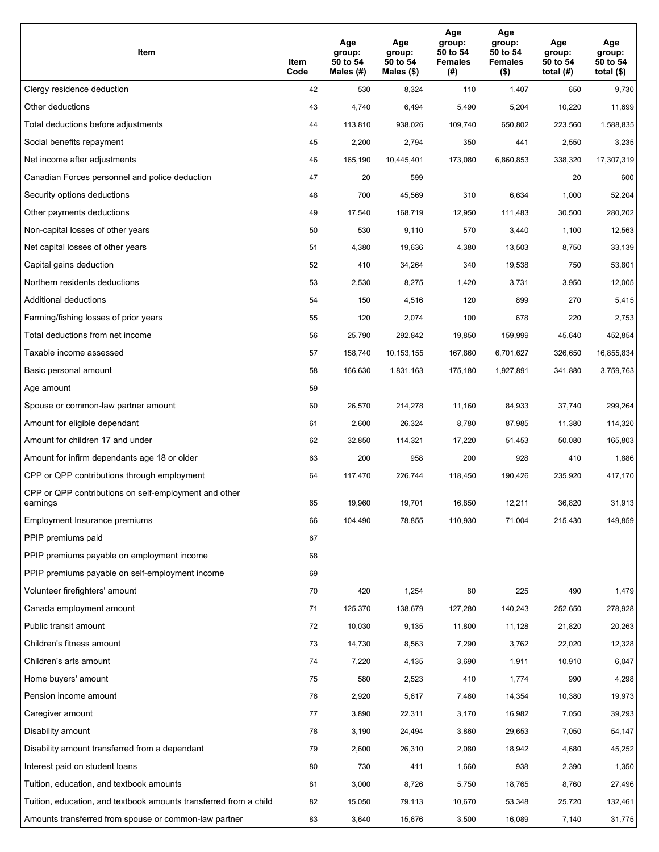| Item                                                              | Item<br>Code | Age<br>group:<br>50 to 54<br>Males (#) | Age<br>group:<br>50 to 54<br>Males (\$) | Age<br>group:<br>50 to 54<br><b>Females</b><br>(# ) | Age<br>group:<br>50 to 54<br><b>Females</b><br>$($ \$) | Age<br>group:<br>50 to 54<br>total $(H)$ | Age<br>group:<br>50 to 54<br>total $($)$ |
|-------------------------------------------------------------------|--------------|----------------------------------------|-----------------------------------------|-----------------------------------------------------|--------------------------------------------------------|------------------------------------------|------------------------------------------|
| Clergy residence deduction                                        | 42           | 530                                    | 8,324                                   | 110                                                 | 1,407                                                  | 650                                      | 9,730                                    |
| Other deductions                                                  | 43           | 4,740                                  | 6,494                                   | 5,490                                               | 5,204                                                  | 10,220                                   | 11,699                                   |
| Total deductions before adjustments                               | 44           | 113,810                                | 938,026                                 | 109,740                                             | 650,802                                                | 223,560                                  | 1,588,835                                |
| Social benefits repayment                                         | 45           | 2,200                                  | 2,794                                   | 350                                                 | 441                                                    | 2,550                                    | 3,235                                    |
| Net income after adjustments                                      | 46           | 165,190                                | 10,445,401                              | 173,080                                             | 6,860,853                                              | 338,320                                  | 17,307,319                               |
| Canadian Forces personnel and police deduction                    | 47           | 20                                     | 599                                     |                                                     |                                                        | 20                                       | 600                                      |
| Security options deductions                                       | 48           | 700                                    | 45,569                                  | 310                                                 | 6,634                                                  | 1,000                                    | 52,204                                   |
| Other payments deductions                                         | 49           | 17,540                                 | 168,719                                 | 12,950                                              | 111,483                                                | 30,500                                   | 280,202                                  |
| Non-capital losses of other years                                 | 50           | 530                                    | 9,110                                   | 570                                                 | 3,440                                                  | 1,100                                    | 12,563                                   |
| Net capital losses of other years                                 | 51           | 4,380                                  | 19,636                                  | 4,380                                               | 13,503                                                 | 8,750                                    | 33,139                                   |
| Capital gains deduction                                           | 52           | 410                                    | 34,264                                  | 340                                                 | 19,538                                                 | 750                                      | 53,801                                   |
| Northern residents deductions                                     | 53           | 2,530                                  | 8,275                                   | 1,420                                               | 3,731                                                  | 3,950                                    | 12,005                                   |
| Additional deductions                                             | 54           | 150                                    | 4,516                                   | 120                                                 | 899                                                    | 270                                      | 5,415                                    |
| Farming/fishing losses of prior years                             | 55           | 120                                    | 2,074                                   | 100                                                 | 678                                                    | 220                                      | 2,753                                    |
| Total deductions from net income                                  | 56           | 25,790                                 | 292,842                                 | 19,850                                              | 159,999                                                | 45,640                                   | 452,854                                  |
| Taxable income assessed                                           | 57           | 158,740                                | 10, 153, 155                            | 167,860                                             | 6,701,627                                              | 326,650                                  | 16,855,834                               |
| Basic personal amount                                             | 58           | 166,630                                | 1,831,163                               | 175,180                                             | 1,927,891                                              | 341,880                                  | 3,759,763                                |
| Age amount                                                        | 59           |                                        |                                         |                                                     |                                                        |                                          |                                          |
| Spouse or common-law partner amount                               | 60           | 26,570                                 | 214,278                                 | 11,160                                              | 84,933                                                 | 37,740                                   | 299,264                                  |
| Amount for eligible dependant                                     | 61           | 2,600                                  | 26,324                                  | 8,780                                               | 87,985                                                 | 11,380                                   | 114,320                                  |
| Amount for children 17 and under                                  | 62           | 32,850                                 | 114,321                                 | 17,220                                              | 51,453                                                 | 50,080                                   | 165,803                                  |
| Amount for infirm dependants age 18 or older                      | 63           | 200                                    | 958                                     | 200                                                 | 928                                                    | 410                                      | 1,886                                    |
| CPP or QPP contributions through employment                       | 64           | 117,470                                | 226,744                                 | 118,450                                             | 190,426                                                | 235,920                                  | 417,170                                  |
| CPP or QPP contributions on self-employment and other<br>earnings | 65           | 19,960                                 | 19,701                                  | 16,850                                              | 12,211                                                 | 36,820                                   | 31,913                                   |
| Employment Insurance premiums                                     | 66           | 104,490                                | 78,855                                  | 110,930                                             | 71,004                                                 | 215,430                                  | 149,859                                  |
| PPIP premiums paid                                                | 67           |                                        |                                         |                                                     |                                                        |                                          |                                          |
| PPIP premiums payable on employment income                        | 68           |                                        |                                         |                                                     |                                                        |                                          |                                          |
| PPIP premiums payable on self-employment income                   | 69           |                                        |                                         |                                                     |                                                        |                                          |                                          |
| Volunteer firefighters' amount                                    | 70           | 420                                    | 1,254                                   | 80                                                  | 225                                                    | 490                                      | 1,479                                    |
| Canada employment amount                                          | 71           | 125,370                                | 138,679                                 | 127,280                                             | 140,243                                                | 252,650                                  | 278,928                                  |
| Public transit amount                                             | 72           | 10,030                                 | 9,135                                   | 11,800                                              | 11,128                                                 | 21,820                                   | 20,263                                   |
| Children's fitness amount                                         | 73           | 14,730                                 | 8,563                                   | 7,290                                               | 3,762                                                  | 22,020                                   | 12,328                                   |
| Children's arts amount                                            | 74           | 7,220                                  | 4,135                                   | 3,690                                               | 1,911                                                  | 10,910                                   | 6,047                                    |
| Home buyers' amount                                               | 75           | 580                                    | 2,523                                   | 410                                                 | 1,774                                                  | 990                                      | 4,298                                    |
| Pension income amount                                             | 76           | 2,920                                  | 5,617                                   | 7,460                                               | 14,354                                                 | 10,380                                   | 19,973                                   |
| Caregiver amount                                                  | 77           | 3,890                                  | 22,311                                  | 3,170                                               | 16,982                                                 | 7,050                                    | 39,293                                   |
| Disability amount                                                 | 78           | 3,190                                  | 24,494                                  | 3,860                                               | 29,653                                                 | 7,050                                    | 54,147                                   |
| Disability amount transferred from a dependant                    | 79           | 2,600                                  | 26,310                                  | 2,080                                               | 18,942                                                 | 4,680                                    | 45,252                                   |
| Interest paid on student loans                                    | 80           | 730                                    | 411                                     | 1,660                                               | 938                                                    | 2,390                                    | 1,350                                    |
| Tuition, education, and textbook amounts                          | 81           | 3,000                                  | 8,726                                   | 5,750                                               | 18,765                                                 | 8,760                                    | 27,496                                   |
| Tuition, education, and textbook amounts transferred from a child | 82           | 15,050                                 | 79,113                                  | 10,670                                              | 53,348                                                 | 25,720                                   | 132,461                                  |
| Amounts transferred from spouse or common-law partner             | 83           | 3,640                                  | 15,676                                  | 3,500                                               | 16,089                                                 | 7,140                                    | 31,775                                   |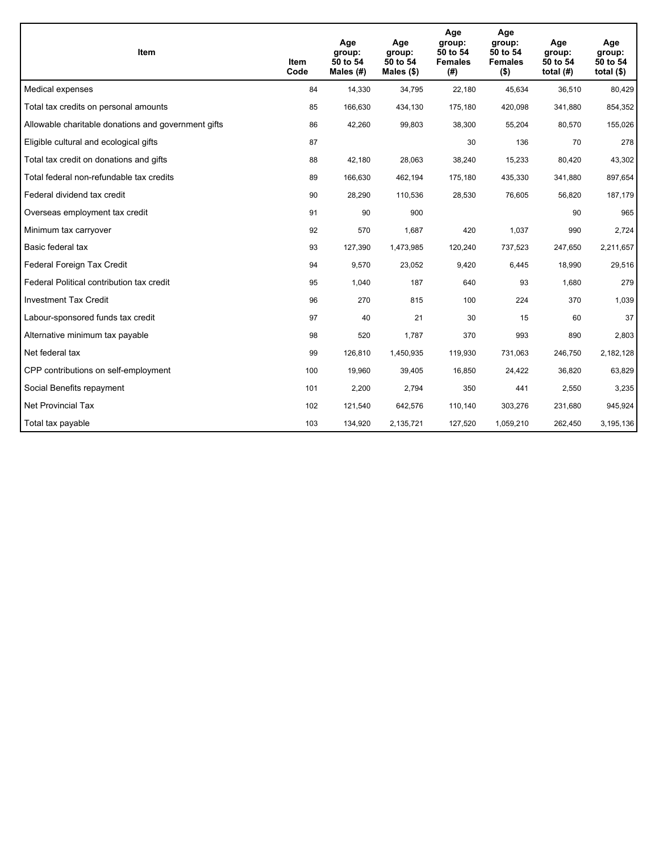| Item                                                | <b>Item</b><br>Code | Age<br>group:<br>50 to 54<br>Males $(H)$ | Age<br>group:<br>50 to 54<br>Males $(\$)$ | Age<br>group:<br>50 to 54<br><b>Females</b><br>(# ) | Age<br>group:<br>50 to 54<br><b>Females</b><br>$($ \$) | Age<br>group:<br>50 to 54<br>total $(H)$ | Age<br>group:<br>50 to 54<br>total $($)$ |
|-----------------------------------------------------|---------------------|------------------------------------------|-------------------------------------------|-----------------------------------------------------|--------------------------------------------------------|------------------------------------------|------------------------------------------|
| Medical expenses                                    | 84                  | 14,330                                   | 34,795                                    | 22,180                                              | 45,634                                                 | 36,510                                   | 80,429                                   |
| Total tax credits on personal amounts               | 85                  | 166,630                                  | 434,130                                   | 175,180                                             | 420,098                                                | 341,880                                  | 854,352                                  |
| Allowable charitable donations and government gifts | 86                  | 42,260                                   | 99,803                                    | 38,300                                              | 55,204                                                 | 80,570                                   | 155,026                                  |
| Eligible cultural and ecological gifts              | 87                  |                                          |                                           | 30                                                  | 136                                                    | 70                                       | 278                                      |
| Total tax credit on donations and gifts             | 88                  | 42,180                                   | 28,063                                    | 38,240                                              | 15,233                                                 | 80,420                                   | 43,302                                   |
| Total federal non-refundable tax credits            | 89                  | 166,630                                  | 462,194                                   | 175,180                                             | 435,330                                                | 341,880                                  | 897,654                                  |
| Federal dividend tax credit                         | 90                  | 28,290                                   | 110,536                                   | 28,530                                              | 76,605                                                 | 56,820                                   | 187,179                                  |
| Overseas employment tax credit                      | 91                  | 90                                       | 900                                       |                                                     |                                                        | 90                                       | 965                                      |
| Minimum tax carryover                               | 92                  | 570                                      | 1,687                                     | 420                                                 | 1,037                                                  | 990                                      | 2,724                                    |
| Basic federal tax                                   | 93                  | 127,390                                  | 1,473,985                                 | 120,240                                             | 737,523                                                | 247,650                                  | 2,211,657                                |
| Federal Foreign Tax Credit                          | 94                  | 9,570                                    | 23,052                                    | 9,420                                               | 6,445                                                  | 18,990                                   | 29,516                                   |
| Federal Political contribution tax credit           | 95                  | 1,040                                    | 187                                       | 640                                                 | 93                                                     | 1,680                                    | 279                                      |
| <b>Investment Tax Credit</b>                        | 96                  | 270                                      | 815                                       | 100                                                 | 224                                                    | 370                                      | 1,039                                    |
| Labour-sponsored funds tax credit                   | 97                  | 40                                       | 21                                        | 30                                                  | 15                                                     | 60                                       | 37                                       |
| Alternative minimum tax payable                     | 98                  | 520                                      | 1,787                                     | 370                                                 | 993                                                    | 890                                      | 2,803                                    |
| Net federal tax                                     | 99                  | 126,810                                  | 1,450,935                                 | 119,930                                             | 731,063                                                | 246,750                                  | 2,182,128                                |
| CPP contributions on self-employment                | 100                 | 19,960                                   | 39,405                                    | 16,850                                              | 24,422                                                 | 36,820                                   | 63,829                                   |
| Social Benefits repayment                           | 101                 | 2,200                                    | 2,794                                     | 350                                                 | 441                                                    | 2,550                                    | 3,235                                    |
| Net Provincial Tax                                  | 102                 | 121,540                                  | 642,576                                   | 110,140                                             | 303,276                                                | 231,680                                  | 945,924                                  |
| Total tax payable                                   | 103                 | 134,920                                  | 2,135,721                                 | 127,520                                             | 1,059,210                                              | 262,450                                  | 3,195,136                                |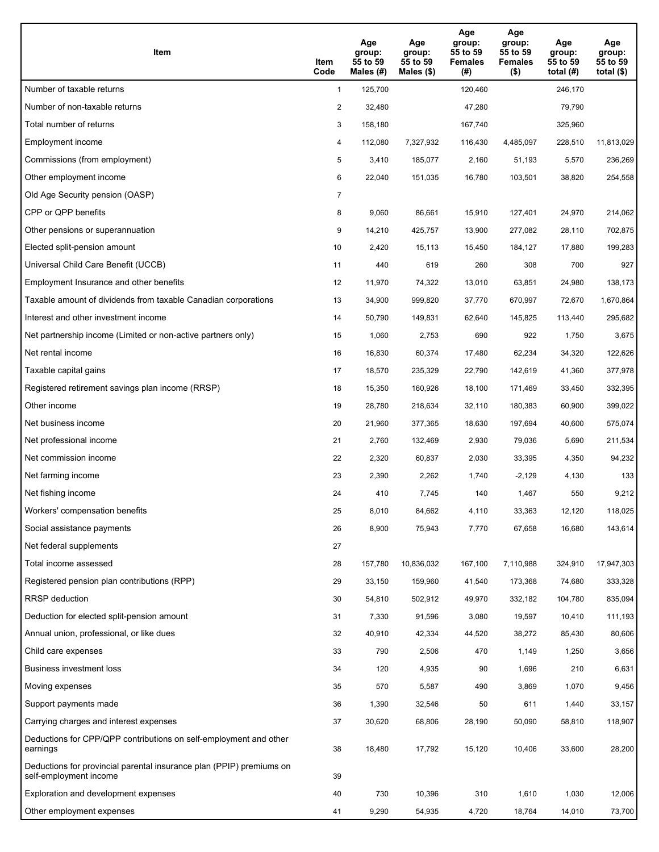| Item                                                                                           | Item<br>Code   | Age<br>group:<br>55 to 59<br>Males $(\#)$ | Age<br>group:<br>55 to 59<br>Males $(\$)$ | Age<br>group:<br>55 to 59<br><b>Females</b><br>(#) | Age<br>group:<br>55 to 59<br><b>Females</b><br>$($ \$) | Age<br>group:<br>55 to 59<br>total $(H)$ | Age<br>group:<br>55 to 59<br>total $(\$)$ |
|------------------------------------------------------------------------------------------------|----------------|-------------------------------------------|-------------------------------------------|----------------------------------------------------|--------------------------------------------------------|------------------------------------------|-------------------------------------------|
| Number of taxable returns                                                                      | $\mathbf{1}$   | 125,700                                   |                                           | 120,460                                            |                                                        | 246,170                                  |                                           |
| Number of non-taxable returns                                                                  | $\overline{c}$ | 32,480                                    |                                           | 47,280                                             |                                                        | 79,790                                   |                                           |
| Total number of returns                                                                        | 3              | 158,180                                   |                                           | 167,740                                            |                                                        | 325,960                                  |                                           |
| Employment income                                                                              | 4              | 112,080                                   | 7,327,932                                 | 116,430                                            | 4,485,097                                              | 228,510                                  | 11,813,029                                |
| Commissions (from employment)                                                                  | 5              | 3,410                                     | 185,077                                   | 2,160                                              | 51,193                                                 | 5,570                                    | 236,269                                   |
| Other employment income                                                                        | 6              | 22,040                                    | 151,035                                   | 16,780                                             | 103,501                                                | 38,820                                   | 254,558                                   |
| Old Age Security pension (OASP)                                                                | $\overline{7}$ |                                           |                                           |                                                    |                                                        |                                          |                                           |
| CPP or QPP benefits                                                                            | 8              | 9,060                                     | 86,661                                    | 15,910                                             | 127,401                                                | 24,970                                   | 214,062                                   |
| Other pensions or superannuation                                                               | 9              | 14,210                                    | 425,757                                   | 13,900                                             | 277,082                                                | 28,110                                   | 702,875                                   |
| Elected split-pension amount                                                                   | 10             | 2,420                                     | 15,113                                    | 15,450                                             | 184,127                                                | 17,880                                   | 199,283                                   |
| Universal Child Care Benefit (UCCB)                                                            | 11             | 440                                       | 619                                       | 260                                                | 308                                                    | 700                                      | 927                                       |
| Employment Insurance and other benefits                                                        | 12             | 11,970                                    | 74,322                                    | 13,010                                             | 63,851                                                 | 24,980                                   | 138,173                                   |
| Taxable amount of dividends from taxable Canadian corporations                                 | 13             | 34,900                                    | 999,820                                   | 37,770                                             | 670,997                                                | 72,670                                   | 1,670,864                                 |
| Interest and other investment income                                                           | 14             | 50,790                                    | 149,831                                   | 62,640                                             | 145,825                                                | 113,440                                  | 295,682                                   |
| Net partnership income (Limited or non-active partners only)                                   | 15             | 1,060                                     | 2,753                                     | 690                                                | 922                                                    | 1,750                                    | 3,675                                     |
| Net rental income                                                                              | 16             | 16,830                                    | 60,374                                    | 17,480                                             | 62,234                                                 | 34,320                                   | 122,626                                   |
| Taxable capital gains                                                                          | 17             | 18,570                                    | 235,329                                   | 22,790                                             | 142,619                                                | 41,360                                   | 377,978                                   |
| Registered retirement savings plan income (RRSP)                                               | 18             | 15,350                                    | 160,926                                   | 18,100                                             | 171,469                                                | 33,450                                   | 332,395                                   |
| Other income                                                                                   | 19             | 28,780                                    | 218,634                                   | 32,110                                             | 180,383                                                | 60,900                                   | 399,022                                   |
| Net business income                                                                            | 20             | 21,960                                    | 377,365                                   | 18,630                                             | 197,694                                                | 40,600                                   | 575,074                                   |
| Net professional income                                                                        | 21             | 2,760                                     | 132,469                                   | 2,930                                              | 79,036                                                 | 5,690                                    | 211,534                                   |
| Net commission income                                                                          | 22             | 2,320                                     | 60,837                                    | 2,030                                              | 33,395                                                 | 4,350                                    | 94,232                                    |
| Net farming income                                                                             | 23             | 2,390                                     | 2,262                                     | 1,740                                              | $-2,129$                                               | 4,130                                    | 133                                       |
| Net fishing income                                                                             | 24             | 410                                       | 7,745                                     | 140                                                | 1,467                                                  | 550                                      | 9,212                                     |
| Workers' compensation benefits                                                                 | 25             | 8,010                                     | 84,662                                    | 4,110                                              | 33,363                                                 | 12,120                                   | 118,025                                   |
| Social assistance payments                                                                     | 26             | 8,900                                     | 75,943                                    | 7,770                                              | 67,658                                                 | 16,680                                   | 143,614                                   |
| Net federal supplements                                                                        | 27             |                                           |                                           |                                                    |                                                        |                                          |                                           |
| Total income assessed                                                                          | 28             | 157,780                                   | 10,836,032                                | 167,100                                            | 7,110,988                                              | 324,910                                  | 17,947,303                                |
| Registered pension plan contributions (RPP)                                                    | 29             | 33,150                                    | 159,960                                   | 41,540                                             | 173,368                                                | 74,680                                   | 333,328                                   |
| <b>RRSP</b> deduction                                                                          | 30             | 54,810                                    | 502,912                                   | 49,970                                             | 332,182                                                | 104,780                                  | 835,094                                   |
| Deduction for elected split-pension amount                                                     | 31             | 7,330                                     | 91,596                                    | 3,080                                              | 19,597                                                 | 10,410                                   | 111,193                                   |
| Annual union, professional, or like dues                                                       | 32             | 40,910                                    | 42,334                                    | 44,520                                             | 38,272                                                 | 85,430                                   | 80,606                                    |
| Child care expenses                                                                            | 33             | 790                                       | 2,506                                     | 470                                                | 1,149                                                  | 1,250                                    | 3,656                                     |
| Business investment loss                                                                       | 34             | 120                                       | 4,935                                     | 90                                                 | 1,696                                                  | 210                                      | 6,631                                     |
| Moving expenses                                                                                | 35             | 570                                       | 5,587                                     | 490                                                | 3,869                                                  | 1,070                                    | 9,456                                     |
| Support payments made                                                                          | 36             | 1,390                                     | 32,546                                    | 50                                                 | 611                                                    | 1,440                                    | 33,157                                    |
| Carrying charges and interest expenses                                                         | 37             | 30,620                                    | 68,806                                    | 28,190                                             | 50,090                                                 | 58,810                                   | 118,907                                   |
| Deductions for CPP/QPP contributions on self-employment and other<br>earnings                  | 38             | 18,480                                    | 17,792                                    | 15,120                                             | 10,406                                                 | 33,600                                   | 28,200                                    |
| Deductions for provincial parental insurance plan (PPIP) premiums on<br>self-employment income | 39             |                                           |                                           |                                                    |                                                        |                                          |                                           |
| Exploration and development expenses                                                           | 40             | 730                                       | 10,396                                    | 310                                                | 1,610                                                  | 1,030                                    | 12,006                                    |
| Other employment expenses                                                                      | 41             | 9,290                                     | 54,935                                    | 4,720                                              | 18,764                                                 | 14,010                                   | 73,700                                    |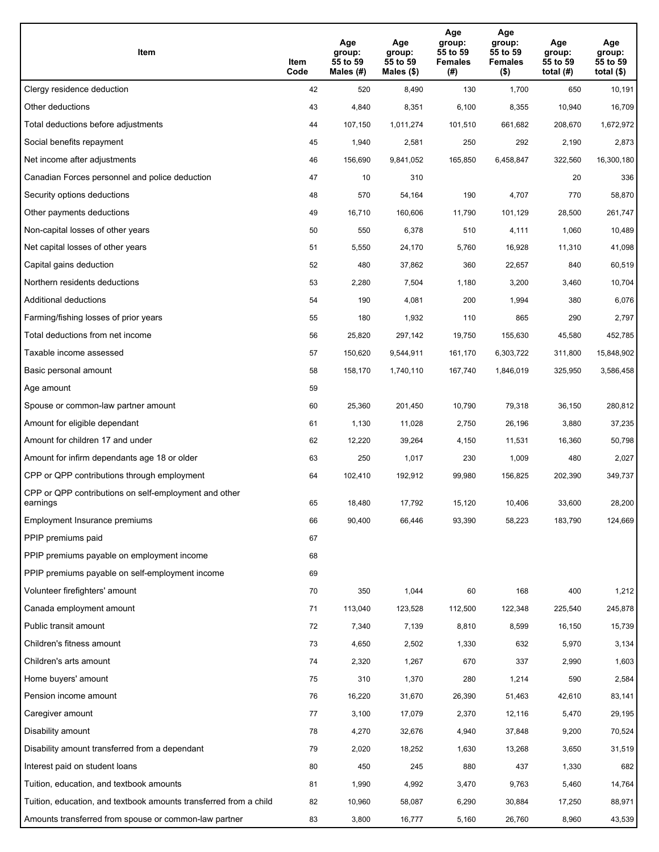| Item                                                              | Item<br>Code | Age<br>group:<br>55 to 59<br>Males (#) | Age<br>group:<br>55 to 59<br>Males (\$) | Age<br>group:<br>55 to 59<br><b>Females</b><br>(#) | Age<br>group:<br>55 to 59<br><b>Females</b><br>$($ \$) | Age<br>group:<br>55 to 59<br>total $(H)$ | Age<br>group:<br>55 to 59<br>total $($)$ |
|-------------------------------------------------------------------|--------------|----------------------------------------|-----------------------------------------|----------------------------------------------------|--------------------------------------------------------|------------------------------------------|------------------------------------------|
| Clergy residence deduction                                        | 42           | 520                                    | 8,490                                   | 130                                                | 1,700                                                  | 650                                      | 10,191                                   |
| Other deductions                                                  | 43           | 4,840                                  | 8,351                                   | 6,100                                              | 8,355                                                  | 10,940                                   | 16,709                                   |
| Total deductions before adjustments                               | 44           | 107,150                                | 1,011,274                               | 101,510                                            | 661,682                                                | 208,670                                  | 1,672,972                                |
| Social benefits repayment                                         | 45           | 1,940                                  | 2,581                                   | 250                                                | 292                                                    | 2,190                                    | 2,873                                    |
| Net income after adjustments                                      | 46           | 156,690                                | 9,841,052                               | 165,850                                            | 6,458,847                                              | 322,560                                  | 16,300,180                               |
| Canadian Forces personnel and police deduction                    | 47           | 10                                     | 310                                     |                                                    |                                                        | 20                                       | 336                                      |
| Security options deductions                                       | 48           | 570                                    | 54,164                                  | 190                                                | 4,707                                                  | 770                                      | 58,870                                   |
| Other payments deductions                                         | 49           | 16,710                                 | 160,606                                 | 11,790                                             | 101,129                                                | 28,500                                   | 261,747                                  |
| Non-capital losses of other years                                 | 50           | 550                                    | 6,378                                   | 510                                                | 4,111                                                  | 1,060                                    | 10,489                                   |
| Net capital losses of other years                                 | 51           | 5,550                                  | 24,170                                  | 5,760                                              | 16,928                                                 | 11,310                                   | 41,098                                   |
| Capital gains deduction                                           | 52           | 480                                    | 37,862                                  | 360                                                | 22,657                                                 | 840                                      | 60,519                                   |
| Northern residents deductions                                     | 53           | 2,280                                  | 7,504                                   | 1,180                                              | 3,200                                                  | 3,460                                    | 10,704                                   |
| Additional deductions                                             | 54           | 190                                    | 4,081                                   | 200                                                | 1,994                                                  | 380                                      | 6,076                                    |
| Farming/fishing losses of prior years                             | 55           | 180                                    | 1,932                                   | 110                                                | 865                                                    | 290                                      | 2,797                                    |
| Total deductions from net income                                  | 56           | 25,820                                 | 297,142                                 | 19,750                                             | 155,630                                                | 45,580                                   | 452,785                                  |
| Taxable income assessed                                           | 57           | 150,620                                | 9,544,911                               | 161,170                                            | 6,303,722                                              | 311,800                                  | 15,848,902                               |
| Basic personal amount                                             | 58           | 158,170                                | 1,740,110                               | 167,740                                            | 1,846,019                                              | 325,950                                  | 3,586,458                                |
| Age amount                                                        | 59           |                                        |                                         |                                                    |                                                        |                                          |                                          |
| Spouse or common-law partner amount                               | 60           | 25,360                                 | 201,450                                 | 10,790                                             | 79,318                                                 | 36,150                                   | 280,812                                  |
| Amount for eligible dependant                                     | 61           | 1,130                                  | 11,028                                  | 2,750                                              | 26,196                                                 | 3,880                                    | 37,235                                   |
| Amount for children 17 and under                                  | 62           | 12,220                                 | 39,264                                  | 4,150                                              | 11,531                                                 | 16,360                                   | 50,798                                   |
| Amount for infirm dependants age 18 or older                      | 63           | 250                                    | 1,017                                   | 230                                                | 1,009                                                  | 480                                      | 2,027                                    |
| CPP or QPP contributions through employment                       | 64           | 102,410                                | 192,912                                 | 99,980                                             | 156,825                                                | 202,390                                  | 349,737                                  |
| CPP or QPP contributions on self-employment and other<br>earnings | 65           | 18,480                                 | 17,792                                  | 15,120                                             | 10,406                                                 | 33,600                                   | 28,200                                   |
| Employment Insurance premiums                                     | 66           | 90,400                                 | 66,446                                  | 93,390                                             | 58,223                                                 | 183,790                                  | 124,669                                  |
| PPIP premiums paid                                                | 67           |                                        |                                         |                                                    |                                                        |                                          |                                          |
| PPIP premiums payable on employment income                        | 68           |                                        |                                         |                                                    |                                                        |                                          |                                          |
| PPIP premiums payable on self-employment income                   | 69           |                                        |                                         |                                                    |                                                        |                                          |                                          |
| Volunteer firefighters' amount                                    | 70           | 350                                    | 1,044                                   | 60                                                 | 168                                                    | 400                                      | 1,212                                    |
| Canada employment amount                                          | 71           | 113,040                                | 123,528                                 | 112,500                                            | 122,348                                                | 225,540                                  | 245,878                                  |
| Public transit amount                                             | 72           | 7,340                                  | 7,139                                   | 8,810                                              | 8,599                                                  | 16,150                                   | 15,739                                   |
| Children's fitness amount                                         | 73           | 4,650                                  | 2,502                                   | 1,330                                              | 632                                                    | 5,970                                    | 3,134                                    |
| Children's arts amount                                            | 74           | 2,320                                  | 1,267                                   | 670                                                | 337                                                    | 2,990                                    | 1,603                                    |
| Home buyers' amount                                               | 75           | 310                                    | 1,370                                   | 280                                                | 1,214                                                  | 590                                      | 2,584                                    |
| Pension income amount                                             | 76           | 16,220                                 | 31,670                                  | 26,390                                             | 51,463                                                 | 42,610                                   | 83,141                                   |
| Caregiver amount                                                  | 77           | 3,100                                  | 17,079                                  | 2,370                                              | 12,116                                                 | 5,470                                    | 29,195                                   |
| Disability amount                                                 | 78           | 4,270                                  | 32,676                                  | 4,940                                              | 37,848                                                 | 9,200                                    | 70,524                                   |
| Disability amount transferred from a dependant                    | 79           | 2,020                                  | 18,252                                  | 1,630                                              | 13,268                                                 | 3,650                                    | 31,519                                   |
| Interest paid on student loans                                    | 80           | 450                                    | 245                                     | 880                                                | 437                                                    | 1,330                                    | 682                                      |
| Tuition, education, and textbook amounts                          | 81           | 1,990                                  | 4,992                                   | 3,470                                              | 9,763                                                  | 5,460                                    | 14,764                                   |
| Tuition, education, and textbook amounts transferred from a child | 82           | 10,960                                 | 58,087                                  | 6,290                                              | 30,884                                                 | 17,250                                   | 88,971                                   |
| Amounts transferred from spouse or common-law partner             | 83           | 3,800                                  | 16,777                                  | 5,160                                              | 26,760                                                 | 8,960                                    | 43,539                                   |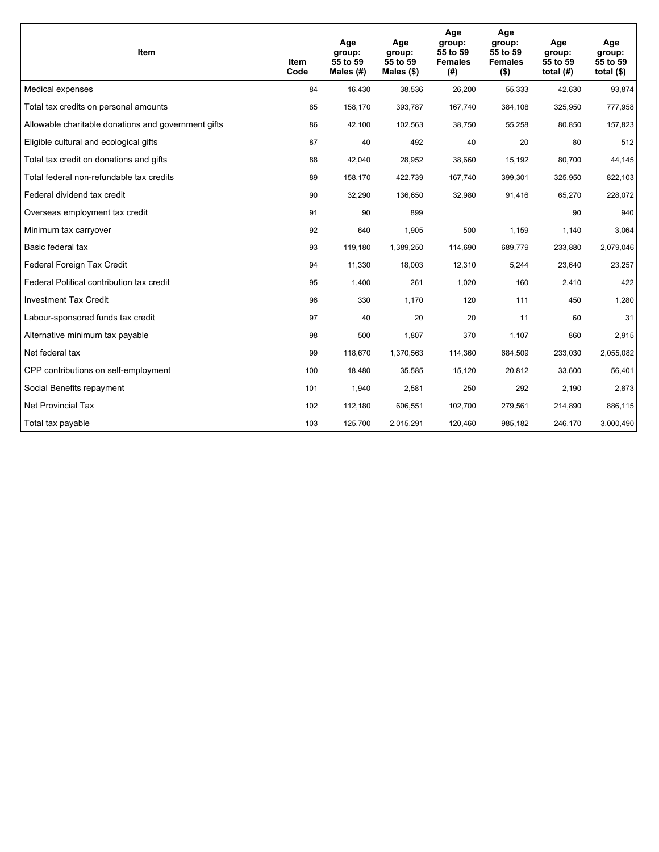| <b>Item</b>                                         | Item<br>Code | Age<br>group:<br>55 to 59<br>Males (#) | Age<br>group:<br>55 to 59<br>Males (\$) | Age<br>group:<br>55 to 59<br><b>Females</b><br>(#) | Age<br>group:<br>55 to 59<br><b>Females</b><br>$($ \$) | Age<br>group:<br>55 to 59<br>total $(H)$ | Age<br>group:<br>55 to 59<br>total $($)$ |
|-----------------------------------------------------|--------------|----------------------------------------|-----------------------------------------|----------------------------------------------------|--------------------------------------------------------|------------------------------------------|------------------------------------------|
| Medical expenses                                    | 84           | 16,430                                 | 38,536                                  | 26,200                                             | 55,333                                                 | 42,630                                   | 93,874                                   |
| Total tax credits on personal amounts               | 85           | 158,170                                | 393,787                                 | 167,740                                            | 384,108                                                | 325,950                                  | 777,958                                  |
| Allowable charitable donations and government gifts | 86           | 42,100                                 | 102,563                                 | 38,750                                             | 55,258                                                 | 80,850                                   | 157,823                                  |
| Eligible cultural and ecological gifts              | 87           | 40                                     | 492                                     | 40                                                 | 20                                                     | 80                                       | 512                                      |
| Total tax credit on donations and gifts             | 88           | 42,040                                 | 28,952                                  | 38,660                                             | 15,192                                                 | 80,700                                   | 44,145                                   |
| Total federal non-refundable tax credits            | 89           | 158,170                                | 422,739                                 | 167,740                                            | 399,301                                                | 325,950                                  | 822,103                                  |
| Federal dividend tax credit                         | 90           | 32,290                                 | 136,650                                 | 32,980                                             | 91,416                                                 | 65,270                                   | 228,072                                  |
| Overseas employment tax credit                      | 91           | 90                                     | 899                                     |                                                    |                                                        | 90                                       | 940                                      |
| Minimum tax carryover                               | 92           | 640                                    | 1,905                                   | 500                                                | 1,159                                                  | 1,140                                    | 3,064                                    |
| Basic federal tax                                   | 93           | 119,180                                | 1,389,250                               | 114,690                                            | 689.779                                                | 233,880                                  | 2,079,046                                |
| Federal Foreign Tax Credit                          | 94           | 11,330                                 | 18,003                                  | 12,310                                             | 5,244                                                  | 23,640                                   | 23,257                                   |
| Federal Political contribution tax credit           | 95           | 1,400                                  | 261                                     | 1,020                                              | 160                                                    | 2,410                                    | 422                                      |
| <b>Investment Tax Credit</b>                        | 96           | 330                                    | 1,170                                   | 120                                                | 111                                                    | 450                                      | 1,280                                    |
| Labour-sponsored funds tax credit                   | 97           | 40                                     | 20                                      | 20                                                 | 11                                                     | 60                                       | 31                                       |
| Alternative minimum tax payable                     | 98           | 500                                    | 1,807                                   | 370                                                | 1,107                                                  | 860                                      | 2,915                                    |
| Net federal tax                                     | 99           | 118,670                                | 1,370,563                               | 114,360                                            | 684,509                                                | 233,030                                  | 2,055,082                                |
| CPP contributions on self-employment                | 100          | 18,480                                 | 35,585                                  | 15,120                                             | 20,812                                                 | 33,600                                   | 56,401                                   |
| Social Benefits repayment                           | 101          | 1,940                                  | 2,581                                   | 250                                                | 292                                                    | 2,190                                    | 2,873                                    |
| Net Provincial Tax                                  | 102          | 112,180                                | 606,551                                 | 102,700                                            | 279,561                                                | 214,890                                  | 886,115                                  |
| Total tax payable                                   | 103          | 125,700                                | 2,015,291                               | 120,460                                            | 985,182                                                | 246,170                                  | 3,000,490                                |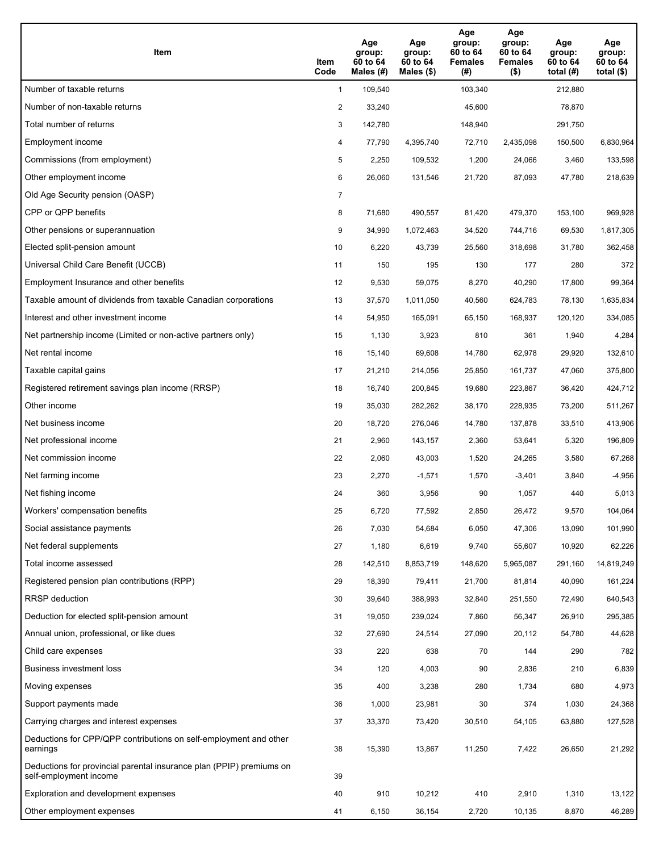| <b>Item</b>                                                                                    | Item<br>Code   | Age<br>group:<br>60 to 64<br>Males $(H)$ | Age<br>group:<br>60 to 64<br>Males (\$) | Age<br>group:<br>60 to 64<br><b>Females</b><br>(#) | Age<br>group:<br>60 to 64<br><b>Females</b><br>$($ \$) | Age<br>group:<br>60 to 64<br>total $(H)$ | Age<br>group:<br>60 to 64<br>total $(\$)$ |
|------------------------------------------------------------------------------------------------|----------------|------------------------------------------|-----------------------------------------|----------------------------------------------------|--------------------------------------------------------|------------------------------------------|-------------------------------------------|
| Number of taxable returns                                                                      | $\mathbf{1}$   | 109,540                                  |                                         | 103,340                                            |                                                        | 212,880                                  |                                           |
| Number of non-taxable returns                                                                  | $\overline{2}$ | 33,240                                   |                                         | 45,600                                             |                                                        | 78,870                                   |                                           |
| Total number of returns                                                                        | 3              | 142,780                                  |                                         | 148,940                                            |                                                        | 291,750                                  |                                           |
| Employment income                                                                              | 4              | 77,790                                   | 4,395,740                               | 72,710                                             | 2,435,098                                              | 150,500                                  | 6,830,964                                 |
| Commissions (from employment)                                                                  | 5              | 2,250                                    | 109,532                                 | 1,200                                              | 24,066                                                 | 3,460                                    | 133,598                                   |
| Other employment income                                                                        | 6              | 26,060                                   | 131,546                                 | 21,720                                             | 87,093                                                 | 47,780                                   | 218,639                                   |
| Old Age Security pension (OASP)                                                                | $\overline{7}$ |                                          |                                         |                                                    |                                                        |                                          |                                           |
| CPP or QPP benefits                                                                            | 8              | 71,680                                   | 490,557                                 | 81,420                                             | 479,370                                                | 153,100                                  | 969,928                                   |
| Other pensions or superannuation                                                               | 9              | 34,990                                   | 1,072,463                               | 34,520                                             | 744,716                                                | 69,530                                   | 1,817,305                                 |
| Elected split-pension amount                                                                   | 10             | 6,220                                    | 43,739                                  | 25,560                                             | 318,698                                                | 31,780                                   | 362,458                                   |
| Universal Child Care Benefit (UCCB)                                                            | 11             | 150                                      | 195                                     | 130                                                | 177                                                    | 280                                      | 372                                       |
| Employment Insurance and other benefits                                                        | 12             | 9,530                                    | 59,075                                  | 8,270                                              | 40,290                                                 | 17,800                                   | 99,364                                    |
| Taxable amount of dividends from taxable Canadian corporations                                 | 13             | 37,570                                   | 1,011,050                               | 40,560                                             | 624,783                                                | 78,130                                   | 1,635,834                                 |
| Interest and other investment income                                                           | 14             | 54,950                                   | 165,091                                 | 65,150                                             | 168,937                                                | 120,120                                  | 334,085                                   |
| Net partnership income (Limited or non-active partners only)                                   | 15             | 1,130                                    | 3,923                                   | 810                                                | 361                                                    | 1,940                                    | 4,284                                     |
| Net rental income                                                                              | 16             | 15,140                                   | 69,608                                  | 14,780                                             | 62,978                                                 | 29,920                                   | 132,610                                   |
| Taxable capital gains                                                                          | 17             | 21,210                                   | 214,056                                 | 25,850                                             | 161,737                                                | 47,060                                   | 375,800                                   |
| Registered retirement savings plan income (RRSP)                                               | 18             | 16,740                                   | 200,845                                 | 19,680                                             | 223,867                                                | 36,420                                   | 424,712                                   |
| Other income                                                                                   | 19             | 35,030                                   | 282,262                                 | 38,170                                             | 228,935                                                | 73,200                                   | 511,267                                   |
| Net business income                                                                            | 20             | 18,720                                   | 276,046                                 | 14,780                                             | 137,878                                                | 33,510                                   | 413,906                                   |
| Net professional income                                                                        | 21             | 2,960                                    | 143,157                                 | 2,360                                              | 53,641                                                 | 5,320                                    | 196,809                                   |
| Net commission income                                                                          | 22             | 2,060                                    | 43,003                                  | 1,520                                              | 24,265                                                 | 3,580                                    | 67,268                                    |
| Net farming income                                                                             | 23             | 2,270                                    | $-1,571$                                | 1,570                                              | $-3,401$                                               | 3,840                                    | -4,956                                    |
| Net fishing income                                                                             | 24             | 360                                      | 3,956                                   | 90                                                 | 1,057                                                  | 440                                      | 5,013                                     |
| Workers' compensation benefits                                                                 | 25             | 6,720                                    | 77,592                                  | 2,850                                              | 26,472                                                 | 9,570                                    | 104,064                                   |
| Social assistance payments                                                                     | 26             | 7,030                                    | 54,684                                  | 6,050                                              | 47,306                                                 | 13,090                                   | 101,990                                   |
| Net federal supplements                                                                        | 27             | 1,180                                    | 6,619                                   | 9,740                                              | 55,607                                                 | 10,920                                   | 62,226                                    |
| Total income assessed                                                                          | 28             | 142,510                                  | 8,853,719                               | 148,620                                            | 5,965,087                                              | 291,160                                  | 14,819,249                                |
| Registered pension plan contributions (RPP)                                                    | 29             | 18,390                                   | 79,411                                  | 21,700                                             | 81,814                                                 | 40,090                                   | 161,224                                   |
| <b>RRSP</b> deduction                                                                          | 30             | 39,640                                   | 388,993                                 | 32,840                                             | 251,550                                                | 72,490                                   | 640,543                                   |
| Deduction for elected split-pension amount                                                     | 31             | 19,050                                   | 239,024                                 | 7,860                                              | 56,347                                                 | 26,910                                   | 295,385                                   |
| Annual union, professional, or like dues                                                       | 32             | 27,690                                   | 24,514                                  | 27,090                                             | 20,112                                                 | 54,780                                   | 44,628                                    |
| Child care expenses                                                                            | 33             | 220                                      | 638                                     | 70                                                 | 144                                                    | 290                                      | 782                                       |
| Business investment loss                                                                       | 34             | 120                                      | 4,003                                   | 90                                                 | 2,836                                                  | 210                                      | 6,839                                     |
| Moving expenses                                                                                | 35             | 400                                      | 3,238                                   | 280                                                | 1,734                                                  | 680                                      | 4,973                                     |
| Support payments made                                                                          | 36             | 1,000                                    | 23,981                                  | 30                                                 | 374                                                    | 1,030                                    | 24,368                                    |
| Carrying charges and interest expenses                                                         | 37             | 33,370                                   | 73,420                                  | 30,510                                             | 54,105                                                 | 63,880                                   | 127,528                                   |
| Deductions for CPP/QPP contributions on self-employment and other<br>earnings                  | 38             | 15,390                                   | 13,867                                  | 11,250                                             | 7,422                                                  | 26,650                                   | 21,292                                    |
| Deductions for provincial parental insurance plan (PPIP) premiums on<br>self-employment income | 39             |                                          |                                         |                                                    |                                                        |                                          |                                           |
| Exploration and development expenses                                                           | 40             | 910                                      | 10,212                                  | 410                                                | 2,910                                                  | 1,310                                    | 13,122                                    |
| Other employment expenses                                                                      | 41             | 6,150                                    | 36,154                                  | 2,720                                              | 10,135                                                 | 8,870                                    | 46,289                                    |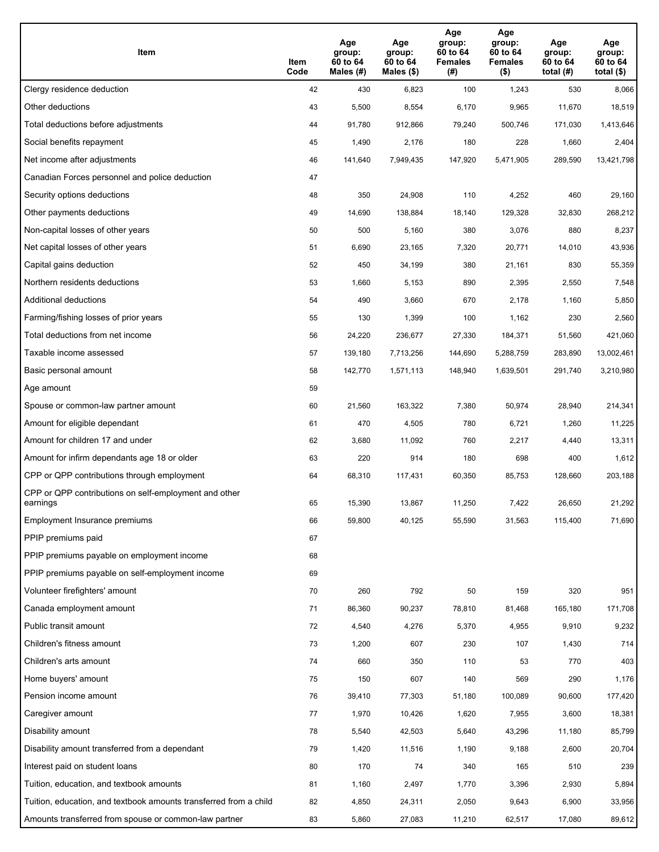| Item                                                              | Item<br>Code | Age<br>group:<br>60 to 64<br>Males (#) | Age<br>group:<br>60 to 64<br>Males (\$) | Age<br>group:<br>60 to 64<br><b>Females</b><br>(#) | Age<br>group:<br>60 to 64<br><b>Females</b><br>$($ \$) | Age<br>group:<br>60 to 64<br>total $(H)$ | Age<br>group:<br>60 to 64<br>total $($)$ |
|-------------------------------------------------------------------|--------------|----------------------------------------|-----------------------------------------|----------------------------------------------------|--------------------------------------------------------|------------------------------------------|------------------------------------------|
| Clergy residence deduction                                        | 42           | 430                                    | 6,823                                   | 100                                                | 1,243                                                  | 530                                      | 8,066                                    |
| Other deductions                                                  | 43           | 5,500                                  | 8,554                                   | 6,170                                              | 9,965                                                  | 11,670                                   | 18,519                                   |
| Total deductions before adjustments                               | 44           | 91,780                                 | 912,866                                 | 79,240                                             | 500,746                                                | 171,030                                  | 1,413,646                                |
| Social benefits repayment                                         | 45           | 1,490                                  | 2,176                                   | 180                                                | 228                                                    | 1,660                                    | 2,404                                    |
| Net income after adjustments                                      | 46           | 141,640                                | 7,949,435                               | 147,920                                            | 5,471,905                                              | 289,590                                  | 13,421,798                               |
| Canadian Forces personnel and police deduction                    | 47           |                                        |                                         |                                                    |                                                        |                                          |                                          |
| Security options deductions                                       | 48           | 350                                    | 24,908                                  | 110                                                | 4,252                                                  | 460                                      | 29,160                                   |
| Other payments deductions                                         | 49           | 14,690                                 | 138,884                                 | 18,140                                             | 129,328                                                | 32,830                                   | 268,212                                  |
| Non-capital losses of other years                                 | 50           | 500                                    | 5,160                                   | 380                                                | 3,076                                                  | 880                                      | 8,237                                    |
| Net capital losses of other years                                 | 51           | 6,690                                  | 23,165                                  | 7,320                                              | 20,771                                                 | 14,010                                   | 43,936                                   |
| Capital gains deduction                                           | 52           | 450                                    | 34,199                                  | 380                                                | 21,161                                                 | 830                                      | 55,359                                   |
| Northern residents deductions                                     | 53           | 1,660                                  | 5,153                                   | 890                                                | 2,395                                                  | 2,550                                    | 7,548                                    |
| Additional deductions                                             | 54           | 490                                    | 3,660                                   | 670                                                | 2,178                                                  | 1,160                                    | 5,850                                    |
| Farming/fishing losses of prior years                             | 55           | 130                                    | 1,399                                   | 100                                                | 1,162                                                  | 230                                      | 2,560                                    |
| Total deductions from net income                                  | 56           | 24,220                                 | 236,677                                 | 27,330                                             | 184,371                                                | 51,560                                   | 421,060                                  |
| Taxable income assessed                                           | 57           | 139,180                                | 7,713,256                               | 144,690                                            | 5,288,759                                              | 283,890                                  | 13,002,461                               |
| Basic personal amount                                             | 58           | 142,770                                | 1,571,113                               | 148,940                                            | 1,639,501                                              | 291,740                                  | 3,210,980                                |
| Age amount                                                        | 59           |                                        |                                         |                                                    |                                                        |                                          |                                          |
| Spouse or common-law partner amount                               | 60           | 21,560                                 | 163,322                                 | 7,380                                              | 50,974                                                 | 28,940                                   | 214,341                                  |
| Amount for eligible dependant                                     | 61           | 470                                    | 4,505                                   | 780                                                | 6,721                                                  | 1,260                                    | 11,225                                   |
| Amount for children 17 and under                                  | 62           | 3,680                                  | 11,092                                  | 760                                                | 2,217                                                  | 4,440                                    | 13,311                                   |
| Amount for infirm dependants age 18 or older                      | 63           | 220                                    | 914                                     | 180                                                | 698                                                    | 400                                      | 1,612                                    |
| CPP or QPP contributions through employment                       | 64           | 68,310                                 | 117,431                                 | 60,350                                             | 85,753                                                 | 128,660                                  | 203,188                                  |
| CPP or QPP contributions on self-employment and other<br>earnings | 65           | 15,390                                 | 13,867                                  | 11,250                                             | 7,422                                                  | 26,650                                   | 21,292                                   |
| Employment Insurance premiums                                     | 66           | 59,800                                 | 40,125                                  | 55,590                                             | 31,563                                                 | 115,400                                  | 71,690                                   |
| PPIP premiums paid                                                | 67           |                                        |                                         |                                                    |                                                        |                                          |                                          |
| PPIP premiums payable on employment income                        | 68           |                                        |                                         |                                                    |                                                        |                                          |                                          |
| PPIP premiums payable on self-employment income                   | 69           |                                        |                                         |                                                    |                                                        |                                          |                                          |
| Volunteer firefighters' amount                                    | 70           | 260                                    | 792                                     | 50                                                 | 159                                                    | 320                                      | 951                                      |
| Canada employment amount                                          | 71           | 86,360                                 | 90,237                                  | 78,810                                             | 81,468                                                 | 165,180                                  | 171,708                                  |
| Public transit amount                                             | 72           | 4,540                                  | 4,276                                   | 5,370                                              | 4,955                                                  | 9,910                                    | 9,232                                    |
| Children's fitness amount                                         | 73           | 1,200                                  | 607                                     | 230                                                | 107                                                    | 1,430                                    | 714                                      |
| Children's arts amount                                            | 74           | 660                                    | 350                                     | 110                                                | 53                                                     | 770                                      | 403                                      |
| Home buyers' amount                                               | 75           | 150                                    | 607                                     | 140                                                | 569                                                    | 290                                      | 1,176                                    |
| Pension income amount                                             | 76           | 39,410                                 | 77,303                                  | 51,180                                             | 100,089                                                | 90,600                                   | 177,420                                  |
| Caregiver amount                                                  | 77           | 1,970                                  | 10,426                                  | 1,620                                              | 7,955                                                  | 3,600                                    | 18,381                                   |
| Disability amount                                                 | 78           | 5,540                                  | 42,503                                  | 5,640                                              | 43,296                                                 | 11,180                                   | 85,799                                   |
| Disability amount transferred from a dependant                    | 79           | 1,420                                  | 11,516                                  | 1,190                                              | 9,188                                                  | 2,600                                    | 20,704                                   |
| Interest paid on student loans                                    | 80           | 170                                    | 74                                      | 340                                                | 165                                                    | 510                                      | 239                                      |
| Tuition, education, and textbook amounts                          | 81           | 1,160                                  | 2,497                                   | 1,770                                              | 3,396                                                  | 2,930                                    | 5,894                                    |
| Tuition, education, and textbook amounts transferred from a child | 82           | 4,850                                  | 24,311                                  | 2,050                                              | 9,643                                                  | 6,900                                    | 33,956                                   |
| Amounts transferred from spouse or common-law partner             | 83           | 5,860                                  | 27,083                                  | 11,210                                             | 62,517                                                 | 17,080                                   | 89,612                                   |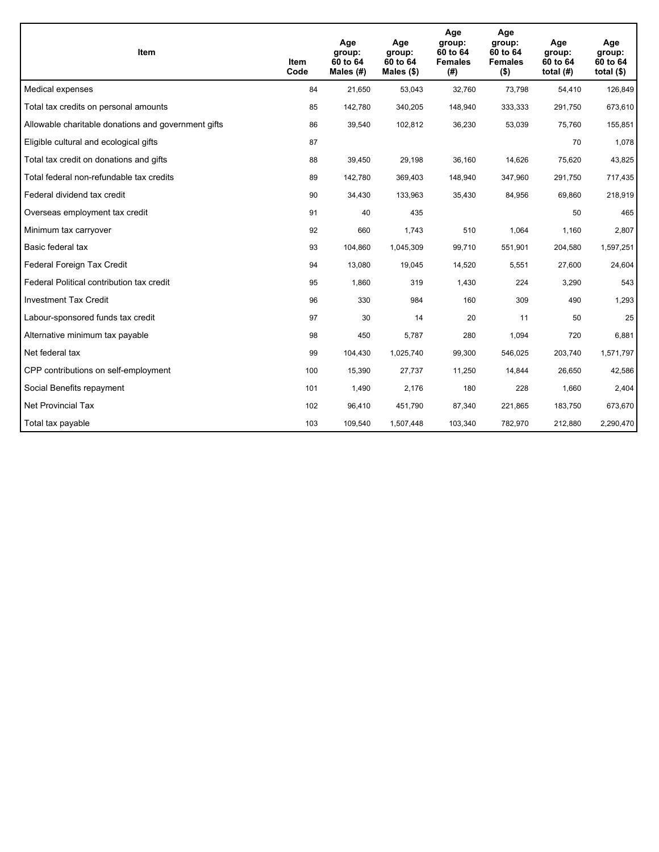| <b>Item</b>                                         | Item<br>Code | Age<br>group:<br>60 to 64<br>Males (#) | Age<br>group:<br>60 to 64<br>Males $(\$)$ | Age<br>group:<br>60 to 64<br><b>Females</b><br>(#) | Age<br>group:<br>60 to 64<br><b>Females</b><br>$($ \$) | Age<br>group:<br>60 to 64<br>total $(H)$ | Age<br>group:<br>60 to 64<br>total $($)$ |
|-----------------------------------------------------|--------------|----------------------------------------|-------------------------------------------|----------------------------------------------------|--------------------------------------------------------|------------------------------------------|------------------------------------------|
| Medical expenses                                    | 84           | 21,650                                 | 53,043                                    | 32,760                                             | 73,798                                                 | 54,410                                   | 126,849                                  |
| Total tax credits on personal amounts               | 85           | 142,780                                | 340,205                                   | 148,940                                            | 333,333                                                | 291,750                                  | 673,610                                  |
| Allowable charitable donations and government gifts | 86           | 39,540                                 | 102,812                                   | 36,230                                             | 53,039                                                 | 75,760                                   | 155,851                                  |
| Eligible cultural and ecological gifts              | 87           |                                        |                                           |                                                    |                                                        | 70                                       | 1,078                                    |
| Total tax credit on donations and gifts             | 88           | 39,450                                 | 29,198                                    | 36,160                                             | 14,626                                                 | 75,620                                   | 43,825                                   |
| Total federal non-refundable tax credits            | 89           | 142,780                                | 369,403                                   | 148,940                                            | 347,960                                                | 291,750                                  | 717,435                                  |
| Federal dividend tax credit                         | 90           | 34,430                                 | 133,963                                   | 35,430                                             | 84,956                                                 | 69,860                                   | 218,919                                  |
| Overseas employment tax credit                      | 91           | 40                                     | 435                                       |                                                    |                                                        | 50                                       | 465                                      |
| Minimum tax carryover                               | 92           | 660                                    | 1,743                                     | 510                                                | 1,064                                                  | 1,160                                    | 2,807                                    |
| Basic federal tax                                   | 93           | 104,860                                | 1,045,309                                 | 99,710                                             | 551,901                                                | 204,580                                  | 1,597,251                                |
| Federal Foreign Tax Credit                          | 94           | 13,080                                 | 19,045                                    | 14,520                                             | 5,551                                                  | 27,600                                   | 24,604                                   |
| Federal Political contribution tax credit           | 95           | 1,860                                  | 319                                       | 1,430                                              | 224                                                    | 3,290                                    | 543                                      |
| <b>Investment Tax Credit</b>                        | 96           | 330                                    | 984                                       | 160                                                | 309                                                    | 490                                      | 1,293                                    |
| Labour-sponsored funds tax credit                   | 97           | 30                                     | 14                                        | 20                                                 | 11                                                     | 50                                       | 25                                       |
| Alternative minimum tax payable                     | 98           | 450                                    | 5,787                                     | 280                                                | 1,094                                                  | 720                                      | 6,881                                    |
| Net federal tax                                     | 99           | 104,430                                | 1,025,740                                 | 99,300                                             | 546,025                                                | 203,740                                  | 1,571,797                                |
| CPP contributions on self-employment                | 100          | 15,390                                 | 27,737                                    | 11,250                                             | 14,844                                                 | 26,650                                   | 42,586                                   |
| Social Benefits repayment                           | 101          | 1,490                                  | 2,176                                     | 180                                                | 228                                                    | 1,660                                    | 2,404                                    |
| Net Provincial Tax                                  | 102          | 96,410                                 | 451,790                                   | 87,340                                             | 221,865                                                | 183,750                                  | 673,670                                  |
| Total tax payable                                   | 103          | 109,540                                | 1,507,448                                 | 103,340                                            | 782,970                                                | 212,880                                  | 2,290,470                                |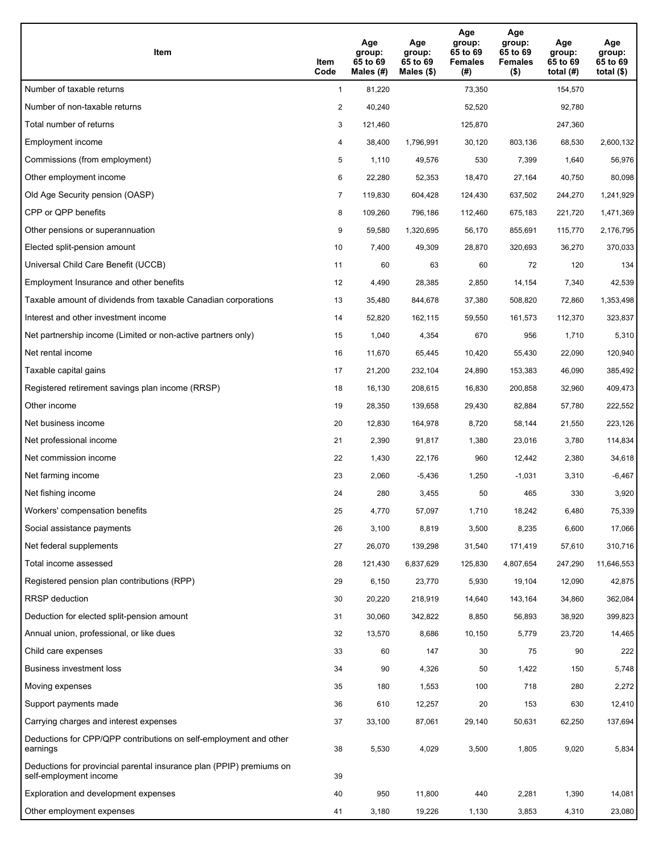| <b>Item</b>                                                                                    | Item<br>Code   | Age<br>group:<br>65 to 69<br>Males $(H)$ | Age<br>group:<br>65 to 69<br>Males (\$) | Age<br>group:<br>65 to 69<br><b>Females</b><br>(#) | Age<br>group:<br>65 to 69<br><b>Females</b><br>$($ \$) | Age<br>group:<br>65 to 69<br>total $(H)$ | Age<br>group:<br>65 to 69<br>total $(\$)$ |
|------------------------------------------------------------------------------------------------|----------------|------------------------------------------|-----------------------------------------|----------------------------------------------------|--------------------------------------------------------|------------------------------------------|-------------------------------------------|
| Number of taxable returns                                                                      | $\mathbf{1}$   | 81,220                                   |                                         | 73,350                                             |                                                        | 154,570                                  |                                           |
| Number of non-taxable returns                                                                  | $\overline{2}$ | 40,240                                   |                                         | 52,520                                             |                                                        | 92,780                                   |                                           |
| Total number of returns                                                                        | 3              | 121,460                                  |                                         | 125,870                                            |                                                        | 247,360                                  |                                           |
| Employment income                                                                              | 4              | 38,400                                   | 1,796,991                               | 30,120                                             | 803,136                                                | 68,530                                   | 2,600,132                                 |
| Commissions (from employment)                                                                  | 5              | 1,110                                    | 49,576                                  | 530                                                | 7,399                                                  | 1,640                                    | 56,976                                    |
| Other employment income                                                                        | 6              | 22,280                                   | 52,353                                  | 18,470                                             | 27,164                                                 | 40,750                                   | 80,098                                    |
| Old Age Security pension (OASP)                                                                | $\overline{7}$ | 119,830                                  | 604,428                                 | 124,430                                            | 637,502                                                | 244,270                                  | 1,241,929                                 |
| CPP or QPP benefits                                                                            | 8              | 109,260                                  | 796,186                                 | 112,460                                            | 675,183                                                | 221,720                                  | 1,471,369                                 |
| Other pensions or superannuation                                                               | 9              | 59,580                                   | 1,320,695                               | 56,170                                             | 855,691                                                | 115,770                                  | 2,176,795                                 |
| Elected split-pension amount                                                                   | 10             | 7,400                                    | 49,309                                  | 28,870                                             | 320,693                                                | 36,270                                   | 370,033                                   |
| Universal Child Care Benefit (UCCB)                                                            | 11             | 60                                       | 63                                      | 60                                                 | 72                                                     | 120                                      | 134                                       |
| Employment Insurance and other benefits                                                        | 12             | 4,490                                    | 28,385                                  | 2,850                                              | 14,154                                                 | 7,340                                    | 42,539                                    |
| Taxable amount of dividends from taxable Canadian corporations                                 | 13             | 35,480                                   | 844,678                                 | 37,380                                             | 508,820                                                | 72,860                                   | 1,353,498                                 |
| Interest and other investment income                                                           | 14             | 52,820                                   | 162,115                                 | 59,550                                             | 161,573                                                | 112,370                                  | 323,837                                   |
| Net partnership income (Limited or non-active partners only)                                   | 15             | 1,040                                    | 4,354                                   | 670                                                | 956                                                    | 1,710                                    | 5,310                                     |
| Net rental income                                                                              | 16             | 11,670                                   | 65,445                                  | 10,420                                             | 55,430                                                 | 22,090                                   | 120,940                                   |
| Taxable capital gains                                                                          | 17             | 21,200                                   | 232,104                                 | 24,890                                             | 153,383                                                | 46,090                                   | 385,492                                   |
| Registered retirement savings plan income (RRSP)                                               | 18             | 16,130                                   | 208,615                                 | 16,830                                             | 200,858                                                | 32,960                                   | 409,473                                   |
| Other income                                                                                   | 19             | 28,350                                   | 139,658                                 | 29,430                                             | 82,884                                                 | 57,780                                   | 222,552                                   |
| Net business income                                                                            | 20             | 12,830                                   | 164,978                                 | 8,720                                              | 58,144                                                 | 21,550                                   | 223,126                                   |
| Net professional income                                                                        | 21             | 2,390                                    | 91,817                                  | 1,380                                              | 23,016                                                 | 3,780                                    | 114,834                                   |
| Net commission income                                                                          | 22             | 1,430                                    | 22,176                                  | 960                                                | 12,442                                                 | 2,380                                    | 34,618                                    |
| Net farming income                                                                             | 23             | 2,060                                    | $-5,436$                                | 1,250                                              | $-1,031$                                               | 3,310                                    | $-6,467$                                  |
| Net fishing income                                                                             | 24             | 280                                      | 3,455                                   | 50                                                 | 465                                                    | 330                                      | 3,920                                     |
| Workers' compensation benefits                                                                 | 25             | 4,770                                    | 57,097                                  | 1,710                                              | 18,242                                                 | 6,480                                    | 75,339                                    |
| Social assistance payments                                                                     | 26             | 3,100                                    | 8,819                                   | 3,500                                              | 8,235                                                  | 6,600                                    | 17,066                                    |
| Net federal supplements                                                                        | 27             | 26,070                                   | 139,298                                 | 31,540                                             | 171,419                                                | 57,610                                   | 310,716                                   |
| Total income assessed                                                                          | 28             | 121,430                                  | 6,837,629                               | 125,830                                            | 4,807,654                                              | 247,290                                  | 11,646,553                                |
| Registered pension plan contributions (RPP)                                                    | 29             | 6,150                                    | 23,770                                  | 5,930                                              | 19,104                                                 | 12,090                                   | 42,875                                    |
| <b>RRSP</b> deduction                                                                          | 30             | 20,220                                   | 218,919                                 | 14,640                                             | 143,164                                                | 34,860                                   | 362,084                                   |
| Deduction for elected split-pension amount                                                     | 31             | 30,060                                   | 342,822                                 | 8,850                                              | 56,893                                                 | 38,920                                   | 399,823                                   |
| Annual union, professional, or like dues                                                       | 32             | 13,570                                   | 8,686                                   | 10,150                                             | 5,779                                                  | 23,720                                   | 14,465                                    |
| Child care expenses                                                                            | 33             | 60                                       | 147                                     | 30                                                 | 75                                                     | 90                                       | 222                                       |
| Business investment loss                                                                       | 34             | 90                                       | 4,326                                   | 50                                                 | 1,422                                                  | 150                                      | 5,748                                     |
| Moving expenses                                                                                | 35             | 180                                      | 1,553                                   | 100                                                | 718                                                    | 280                                      | 2,272                                     |
| Support payments made                                                                          | 36             | 610                                      | 12,257                                  | 20                                                 | 153                                                    | 630                                      | 12,410                                    |
| Carrying charges and interest expenses                                                         | 37             | 33,100                                   | 87,061                                  | 29,140                                             | 50,631                                                 | 62,250                                   | 137,694                                   |
| Deductions for CPP/QPP contributions on self-employment and other<br>earnings                  | 38             | 5,530                                    | 4,029                                   | 3,500                                              | 1,805                                                  | 9,020                                    | 5,834                                     |
| Deductions for provincial parental insurance plan (PPIP) premiums on<br>self-employment income | 39             |                                          |                                         |                                                    |                                                        |                                          |                                           |
| Exploration and development expenses                                                           | 40             | 950                                      | 11,800                                  | 440                                                | 2,281                                                  | 1,390                                    | 14,081                                    |
| Other employment expenses                                                                      | 41             | 3,180                                    | 19,226                                  | 1,130                                              | 3,853                                                  | 4,310                                    | 23,080                                    |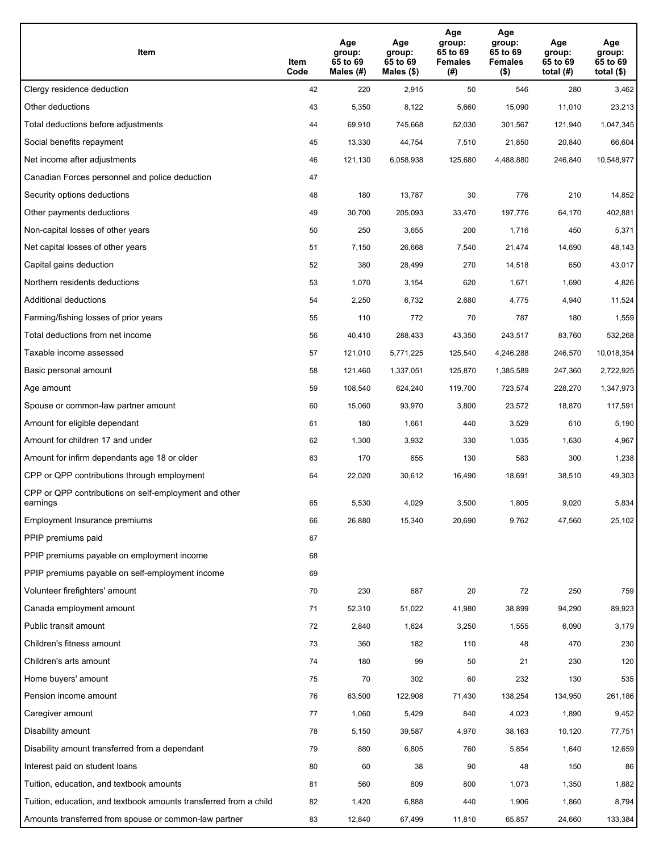| Item                                                              | Item<br>Code | Age<br>group:<br>65 to 69<br>Males (#) | Age<br>group:<br>65 to 69<br>Males (\$) | Age<br>group:<br>65 to 69<br><b>Females</b><br>(# ) | Age<br>group:<br>65 to 69<br><b>Females</b><br>$($ \$) | Age<br>group:<br>65 to 69<br>total $(H)$ | Age<br>group:<br>65 to 69<br>total $($)$ |
|-------------------------------------------------------------------|--------------|----------------------------------------|-----------------------------------------|-----------------------------------------------------|--------------------------------------------------------|------------------------------------------|------------------------------------------|
| Clergy residence deduction                                        | 42           | 220                                    | 2,915                                   | 50                                                  | 546                                                    | 280                                      | 3,462                                    |
| Other deductions                                                  | 43           | 5,350                                  | 8,122                                   | 5,660                                               | 15,090                                                 | 11,010                                   | 23,213                                   |
| Total deductions before adjustments                               | 44           | 69,910                                 | 745,668                                 | 52,030                                              | 301,567                                                | 121,940                                  | 1,047,345                                |
| Social benefits repayment                                         | 45           | 13,330                                 | 44,754                                  | 7,510                                               | 21,850                                                 | 20,840                                   | 66,604                                   |
| Net income after adjustments                                      | 46           | 121,130                                | 6,058,938                               | 125,680                                             | 4,488,880                                              | 246,840                                  | 10,548,977                               |
| Canadian Forces personnel and police deduction                    | 47           |                                        |                                         |                                                     |                                                        |                                          |                                          |
| Security options deductions                                       | 48           | 180                                    | 13,787                                  | 30                                                  | 776                                                    | 210                                      | 14,852                                   |
| Other payments deductions                                         | 49           | 30,700                                 | 205,093                                 | 33,470                                              | 197,776                                                | 64,170                                   | 402,881                                  |
| Non-capital losses of other years                                 | 50           | 250                                    | 3,655                                   | 200                                                 | 1,716                                                  | 450                                      | 5,371                                    |
| Net capital losses of other years                                 | 51           | 7,150                                  | 26,668                                  | 7,540                                               | 21,474                                                 | 14,690                                   | 48,143                                   |
| Capital gains deduction                                           | 52           | 380                                    | 28,499                                  | 270                                                 | 14,518                                                 | 650                                      | 43,017                                   |
| Northern residents deductions                                     | 53           | 1,070                                  | 3,154                                   | 620                                                 | 1,671                                                  | 1,690                                    | 4,826                                    |
| Additional deductions                                             | 54           | 2,250                                  | 6,732                                   | 2,680                                               | 4,775                                                  | 4,940                                    | 11,524                                   |
| Farming/fishing losses of prior years                             | 55           | 110                                    | 772                                     | 70                                                  | 787                                                    | 180                                      | 1,559                                    |
| Total deductions from net income                                  | 56           | 40,410                                 | 288,433                                 | 43,350                                              | 243,517                                                | 83,760                                   | 532,268                                  |
| Taxable income assessed                                           | 57           | 121,010                                | 5,771,225                               | 125,540                                             | 4,246,288                                              | 246,570                                  | 10,018,354                               |
| Basic personal amount                                             | 58           | 121,460                                | 1,337,051                               | 125,870                                             | 1,385,589                                              | 247,360                                  | 2,722,925                                |
| Age amount                                                        | 59           | 108,540                                | 624,240                                 | 119,700                                             | 723,574                                                | 228,270                                  | 1,347,973                                |
| Spouse or common-law partner amount                               | 60           | 15,060                                 | 93,970                                  | 3,800                                               | 23,572                                                 | 18,870                                   | 117,591                                  |
| Amount for eligible dependant                                     | 61           | 180                                    | 1,661                                   | 440                                                 | 3,529                                                  | 610                                      | 5,190                                    |
| Amount for children 17 and under                                  | 62           | 1,300                                  | 3,932                                   | 330                                                 | 1,035                                                  | 1,630                                    | 4,967                                    |
| Amount for infirm dependants age 18 or older                      | 63           | 170                                    | 655                                     | 130                                                 | 583                                                    | 300                                      | 1,238                                    |
| CPP or QPP contributions through employment                       | 64           | 22,020                                 | 30,612                                  | 16,490                                              | 18,691                                                 | 38,510                                   | 49,303                                   |
| CPP or QPP contributions on self-employment and other<br>earnings | 65           | 5,530                                  | 4,029                                   | 3,500                                               | 1,805                                                  | 9,020                                    | 5,834                                    |
| Employment Insurance premiums                                     | 66           | 26,880                                 | 15,340                                  | 20,690                                              | 9,762                                                  | 47,560                                   | 25,102                                   |
| PPIP premiums paid                                                | 67           |                                        |                                         |                                                     |                                                        |                                          |                                          |
| PPIP premiums payable on employment income                        | 68           |                                        |                                         |                                                     |                                                        |                                          |                                          |
| PPIP premiums payable on self-employment income                   | 69           |                                        |                                         |                                                     |                                                        |                                          |                                          |
| Volunteer firefighters' amount                                    | 70           | 230                                    | 687                                     | 20                                                  | 72                                                     | 250                                      | 759                                      |
| Canada employment amount                                          | 71           | 52,310                                 | 51,022                                  | 41,980                                              | 38,899                                                 | 94,290                                   | 89,923                                   |
| Public transit amount                                             | 72           | 2,840                                  | 1,624                                   | 3,250                                               | 1,555                                                  | 6,090                                    | 3,179                                    |
| Children's fitness amount                                         | 73           | 360                                    | 182                                     | 110                                                 | 48                                                     | 470                                      | 230                                      |
| Children's arts amount                                            | 74           | 180                                    | 99                                      | 50                                                  | 21                                                     | 230                                      | 120                                      |
| Home buyers' amount                                               | 75           | 70                                     | 302                                     | 60                                                  | 232                                                    | 130                                      | 535                                      |
| Pension income amount                                             | 76           | 63,500                                 | 122,908                                 | 71,430                                              | 138,254                                                | 134,950                                  | 261,186                                  |
| Caregiver amount                                                  | 77           | 1,060                                  | 5,429                                   | 840                                                 | 4,023                                                  | 1,890                                    | 9,452                                    |
| Disability amount                                                 | 78           | 5,150                                  | 39,587                                  | 4,970                                               | 38,163                                                 | 10,120                                   | 77,751                                   |
| Disability amount transferred from a dependant                    | 79           | 880                                    | 6,805                                   | 760                                                 | 5,854                                                  | 1,640                                    | 12,659                                   |
| Interest paid on student loans                                    | 80           | 60                                     | 38                                      | 90                                                  | 48                                                     | 150                                      | 86                                       |
| Tuition, education, and textbook amounts                          | 81           | 560                                    | 809                                     | 800                                                 | 1,073                                                  | 1,350                                    | 1,882                                    |
| Tuition, education, and textbook amounts transferred from a child | 82           | 1,420                                  | 6,888                                   | 440                                                 | 1,906                                                  | 1,860                                    | 8,794                                    |
| Amounts transferred from spouse or common-law partner             | 83           | 12,840                                 | 67,499                                  | 11,810                                              | 65,857                                                 | 24,660                                   | 133,384                                  |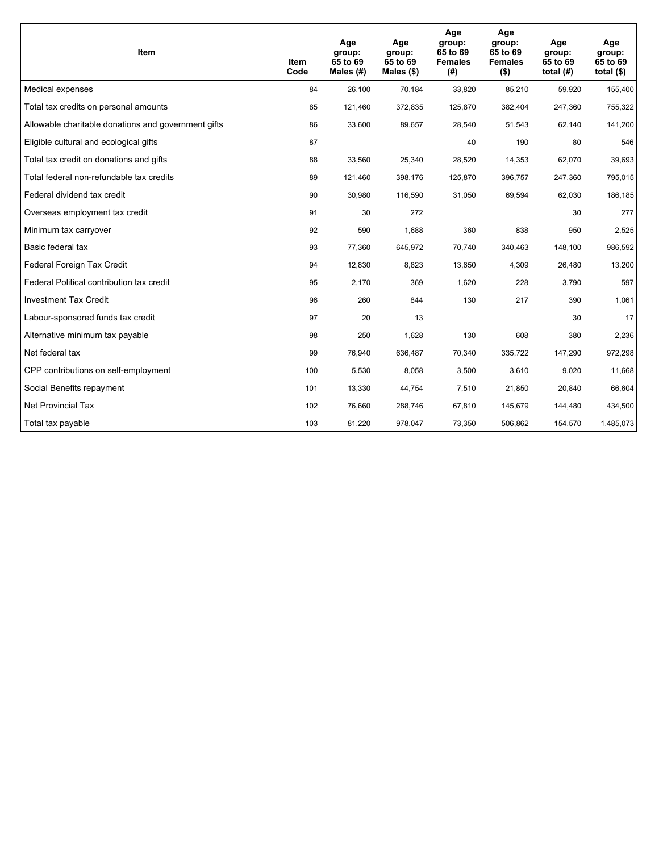| Item                                                | Item<br>Code | Age<br>group:<br>65 to 69<br>Males $(H)$ | Age<br>group:<br>65 to 69<br>Males $(\$)$ | Age<br>group:<br>65 to 69<br><b>Females</b><br>(# ) | Age<br>group:<br>65 to 69<br><b>Females</b><br>$($ \$) | Age<br>group:<br>65 to 69<br>total $(H)$ | Age<br>group:<br>65 to 69<br>total $($)$ |
|-----------------------------------------------------|--------------|------------------------------------------|-------------------------------------------|-----------------------------------------------------|--------------------------------------------------------|------------------------------------------|------------------------------------------|
| Medical expenses                                    | 84           | 26,100                                   | 70,184                                    | 33,820                                              | 85,210                                                 | 59,920                                   | 155,400                                  |
| Total tax credits on personal amounts               | 85           | 121,460                                  | 372,835                                   | 125,870                                             | 382,404                                                | 247,360                                  | 755,322                                  |
| Allowable charitable donations and government gifts | 86           | 33,600                                   | 89,657                                    | 28,540                                              | 51,543                                                 | 62,140                                   | 141,200                                  |
| Eligible cultural and ecological gifts              | 87           |                                          |                                           | 40                                                  | 190                                                    | 80                                       | 546                                      |
| Total tax credit on donations and gifts             | 88           | 33,560                                   | 25,340                                    | 28,520                                              | 14,353                                                 | 62,070                                   | 39,693                                   |
| Total federal non-refundable tax credits            | 89           | 121,460                                  | 398,176                                   | 125,870                                             | 396,757                                                | 247,360                                  | 795,015                                  |
| Federal dividend tax credit                         | 90           | 30,980                                   | 116,590                                   | 31,050                                              | 69,594                                                 | 62,030                                   | 186,185                                  |
| Overseas employment tax credit                      | 91           | 30                                       | 272                                       |                                                     |                                                        | 30                                       | 277                                      |
| Minimum tax carryover                               | 92           | 590                                      | 1,688                                     | 360                                                 | 838                                                    | 950                                      | 2,525                                    |
| Basic federal tax                                   | 93           | 77,360                                   | 645,972                                   | 70.740                                              | 340,463                                                | 148,100                                  | 986,592                                  |
| Federal Foreign Tax Credit                          | 94           | 12,830                                   | 8,823                                     | 13,650                                              | 4,309                                                  | 26,480                                   | 13,200                                   |
| Federal Political contribution tax credit           | 95           | 2,170                                    | 369                                       | 1,620                                               | 228                                                    | 3,790                                    | 597                                      |
| <b>Investment Tax Credit</b>                        | 96           | 260                                      | 844                                       | 130                                                 | 217                                                    | 390                                      | 1,061                                    |
| Labour-sponsored funds tax credit                   | 97           | 20                                       | 13                                        |                                                     |                                                        | 30                                       | 17                                       |
| Alternative minimum tax payable                     | 98           | 250                                      | 1,628                                     | 130                                                 | 608                                                    | 380                                      | 2,236                                    |
| Net federal tax                                     | 99           | 76,940                                   | 636,487                                   | 70,340                                              | 335,722                                                | 147,290                                  | 972,298                                  |
| CPP contributions on self-employment                | 100          | 5,530                                    | 8,058                                     | 3,500                                               | 3,610                                                  | 9,020                                    | 11,668                                   |
| Social Benefits repayment                           | 101          | 13,330                                   | 44,754                                    | 7,510                                               | 21,850                                                 | 20,840                                   | 66,604                                   |
| Net Provincial Tax                                  | 102          | 76,660                                   | 288,746                                   | 67,810                                              | 145,679                                                | 144,480                                  | 434,500                                  |
| Total tax payable                                   | 103          | 81,220                                   | 978,047                                   | 73,350                                              | 506,862                                                | 154,570                                  | 1,485,073                                |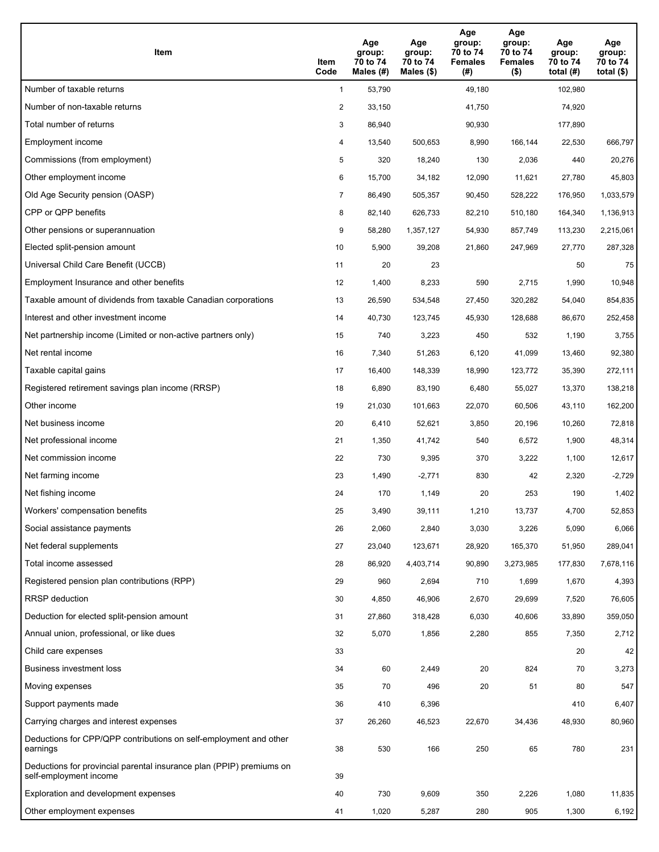| Item                                                                                           | Item<br>Code   | Age<br>group:<br>70 to 74<br>Males (#) | Age<br>group:<br>70 to 74<br>Males $(\$)$ | Age<br>group:<br>70 to 74<br><b>Females</b><br>(#) | Age<br>group:<br>70 to 74<br><b>Females</b><br>$($ \$) | Age<br>group:<br>70 to 74<br>total $(H)$ | Age<br>group:<br>70 to 74<br>total $($)$ |
|------------------------------------------------------------------------------------------------|----------------|----------------------------------------|-------------------------------------------|----------------------------------------------------|--------------------------------------------------------|------------------------------------------|------------------------------------------|
| Number of taxable returns                                                                      | $\mathbf{1}$   | 53,790                                 |                                           | 49,180                                             |                                                        | 102,980                                  |                                          |
| Number of non-taxable returns                                                                  | $\overline{2}$ | 33,150                                 |                                           | 41,750                                             |                                                        | 74,920                                   |                                          |
| Total number of returns                                                                        | 3              | 86,940                                 |                                           | 90,930                                             |                                                        | 177,890                                  |                                          |
| Employment income                                                                              | 4              | 13,540                                 | 500,653                                   | 8,990                                              | 166,144                                                | 22,530                                   | 666,797                                  |
| Commissions (from employment)                                                                  | 5              | 320                                    | 18,240                                    | 130                                                | 2,036                                                  | 440                                      | 20,276                                   |
| Other employment income                                                                        | 6              | 15,700                                 | 34,182                                    | 12,090                                             | 11,621                                                 | 27,780                                   | 45,803                                   |
| Old Age Security pension (OASP)                                                                | 7              | 86,490                                 | 505,357                                   | 90,450                                             | 528,222                                                | 176,950                                  | 1,033,579                                |
| CPP or QPP benefits                                                                            | 8              | 82,140                                 | 626,733                                   | 82,210                                             | 510,180                                                | 164,340                                  | 1,136,913                                |
| Other pensions or superannuation                                                               | 9              | 58,280                                 | 1,357,127                                 | 54,930                                             | 857,749                                                | 113,230                                  | 2,215,061                                |
| Elected split-pension amount                                                                   | 10             | 5,900                                  | 39,208                                    | 21,860                                             | 247,969                                                | 27,770                                   | 287,328                                  |
| Universal Child Care Benefit (UCCB)                                                            | 11             | 20                                     | 23                                        |                                                    |                                                        | 50                                       | 75                                       |
| Employment Insurance and other benefits                                                        | 12             | 1,400                                  | 8,233                                     | 590                                                | 2,715                                                  | 1,990                                    | 10,948                                   |
| Taxable amount of dividends from taxable Canadian corporations                                 | 13             | 26,590                                 | 534,548                                   | 27,450                                             | 320,282                                                | 54,040                                   | 854,835                                  |
| Interest and other investment income                                                           | 14             | 40,730                                 | 123,745                                   | 45,930                                             | 128,688                                                | 86,670                                   | 252,458                                  |
| Net partnership income (Limited or non-active partners only)                                   | 15             | 740                                    | 3,223                                     | 450                                                | 532                                                    | 1,190                                    | 3,755                                    |
| Net rental income                                                                              | 16             | 7,340                                  | 51,263                                    | 6,120                                              | 41,099                                                 | 13,460                                   | 92,380                                   |
| Taxable capital gains                                                                          | 17             | 16,400                                 | 148,339                                   | 18,990                                             | 123,772                                                | 35,390                                   | 272,111                                  |
| Registered retirement savings plan income (RRSP)                                               | 18             | 6,890                                  | 83,190                                    | 6,480                                              | 55,027                                                 | 13,370                                   | 138,218                                  |
| Other income                                                                                   | 19             | 21,030                                 | 101,663                                   | 22,070                                             | 60,506                                                 | 43,110                                   | 162,200                                  |
| Net business income                                                                            | 20             | 6,410                                  | 52,621                                    | 3,850                                              | 20,196                                                 | 10,260                                   | 72,818                                   |
| Net professional income                                                                        | 21             | 1,350                                  | 41,742                                    | 540                                                | 6,572                                                  | 1,900                                    | 48,314                                   |
| Net commission income                                                                          | 22             | 730                                    | 9,395                                     | 370                                                | 3,222                                                  | 1,100                                    | 12,617                                   |
| Net farming income                                                                             | 23             | 1,490                                  | $-2,771$                                  | 830                                                | 42                                                     | 2,320                                    | $-2,729$                                 |
| Net fishing income                                                                             | 24             | 170                                    | 1,149                                     | 20                                                 | 253                                                    | 190                                      | 1,402                                    |
| Workers' compensation benefits                                                                 | 25             | 3,490                                  | 39,111                                    | 1,210                                              | 13,737                                                 | 4,700                                    | 52,853                                   |
| Social assistance payments                                                                     | 26             | 2,060                                  | 2,840                                     | 3,030                                              | 3,226                                                  | 5,090                                    | 6,066                                    |
| Net federal supplements                                                                        | 27             | 23,040                                 | 123,671                                   | 28,920                                             | 165,370                                                | 51,950                                   | 289,041                                  |
| Total income assessed                                                                          | 28             | 86,920                                 | 4,403,714                                 | 90,890                                             | 3,273,985                                              | 177,830                                  | 7,678,116                                |
| Registered pension plan contributions (RPP)                                                    | 29             | 960                                    | 2,694                                     | 710                                                | 1,699                                                  | 1,670                                    | 4,393                                    |
| RRSP deduction                                                                                 | 30             | 4,850                                  | 46,906                                    | 2,670                                              | 29,699                                                 | 7,520                                    | 76,605                                   |
| Deduction for elected split-pension amount                                                     | 31             | 27,860                                 | 318,428                                   | 6,030                                              | 40,606                                                 | 33,890                                   | 359,050                                  |
| Annual union, professional, or like dues                                                       | 32             | 5,070                                  | 1,856                                     | 2,280                                              | 855                                                    | 7,350                                    | 2,712                                    |
| Child care expenses                                                                            | 33             |                                        |                                           |                                                    |                                                        | 20                                       | 42                                       |
| Business investment loss                                                                       | 34             | 60                                     | 2,449                                     | 20                                                 | 824                                                    | 70                                       | 3,273                                    |
| Moving expenses                                                                                | 35             | 70                                     | 496                                       | 20                                                 | 51                                                     | 80                                       | 547                                      |
| Support payments made                                                                          | 36             | 410                                    | 6,396                                     |                                                    |                                                        | 410                                      | 6,407                                    |
| Carrying charges and interest expenses                                                         | 37             | 26,260                                 | 46,523                                    | 22,670                                             | 34,436                                                 | 48,930                                   | 80,960                                   |
| Deductions for CPP/QPP contributions on self-employment and other<br>earnings                  | 38             | 530                                    | 166                                       | 250                                                | 65                                                     | 780                                      | 231                                      |
| Deductions for provincial parental insurance plan (PPIP) premiums on<br>self-employment income | 39             |                                        |                                           |                                                    |                                                        |                                          |                                          |
| Exploration and development expenses                                                           | 40             | 730                                    | 9,609                                     | 350                                                | 2,226                                                  | 1,080                                    | 11,835                                   |
| Other employment expenses                                                                      | 41             | 1,020                                  | 5,287                                     | 280                                                | 905                                                    | 1,300                                    | 6,192                                    |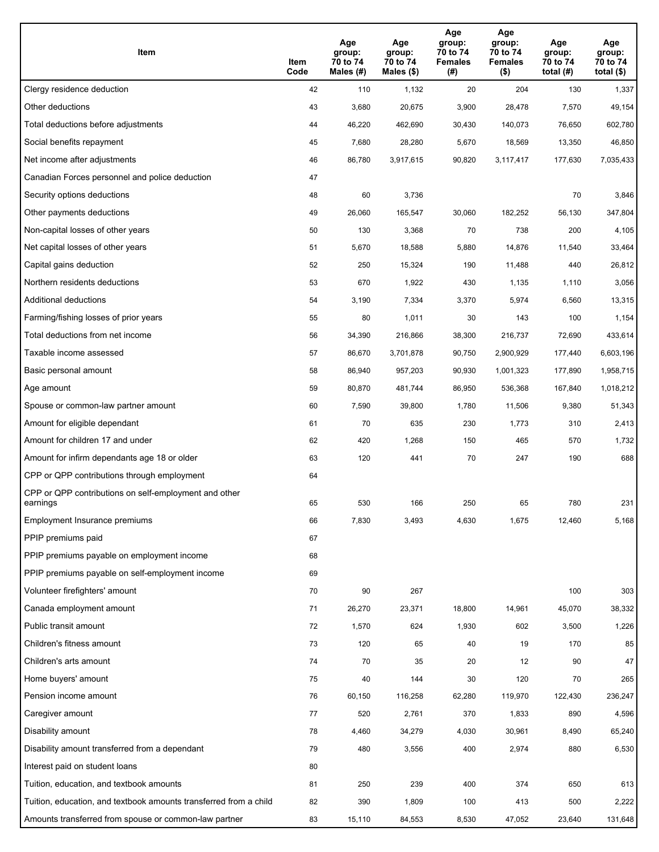| Item                                                              | Item<br>Code | Age<br>group:<br>70 to 74<br>Males (#) | Age<br>group:<br>70 to 74<br>Males (\$) | Age<br>group:<br>70 to 74<br><b>Females</b><br>(#) | Age<br>group:<br>70 to 74<br><b>Females</b><br>$($ \$) | Age<br>group:<br>70 to 74<br>total $(H)$ | Age<br>group:<br>70 to 74<br>total $($)$ |
|-------------------------------------------------------------------|--------------|----------------------------------------|-----------------------------------------|----------------------------------------------------|--------------------------------------------------------|------------------------------------------|------------------------------------------|
| Clergy residence deduction                                        | 42           | 110                                    | 1,132                                   | 20                                                 | 204                                                    | 130                                      | 1,337                                    |
| Other deductions                                                  | 43           | 3,680                                  | 20,675                                  | 3,900                                              | 28,478                                                 | 7,570                                    | 49,154                                   |
| Total deductions before adjustments                               | 44           | 46,220                                 | 462,690                                 | 30,430                                             | 140,073                                                | 76,650                                   | 602,780                                  |
| Social benefits repayment                                         | 45           | 7,680                                  | 28,280                                  | 5,670                                              | 18,569                                                 | 13,350                                   | 46,850                                   |
| Net income after adjustments                                      | 46           | 86,780                                 | 3,917,615                               | 90,820                                             | 3,117,417                                              | 177,630                                  | 7,035,433                                |
| Canadian Forces personnel and police deduction                    | 47           |                                        |                                         |                                                    |                                                        |                                          |                                          |
| Security options deductions                                       | 48           | 60                                     | 3,736                                   |                                                    |                                                        | 70                                       | 3,846                                    |
| Other payments deductions                                         | 49           | 26,060                                 | 165,547                                 | 30,060                                             | 182,252                                                | 56,130                                   | 347,804                                  |
| Non-capital losses of other years                                 | 50           | 130                                    | 3,368                                   | 70                                                 | 738                                                    | 200                                      | 4,105                                    |
| Net capital losses of other years                                 | 51           | 5,670                                  | 18,588                                  | 5,880                                              | 14,876                                                 | 11,540                                   | 33,464                                   |
| Capital gains deduction                                           | 52           | 250                                    | 15,324                                  | 190                                                | 11,488                                                 | 440                                      | 26,812                                   |
| Northern residents deductions                                     | 53           | 670                                    | 1,922                                   | 430                                                | 1,135                                                  | 1,110                                    | 3,056                                    |
| Additional deductions                                             | 54           | 3,190                                  | 7,334                                   | 3,370                                              | 5,974                                                  | 6,560                                    | 13,315                                   |
| Farming/fishing losses of prior years                             | 55           | 80                                     | 1,011                                   | 30                                                 | 143                                                    | 100                                      | 1,154                                    |
| Total deductions from net income                                  | 56           | 34,390                                 | 216,866                                 | 38,300                                             | 216,737                                                | 72,690                                   | 433,614                                  |
| Taxable income assessed                                           | 57           | 86,670                                 | 3,701,878                               | 90,750                                             | 2,900,929                                              | 177,440                                  | 6,603,196                                |
| Basic personal amount                                             | 58           | 86,940                                 | 957,203                                 | 90,930                                             | 1,001,323                                              | 177,890                                  | 1,958,715                                |
| Age amount                                                        | 59           | 80,870                                 | 481,744                                 | 86,950                                             | 536,368                                                | 167,840                                  | 1,018,212                                |
| Spouse or common-law partner amount                               | 60           | 7,590                                  | 39,800                                  | 1,780                                              | 11,506                                                 | 9,380                                    | 51,343                                   |
| Amount for eligible dependant                                     | 61           | 70                                     | 635                                     | 230                                                | 1,773                                                  | 310                                      | 2,413                                    |
| Amount for children 17 and under                                  | 62           | 420                                    | 1,268                                   | 150                                                | 465                                                    | 570                                      | 1,732                                    |
| Amount for infirm dependants age 18 or older                      | 63           | 120                                    | 441                                     | 70                                                 | 247                                                    | 190                                      | 688                                      |
| CPP or QPP contributions through employment                       | 64           |                                        |                                         |                                                    |                                                        |                                          |                                          |
| CPP or QPP contributions on self-employment and other<br>earnings | 65           | 530                                    | 166                                     | 250                                                | 65                                                     | 780                                      | 231                                      |
| Employment Insurance premiums                                     | 66           | 7,830                                  | 3,493                                   | 4,630                                              | 1,675                                                  | 12,460                                   | 5,168                                    |
| PPIP premiums paid                                                | 67           |                                        |                                         |                                                    |                                                        |                                          |                                          |
| PPIP premiums payable on employment income                        | 68           |                                        |                                         |                                                    |                                                        |                                          |                                          |
| PPIP premiums payable on self-employment income                   | 69           |                                        |                                         |                                                    |                                                        |                                          |                                          |
| Volunteer firefighters' amount                                    | 70           | 90                                     | 267                                     |                                                    |                                                        | 100                                      | 303                                      |
| Canada employment amount                                          | 71           | 26,270                                 | 23,371                                  | 18,800                                             | 14,961                                                 | 45,070                                   | 38,332                                   |
| Public transit amount                                             | 72           | 1,570                                  | 624                                     | 1,930                                              | 602                                                    | 3,500                                    | 1,226                                    |
| Children's fitness amount                                         | 73           | 120                                    | 65                                      | 40                                                 | 19                                                     | 170                                      | 85                                       |
| Children's arts amount                                            | 74           | 70                                     | 35                                      | 20                                                 | 12                                                     | 90                                       | 47                                       |
| Home buyers' amount                                               | 75           | 40                                     | 144                                     | 30                                                 | 120                                                    | 70                                       | 265                                      |
| Pension income amount                                             | 76           | 60,150                                 | 116,258                                 | 62,280                                             | 119,970                                                | 122,430                                  | 236,247                                  |
| Caregiver amount                                                  | 77           | 520                                    | 2,761                                   | 370                                                | 1,833                                                  | 890                                      | 4,596                                    |
| Disability amount                                                 | 78           | 4,460                                  | 34,279                                  | 4,030                                              | 30,961                                                 | 8,490                                    | 65,240                                   |
| Disability amount transferred from a dependant                    | 79           | 480                                    | 3,556                                   | 400                                                | 2,974                                                  | 880                                      | 6,530                                    |
| Interest paid on student loans                                    | 80           |                                        |                                         |                                                    |                                                        |                                          |                                          |
| Tuition, education, and textbook amounts                          | 81           | 250                                    | 239                                     | 400                                                | 374                                                    | 650                                      | 613                                      |
| Tuition, education, and textbook amounts transferred from a child | 82           | 390                                    | 1,809                                   | 100                                                | 413                                                    | 500                                      | 2,222                                    |
| Amounts transferred from spouse or common-law partner             | 83           | 15,110                                 | 84,553                                  | 8,530                                              | 47,052                                                 | 23,640                                   | 131,648                                  |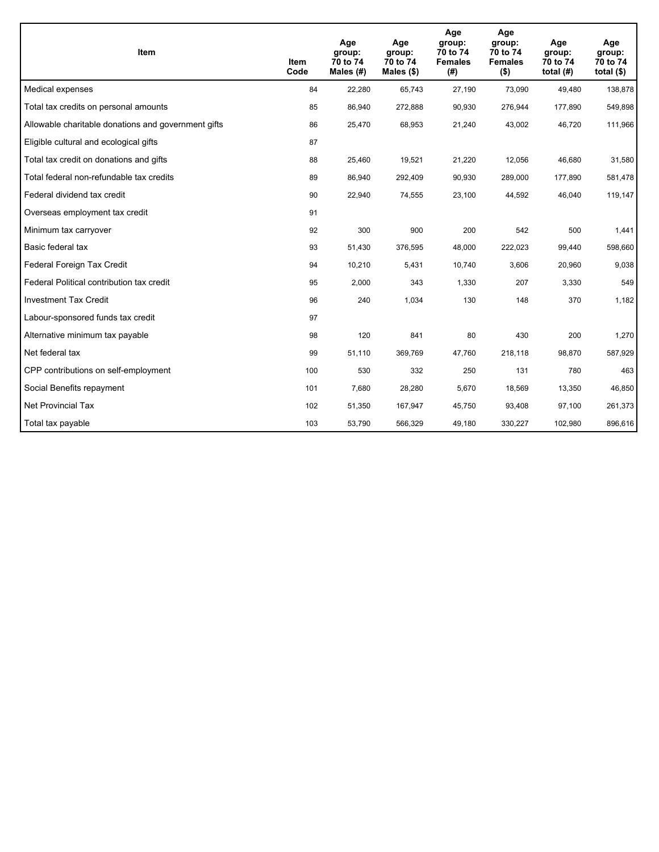| <b>Item</b>                                         | Item<br>Code | Age<br>group:<br>70 to 74<br>Males (#) | Age<br>group:<br>70 to 74<br>Males $(\$)$ | Age<br>group:<br>70 to 74<br><b>Females</b><br>(#) | Age<br>group:<br>70 to 74<br><b>Females</b><br>$($ \$) | Age<br>group:<br>70 to 74<br>total $(H)$ | Age<br>group:<br>70 to 74<br>total $($)$ |
|-----------------------------------------------------|--------------|----------------------------------------|-------------------------------------------|----------------------------------------------------|--------------------------------------------------------|------------------------------------------|------------------------------------------|
| Medical expenses                                    | 84           | 22,280                                 | 65,743                                    | 27,190                                             | 73,090                                                 | 49,480                                   | 138,878                                  |
| Total tax credits on personal amounts               | 85           | 86,940                                 | 272,888                                   | 90,930                                             | 276,944                                                | 177,890                                  | 549,898                                  |
| Allowable charitable donations and government gifts | 86           | 25,470                                 | 68,953                                    | 21,240                                             | 43,002                                                 | 46,720                                   | 111,966                                  |
| Eligible cultural and ecological gifts              | 87           |                                        |                                           |                                                    |                                                        |                                          |                                          |
| Total tax credit on donations and gifts             | 88           | 25,460                                 | 19,521                                    | 21,220                                             | 12,056                                                 | 46,680                                   | 31,580                                   |
| Total federal non-refundable tax credits            | 89           | 86,940                                 | 292,409                                   | 90,930                                             | 289,000                                                | 177,890                                  | 581,478                                  |
| Federal dividend tax credit                         | 90           | 22,940                                 | 74,555                                    | 23,100                                             | 44,592                                                 | 46,040                                   | 119,147                                  |
| Overseas employment tax credit                      | 91           |                                        |                                           |                                                    |                                                        |                                          |                                          |
| Minimum tax carryover                               | 92           | 300                                    | 900                                       | 200                                                | 542                                                    | 500                                      | 1,441                                    |
| Basic federal tax                                   | 93           | 51,430                                 | 376,595                                   | 48.000                                             | 222,023                                                | 99.440                                   | 598,660                                  |
| Federal Foreign Tax Credit                          | 94           | 10,210                                 | 5,431                                     | 10,740                                             | 3,606                                                  | 20,960                                   | 9,038                                    |
| Federal Political contribution tax credit           | 95           | 2,000                                  | 343                                       | 1,330                                              | 207                                                    | 3,330                                    | 549                                      |
| <b>Investment Tax Credit</b>                        | 96           | 240                                    | 1,034                                     | 130                                                | 148                                                    | 370                                      | 1,182                                    |
| Labour-sponsored funds tax credit                   | 97           |                                        |                                           |                                                    |                                                        |                                          |                                          |
| Alternative minimum tax payable                     | 98           | 120                                    | 841                                       | 80                                                 | 430                                                    | 200                                      | 1,270                                    |
| Net federal tax                                     | 99           | 51,110                                 | 369,769                                   | 47,760                                             | 218,118                                                | 98,870                                   | 587,929                                  |
| CPP contributions on self-employment                | 100          | 530                                    | 332                                       | 250                                                | 131                                                    | 780                                      | 463                                      |
| Social Benefits repayment                           | 101          | 7,680                                  | 28,280                                    | 5,670                                              | 18,569                                                 | 13,350                                   | 46,850                                   |
| Net Provincial Tax                                  | 102          | 51,350                                 | 167,947                                   | 45,750                                             | 93,408                                                 | 97,100                                   | 261,373                                  |
| Total tax payable                                   | 103          | 53,790                                 | 566,329                                   | 49,180                                             | 330,227                                                | 102,980                                  | 896,616                                  |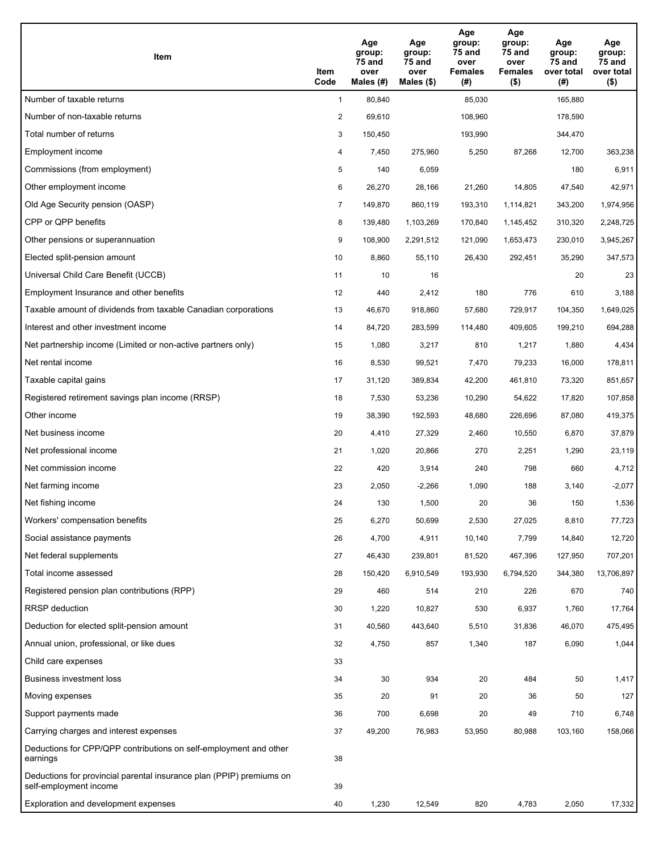| Item                                                                                           | Item<br>Code   | Age<br>group:<br>75 and<br>over<br>Males (#) | Age<br>group:<br>75 and<br>over<br>Males (\$) | Age<br>group:<br><b>75 and</b><br>over<br><b>Females</b><br>(#) | Age<br>group:<br>75 and<br>over<br><b>Females</b><br>$($ \$) | Age<br>group:<br>75 and<br>over total<br>(#) | Age<br>group:<br>75 and<br>over total<br>$($ \$) |
|------------------------------------------------------------------------------------------------|----------------|----------------------------------------------|-----------------------------------------------|-----------------------------------------------------------------|--------------------------------------------------------------|----------------------------------------------|--------------------------------------------------|
| Number of taxable returns                                                                      | $\mathbf{1}$   | 80,840                                       |                                               | 85,030                                                          |                                                              | 165,880                                      |                                                  |
| Number of non-taxable returns                                                                  | $\overline{2}$ | 69,610                                       |                                               | 108,960                                                         |                                                              | 178,590                                      |                                                  |
| Total number of returns                                                                        | 3              | 150,450                                      |                                               | 193,990                                                         |                                                              | 344,470                                      |                                                  |
| Employment income                                                                              | 4              | 7,450                                        | 275,960                                       | 5,250                                                           | 87,268                                                       | 12,700                                       | 363,238                                          |
| Commissions (from employment)                                                                  | 5              | 140                                          | 6,059                                         |                                                                 |                                                              | 180                                          | 6,911                                            |
| Other employment income                                                                        | 6              | 26,270                                       | 28,166                                        | 21,260                                                          | 14,805                                                       | 47,540                                       | 42,971                                           |
| Old Age Security pension (OASP)                                                                | $\overline{7}$ | 149,870                                      | 860,119                                       | 193,310                                                         | 1,114,821                                                    | 343,200                                      | 1,974,956                                        |
| CPP or QPP benefits                                                                            | 8              | 139,480                                      | 1,103,269                                     | 170,840                                                         | 1,145,452                                                    | 310,320                                      | 2,248,725                                        |
| Other pensions or superannuation                                                               | 9              | 108,900                                      | 2,291,512                                     | 121,090                                                         | 1,653,473                                                    | 230,010                                      | 3,945,267                                        |
| Elected split-pension amount                                                                   | 10             | 8,860                                        | 55,110                                        | 26,430                                                          | 292,451                                                      | 35,290                                       | 347,573                                          |
| Universal Child Care Benefit (UCCB)                                                            | 11             | 10                                           | 16                                            |                                                                 |                                                              | 20                                           | 23                                               |
| Employment Insurance and other benefits                                                        | 12             | 440                                          | 2,412                                         | 180                                                             | 776                                                          | 610                                          | 3,188                                            |
| Taxable amount of dividends from taxable Canadian corporations                                 | 13             | 46,670                                       | 918,860                                       | 57,680                                                          | 729,917                                                      | 104,350                                      | 1,649,025                                        |
| Interest and other investment income                                                           | 14             | 84,720                                       | 283,599                                       | 114,480                                                         | 409,605                                                      | 199,210                                      | 694,288                                          |
| Net partnership income (Limited or non-active partners only)                                   | 15             | 1,080                                        | 3,217                                         | 810                                                             | 1,217                                                        | 1,880                                        | 4,434                                            |
| Net rental income                                                                              | 16             | 8,530                                        | 99,521                                        | 7,470                                                           | 79,233                                                       | 16,000                                       | 178,811                                          |
| Taxable capital gains                                                                          | 17             | 31,120                                       | 389,834                                       | 42,200                                                          | 461,810                                                      | 73,320                                       | 851,657                                          |
| Registered retirement savings plan income (RRSP)                                               | 18             | 7,530                                        | 53,236                                        | 10,290                                                          | 54,622                                                       | 17,820                                       | 107,858                                          |
| Other income                                                                                   | 19             | 38,390                                       | 192,593                                       | 48,680                                                          | 226,696                                                      | 87,080                                       | 419,375                                          |
| Net business income                                                                            | 20             | 4,410                                        | 27,329                                        | 2,460                                                           | 10,550                                                       | 6,870                                        | 37,879                                           |
| Net professional income                                                                        | 21             | 1,020                                        | 20,866                                        | 270                                                             | 2,251                                                        | 1,290                                        | 23,119                                           |
| Net commission income                                                                          | 22             | 420                                          | 3,914                                         | 240                                                             | 798                                                          | 660                                          | 4,712                                            |
| Net farming income                                                                             | 23             | 2,050                                        | $-2,266$                                      | 1,090                                                           | 188                                                          | 3,140                                        | $-2,077$                                         |
| Net fishing income                                                                             | 24             | 130                                          | 1,500                                         | 20                                                              | 36                                                           | 150                                          | 1,536                                            |
| Workers' compensation benefits                                                                 | 25             | 6,270                                        | 50,699                                        | 2,530                                                           | 27,025                                                       | 8,810                                        | 77,723                                           |
| Social assistance payments                                                                     | 26             | 4,700                                        | 4,911                                         | 10,140                                                          | 7,799                                                        | 14,840                                       | 12,720                                           |
| Net federal supplements                                                                        | 27             | 46,430                                       | 239,801                                       | 81,520                                                          | 467,396                                                      | 127,950                                      | 707,201                                          |
| Total income assessed                                                                          | 28             | 150,420                                      | 6,910,549                                     | 193,930                                                         | 6,794,520                                                    | 344,380                                      | 13,706,897                                       |
| Registered pension plan contributions (RPP)                                                    | 29             | 460                                          | 514                                           | 210                                                             | 226                                                          | 670                                          | 740                                              |
| <b>RRSP</b> deduction                                                                          | 30             | 1,220                                        | 10,827                                        | 530                                                             | 6,937                                                        | 1,760                                        | 17,764                                           |
| Deduction for elected split-pension amount                                                     | 31             | 40,560                                       | 443,640                                       | 5,510                                                           | 31,836                                                       | 46,070                                       | 475,495                                          |
| Annual union, professional, or like dues                                                       | 32             | 4,750                                        | 857                                           | 1,340                                                           | 187                                                          | 6,090                                        | 1,044                                            |
| Child care expenses                                                                            | 33             |                                              |                                               |                                                                 |                                                              |                                              |                                                  |
| <b>Business investment loss</b>                                                                | 34             | 30                                           | 934                                           | 20                                                              | 484                                                          | 50                                           | 1,417                                            |
| Moving expenses                                                                                | 35             | 20                                           | 91                                            | 20                                                              | 36                                                           | 50                                           | 127                                              |
| Support payments made                                                                          | 36             | 700                                          | 6,698                                         | 20                                                              | 49                                                           | 710                                          | 6,748                                            |
| Carrying charges and interest expenses                                                         | 37             | 49,200                                       | 76,983                                        | 53,950                                                          | 80,988                                                       | 103,160                                      | 158,066                                          |
| Deductions for CPP/QPP contributions on self-employment and other<br>earnings                  | 38             |                                              |                                               |                                                                 |                                                              |                                              |                                                  |
| Deductions for provincial parental insurance plan (PPIP) premiums on<br>self-employment income | 39             |                                              |                                               |                                                                 |                                                              |                                              |                                                  |
| Exploration and development expenses                                                           | 40             | 1,230                                        | 12,549                                        | 820                                                             | 4,783                                                        | 2,050                                        | 17,332                                           |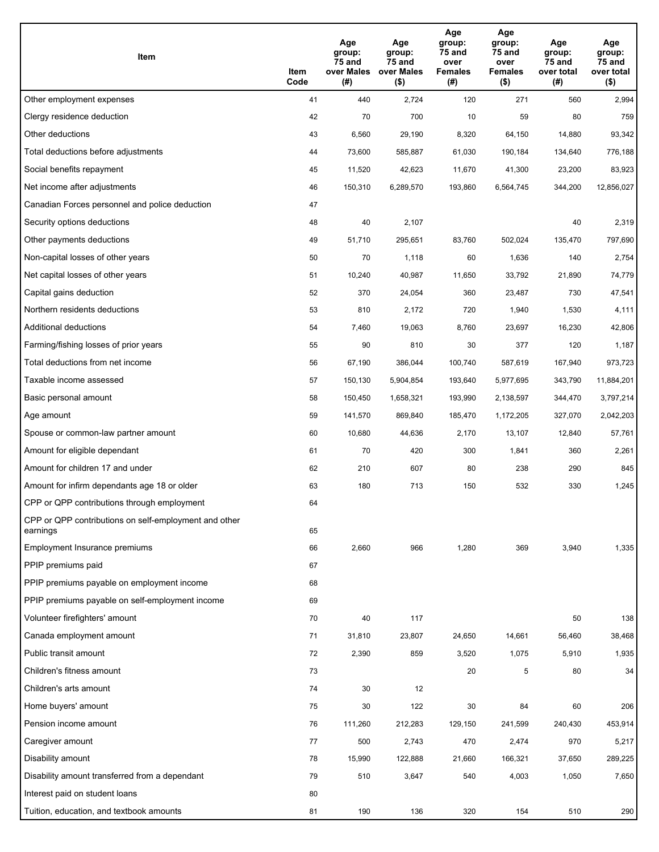| Item                                                              | Item<br>Code | Age<br>group:<br>75 and<br>over Males<br>(#) | Age<br>group:<br>75 and<br>over Males<br>$($ \$) | Age<br>group:<br>75 and<br>over<br><b>Females</b><br>(#) | Age<br>group:<br>75 and<br>over<br><b>Females</b><br>$($ \$) | Age<br>group:<br>75 and<br>over total<br>(#) | Age<br>group:<br>75 and<br>over total<br>$($ \$) |
|-------------------------------------------------------------------|--------------|----------------------------------------------|--------------------------------------------------|----------------------------------------------------------|--------------------------------------------------------------|----------------------------------------------|--------------------------------------------------|
| Other employment expenses                                         | 41           | 440                                          | 2,724                                            | 120                                                      | 271                                                          | 560                                          | 2,994                                            |
| Clergy residence deduction                                        | 42           | 70                                           | 700                                              | 10                                                       | 59                                                           | 80                                           | 759                                              |
| Other deductions                                                  | 43           | 6,560                                        | 29,190                                           | 8,320                                                    | 64,150                                                       | 14,880                                       | 93,342                                           |
| Total deductions before adjustments                               | 44           | 73,600                                       | 585,887                                          | 61,030                                                   | 190,184                                                      | 134,640                                      | 776,188                                          |
| Social benefits repayment                                         | 45           | 11,520                                       | 42,623                                           | 11,670                                                   | 41,300                                                       | 23,200                                       | 83,923                                           |
| Net income after adjustments                                      | 46           | 150,310                                      | 6,289,570                                        | 193,860                                                  | 6,564,745                                                    | 344,200                                      | 12,856,027                                       |
| Canadian Forces personnel and police deduction                    | 47           |                                              |                                                  |                                                          |                                                              |                                              |                                                  |
| Security options deductions                                       | 48           | 40                                           | 2,107                                            |                                                          |                                                              | 40                                           | 2,319                                            |
| Other payments deductions                                         | 49           | 51,710                                       | 295,651                                          | 83,760                                                   | 502,024                                                      | 135,470                                      | 797,690                                          |
| Non-capital losses of other years                                 | 50           | 70                                           | 1,118                                            | 60                                                       | 1,636                                                        | 140                                          | 2,754                                            |
| Net capital losses of other years                                 | 51           | 10,240                                       | 40,987                                           | 11,650                                                   | 33,792                                                       | 21,890                                       | 74,779                                           |
| Capital gains deduction                                           | 52           | 370                                          | 24,054                                           | 360                                                      | 23,487                                                       | 730                                          | 47,541                                           |
| Northern residents deductions                                     | 53           | 810                                          | 2,172                                            | 720                                                      | 1,940                                                        | 1,530                                        | 4,111                                            |
| Additional deductions                                             | 54           | 7,460                                        | 19,063                                           | 8,760                                                    | 23,697                                                       | 16,230                                       | 42,806                                           |
| Farming/fishing losses of prior years                             | 55           | 90                                           | 810                                              | 30                                                       | 377                                                          | 120                                          | 1,187                                            |
| Total deductions from net income                                  | 56           | 67,190                                       | 386,044                                          | 100,740                                                  | 587,619                                                      | 167,940                                      | 973,723                                          |
| Taxable income assessed                                           | 57           | 150,130                                      | 5,904,854                                        | 193,640                                                  | 5,977,695                                                    | 343,790                                      | 11,884,201                                       |
| Basic personal amount                                             | 58           | 150,450                                      | 1,658,321                                        | 193,990                                                  | 2,138,597                                                    | 344,470                                      | 3,797,214                                        |
| Age amount                                                        | 59           | 141,570                                      | 869,840                                          | 185,470                                                  | 1,172,205                                                    | 327,070                                      | 2,042,203                                        |
| Spouse or common-law partner amount                               | 60           | 10,680                                       | 44,636                                           | 2,170                                                    | 13,107                                                       | 12,840                                       | 57,761                                           |
| Amount for eligible dependant                                     | 61           | 70                                           | 420                                              | 300                                                      | 1,841                                                        | 360                                          | 2,261                                            |
| Amount for children 17 and under                                  | 62           | 210                                          | 607                                              | 80                                                       | 238                                                          | 290                                          | 845                                              |
| Amount for infirm dependants age 18 or older                      | 63           | 180                                          | 713                                              | 150                                                      | 532                                                          | 330                                          | 1,245                                            |
| CPP or QPP contributions through employment                       | 64           |                                              |                                                  |                                                          |                                                              |                                              |                                                  |
| CPP or QPP contributions on self-employment and other<br>earnings | 65           |                                              |                                                  |                                                          |                                                              |                                              |                                                  |
| Employment Insurance premiums                                     | 66           | 2,660                                        | 966                                              | 1,280                                                    | 369                                                          | 3,940                                        | 1,335                                            |
| PPIP premiums paid                                                | 67           |                                              |                                                  |                                                          |                                                              |                                              |                                                  |
| PPIP premiums payable on employment income                        | 68           |                                              |                                                  |                                                          |                                                              |                                              |                                                  |
| PPIP premiums payable on self-employment income                   | 69           |                                              |                                                  |                                                          |                                                              |                                              |                                                  |
| Volunteer firefighters' amount                                    | 70           | 40                                           | 117                                              |                                                          |                                                              | 50                                           | 138                                              |
| Canada employment amount                                          | 71           | 31,810                                       | 23,807                                           | 24,650                                                   | 14,661                                                       | 56,460                                       | 38,468                                           |
| Public transit amount                                             | 72           | 2,390                                        | 859                                              | 3,520                                                    | 1,075                                                        | 5,910                                        | 1,935                                            |
| Children's fitness amount                                         | 73           |                                              |                                                  | 20                                                       | 5                                                            | 80                                           | 34                                               |
| Children's arts amount                                            | 74           | 30                                           | 12                                               |                                                          |                                                              |                                              |                                                  |
| Home buyers' amount                                               | 75           | 30                                           | 122                                              | 30                                                       | 84                                                           | 60                                           | 206                                              |
| Pension income amount                                             | 76           | 111,260                                      | 212,283                                          | 129,150                                                  | 241,599                                                      | 240,430                                      | 453,914                                          |
| Caregiver amount                                                  | 77           | 500                                          | 2,743                                            | 470                                                      | 2,474                                                        | 970                                          | 5,217                                            |
| Disability amount                                                 | 78           | 15,990                                       | 122,888                                          | 21,660                                                   | 166,321                                                      | 37,650                                       | 289,225                                          |
| Disability amount transferred from a dependant                    | 79           | 510                                          | 3,647                                            | 540                                                      | 4,003                                                        | 1,050                                        | 7,650                                            |
| Interest paid on student loans                                    | 80           |                                              |                                                  |                                                          |                                                              |                                              |                                                  |
| Tuition, education, and textbook amounts                          | 81           | 190                                          | 136                                              | 320                                                      | 154                                                          | 510                                          | 290                                              |